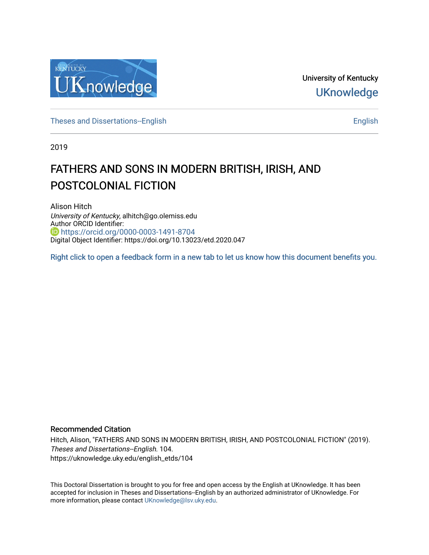

University of Kentucky **UKnowledge** 

[Theses and Dissertations--English](https://uknowledge.uky.edu/english_etds) [English](https://uknowledge.uky.edu/english) English English English English English

2019

# FATHERS AND SONS IN MODERN BRITISH, IRISH, AND POSTCOLONIAL FICTION

Alison Hitch University of Kentucky, alhitch@go.olemiss.edu Author ORCID Identifier: <https://orcid.org/0000-0003-1491-8704> Digital Object Identifier: https://doi.org/10.13023/etd.2020.047

[Right click to open a feedback form in a new tab to let us know how this document benefits you.](https://uky.az1.qualtrics.com/jfe/form/SV_9mq8fx2GnONRfz7)

### Recommended Citation

Hitch, Alison, "FATHERS AND SONS IN MODERN BRITISH, IRISH, AND POSTCOLONIAL FICTION" (2019). Theses and Dissertations--English. 104. https://uknowledge.uky.edu/english\_etds/104

This Doctoral Dissertation is brought to you for free and open access by the English at UKnowledge. It has been accepted for inclusion in Theses and Dissertations--English by an authorized administrator of UKnowledge. For more information, please contact [UKnowledge@lsv.uky.edu](mailto:UKnowledge@lsv.uky.edu).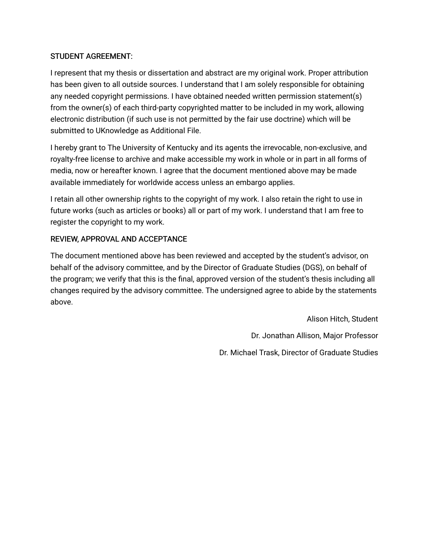# STUDENT AGREEMENT:

I represent that my thesis or dissertation and abstract are my original work. Proper attribution has been given to all outside sources. I understand that I am solely responsible for obtaining any needed copyright permissions. I have obtained needed written permission statement(s) from the owner(s) of each third-party copyrighted matter to be included in my work, allowing electronic distribution (if such use is not permitted by the fair use doctrine) which will be submitted to UKnowledge as Additional File.

I hereby grant to The University of Kentucky and its agents the irrevocable, non-exclusive, and royalty-free license to archive and make accessible my work in whole or in part in all forms of media, now or hereafter known. I agree that the document mentioned above may be made available immediately for worldwide access unless an embargo applies.

I retain all other ownership rights to the copyright of my work. I also retain the right to use in future works (such as articles or books) all or part of my work. I understand that I am free to register the copyright to my work.

# REVIEW, APPROVAL AND ACCEPTANCE

The document mentioned above has been reviewed and accepted by the student's advisor, on behalf of the advisory committee, and by the Director of Graduate Studies (DGS), on behalf of the program; we verify that this is the final, approved version of the student's thesis including all changes required by the advisory committee. The undersigned agree to abide by the statements above.

> Alison Hitch, Student Dr. Jonathan Allison, Major Professor Dr. Michael Trask, Director of Graduate Studies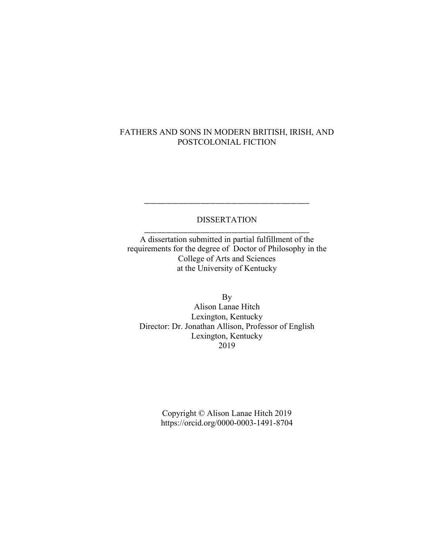# FATHERS AND SONS IN MODERN BRITISH, IRISH, AND POSTCOLONIAL FICTION

# DISSERTATION \_\_\_\_\_\_\_\_\_\_\_\_\_\_\_\_\_\_\_\_\_\_\_\_\_\_\_\_\_\_\_\_\_\_\_\_\_\_\_\_\_\_\_\_\_\_\_\_\_\_\_\_\_

\_\_\_\_\_\_\_\_\_\_\_\_\_\_\_\_\_\_\_\_\_\_\_\_\_\_\_\_\_\_\_\_\_\_\_\_\_\_\_\_\_\_\_\_\_\_\_\_\_\_\_\_\_

A dissertation submitted in partial fulfillment of the requirements for the degree of Doctor of Philosophy in the College of Arts and Sciences at the University of Kentucky

By Alison Lanae Hitch Lexington, Kentucky Director: Dr. Jonathan Allison, Professor of English Lexington, Kentucky 2019

> Copyright © Alison Lanae Hitch 2019 https://orcid.org/0000-0003-1491-8704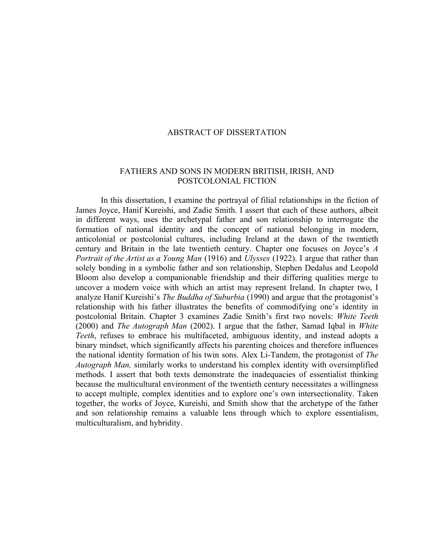### ABSTRACT OF DISSERTATION

### FATHERS AND SONS IN MODERN BRITISH, IRISH, AND POSTCOLONIAL FICTION

In this dissertation, I examine the portrayal of filial relationships in the fiction of James Joyce, Hanif Kureishi, and Zadie Smith. I assert that each of these authors, albeit in different ways, uses the archetypal father and son relationship to interrogate the formation of national identity and the concept of national belonging in modern, anticolonial or postcolonial cultures, including Ireland at the dawn of the twentieth century and Britain in the late twentieth century. Chapter one focuses on Joyce's *A Portrait of the Artist as a Young Man* (1916) and *Ulysses* (1922). I argue that rather than solely bonding in a symbolic father and son relationship, Stephen Dedalus and Leopold Bloom also develop a companionable friendship and their differing qualities merge to uncover a modern voice with which an artist may represent Ireland. In chapter two, I analyze Hanif Kureishi's *The Buddha of Suburbia* (1990) and argue that the protagonist's relationship with his father illustrates the benefits of commodifying one's identity in postcolonial Britain. Chapter 3 examines Zadie Smith's first two novels: *White Teeth* (2000) and *The Autograph Man* (2002). I argue that the father, Samad Iqbal in *White Teeth*, refuses to embrace his multifaceted, ambiguous identity, and instead adopts a binary mindset, which significantly affects his parenting choices and therefore influences the national identity formation of his twin sons. Alex Li-Tandem, the protagonist of *The Autograph Man,* similarly works to understand his complex identity with oversimplified methods. I assert that both texts demonstrate the inadequacies of essentialist thinking because the multicultural environment of the twentieth century necessitates a willingness to accept multiple, complex identities and to explore one's own intersectionality. Taken together, the works of Joyce, Kureishi, and Smith show that the archetype of the father and son relationship remains a valuable lens through which to explore essentialism, multiculturalism, and hybridity.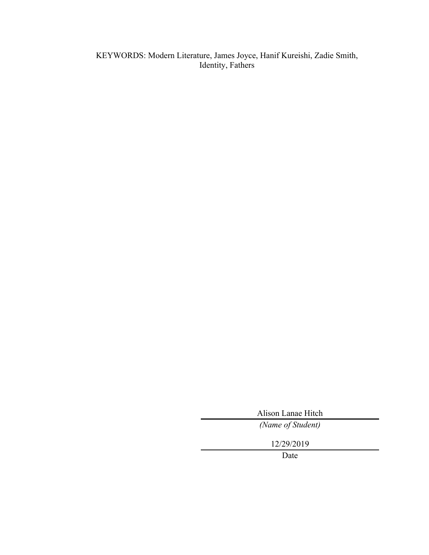KEYWORDS: Modern Literature, James Joyce, Hanif Kureishi, Zadie Smith, Identity, Fathers

Alison Lanae Hitch

*(Name of Student)*

12/29/2019

Date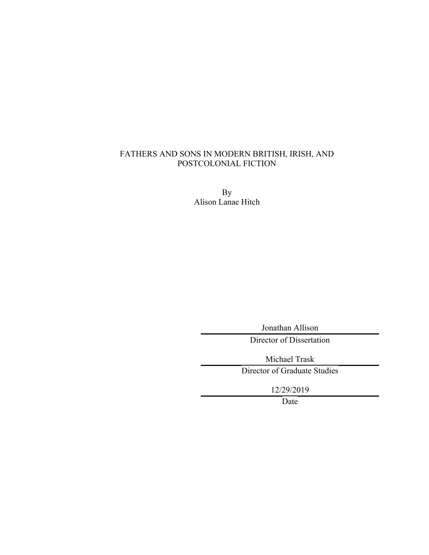# FATHERS AND SONS IN MODERN BRITISH, IRISH, AND POSTCOLONIAL FICTION

By Alison Lanae Hitch

Jonathan Allison

Director of Dissertation

Michael Trask Director of Graduate Studies

12/29/2019

Date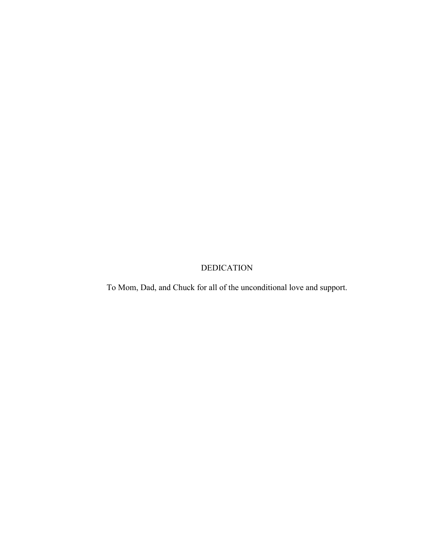# DEDICATION

To Mom, Dad, and Chuck for all of the unconditional love and support.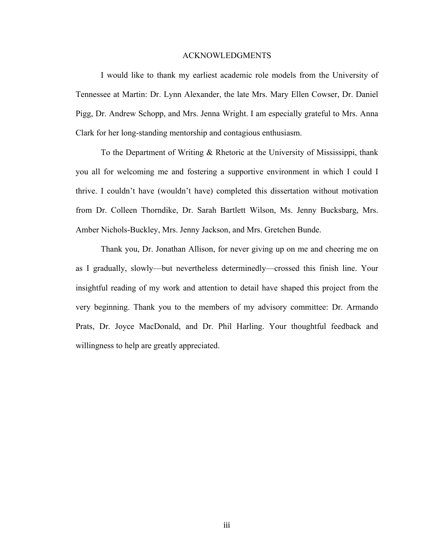#### ACKNOWLEDGMENTS

I would like to thank my earliest academic role models from the University of Tennessee at Martin: Dr. Lynn Alexander, the late Mrs. Mary Ellen Cowser, Dr. Daniel Pigg, Dr. Andrew Schopp, and Mrs. Jenna Wright. I am especially grateful to Mrs. Anna Clark for her long-standing mentorship and contagious enthusiasm.

To the Department of Writing & Rhetoric at the University of Mississippi, thank you all for welcoming me and fostering a supportive environment in which I could I thrive. I couldn't have (wouldn't have) completed this dissertation without motivation from Dr. Colleen Thorndike, Dr. Sarah Bartlett Wilson, Ms. Jenny Bucksbarg, Mrs. Amber Nichols-Buckley, Mrs. Jenny Jackson, and Mrs. Gretchen Bunde.

Thank you, Dr. Jonathan Allison, for never giving up on me and cheering me on as I gradually, slowly—but nevertheless determinedly—crossed this finish line. Your insightful reading of my work and attention to detail have shaped this project from the very beginning. Thank you to the members of my advisory committee: Dr. Armando Prats, Dr. Joyce MacDonald, and Dr. Phil Harling. Your thoughtful feedback and willingness to help are greatly appreciated.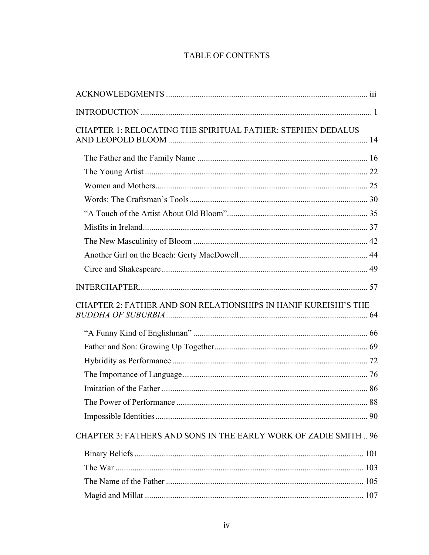# TABLE OF CONTENTS

| <b>CHAPTER 1: RELOCATING THE SPIRITUAL FATHER: STEPHEN DEDALUS</b> |    |
|--------------------------------------------------------------------|----|
|                                                                    |    |
|                                                                    |    |
|                                                                    |    |
|                                                                    |    |
|                                                                    |    |
|                                                                    |    |
|                                                                    |    |
|                                                                    |    |
|                                                                    |    |
|                                                                    |    |
| CHAPTER 2: FATHER AND SON RELATIONSHIPS IN HANIF KUREISHI'S THE    |    |
|                                                                    |    |
|                                                                    |    |
|                                                                    |    |
|                                                                    |    |
|                                                                    |    |
| The Power of Performance                                           | 88 |
|                                                                    |    |
| CHAPTER 3: FATHERS AND SONS IN THE EARLY WORK OF ZADIE SMITH  96   |    |
|                                                                    |    |
|                                                                    |    |
|                                                                    |    |
|                                                                    |    |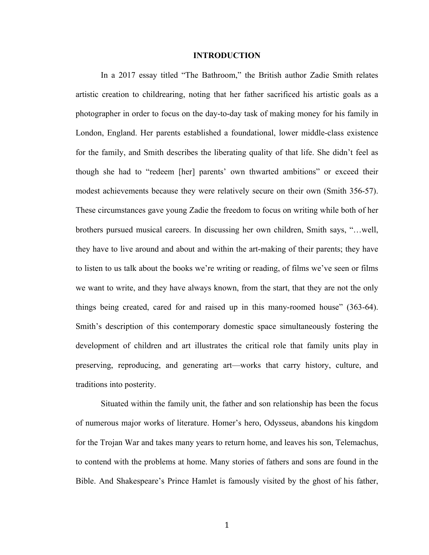#### **INTRODUCTION**

In a 2017 essay titled "The Bathroom," the British author Zadie Smith relates artistic creation to childrearing, noting that her father sacrificed his artistic goals as a photographer in order to focus on the day-to-day task of making money for his family in London, England. Her parents established a foundational, lower middle-class existence for the family, and Smith describes the liberating quality of that life. She didn't feel as though she had to "redeem [her] parents' own thwarted ambitions" or exceed their modest achievements because they were relatively secure on their own (Smith 356-57). These circumstances gave young Zadie the freedom to focus on writing while both of her brothers pursued musical careers. In discussing her own children, Smith says, "…well, they have to live around and about and within the art-making of their parents; they have to listen to us talk about the books we're writing or reading, of films we've seen or films we want to write, and they have always known, from the start, that they are not the only things being created, cared for and raised up in this many-roomed house" (363-64). Smith's description of this contemporary domestic space simultaneously fostering the development of children and art illustrates the critical role that family units play in preserving, reproducing, and generating art—works that carry history, culture, and traditions into posterity.

Situated within the family unit, the father and son relationship has been the focus of numerous major works of literature. Homer's hero, Odysseus, abandons his kingdom for the Trojan War and takes many years to return home, and leaves his son, Telemachus, to contend with the problems at home. Many stories of fathers and sons are found in the Bible. And Shakespeare's Prince Hamlet is famously visited by the ghost of his father,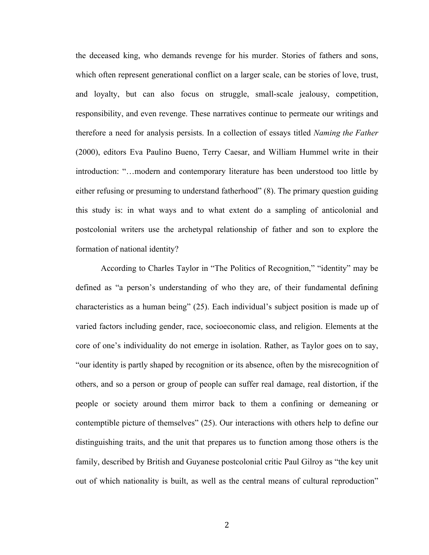the deceased king, who demands revenge for his murder. Stories of fathers and sons, which often represent generational conflict on a larger scale, can be stories of love, trust, and loyalty, but can also focus on struggle, small-scale jealousy, competition, responsibility, and even revenge. These narratives continue to permeate our writings and therefore a need for analysis persists. In a collection of essays titled *Naming the Father* (2000), editors Eva Paulino Bueno, Terry Caesar, and William Hummel write in their introduction: "…modern and contemporary literature has been understood too little by either refusing or presuming to understand fatherhood" (8). The primary question guiding this study is: in what ways and to what extent do a sampling of anticolonial and postcolonial writers use the archetypal relationship of father and son to explore the formation of national identity?

According to Charles Taylor in "The Politics of Recognition," "identity" may be defined as "a person's understanding of who they are, of their fundamental defining characteristics as a human being" (25). Each individual's subject position is made up of varied factors including gender, race, socioeconomic class, and religion. Elements at the core of one's individuality do not emerge in isolation. Rather, as Taylor goes on to say, "our identity is partly shaped by recognition or its absence, often by the misrecognition of others, and so a person or group of people can suffer real damage, real distortion, if the people or society around them mirror back to them a confining or demeaning or contemptible picture of themselves" (25). Our interactions with others help to define our distinguishing traits, and the unit that prepares us to function among those others is the family, described by British and Guyanese postcolonial critic Paul Gilroy as "the key unit out of which nationality is built, as well as the central means of cultural reproduction"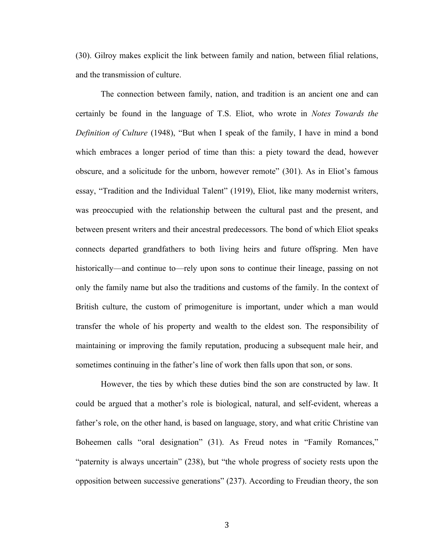(30). Gilroy makes explicit the link between family and nation, between filial relations, and the transmission of culture.

The connection between family, nation, and tradition is an ancient one and can certainly be found in the language of T.S. Eliot, who wrote in *Notes Towards the Definition of Culture* (1948), "But when I speak of the family, I have in mind a bond which embraces a longer period of time than this: a piety toward the dead, however obscure, and a solicitude for the unborn, however remote" (301). As in Eliot's famous essay, "Tradition and the Individual Talent" (1919), Eliot, like many modernist writers, was preoccupied with the relationship between the cultural past and the present, and between present writers and their ancestral predecessors. The bond of which Eliot speaks connects departed grandfathers to both living heirs and future offspring. Men have historically—and continue to—rely upon sons to continue their lineage, passing on not only the family name but also the traditions and customs of the family. In the context of British culture, the custom of primogeniture is important, under which a man would transfer the whole of his property and wealth to the eldest son. The responsibility of maintaining or improving the family reputation, producing a subsequent male heir, and sometimes continuing in the father's line of work then falls upon that son, or sons.

However, the ties by which these duties bind the son are constructed by law. It could be argued that a mother's role is biological, natural, and self-evident, whereas a father's role, on the other hand, is based on language, story, and what critic Christine van Boheemen calls "oral designation" (31). As Freud notes in "Family Romances," "paternity is always uncertain" (238), but "the whole progress of society rests upon the opposition between successive generations" (237). According to Freudian theory, the son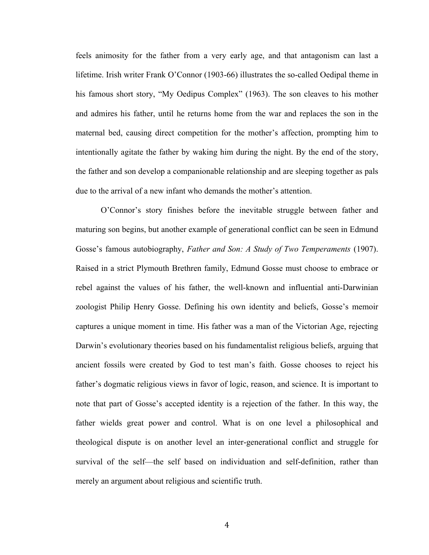feels animosity for the father from a very early age, and that antagonism can last a lifetime. Irish writer Frank O'Connor (1903-66) illustrates the so-called Oedipal theme in his famous short story, "My Oedipus Complex" (1963). The son cleaves to his mother and admires his father, until he returns home from the war and replaces the son in the maternal bed, causing direct competition for the mother's affection, prompting him to intentionally agitate the father by waking him during the night. By the end of the story, the father and son develop a companionable relationship and are sleeping together as pals due to the arrival of a new infant who demands the mother's attention.

O'Connor's story finishes before the inevitable struggle between father and maturing son begins, but another example of generational conflict can be seen in Edmund Gosse's famous autobiography, *Father and Son: A Study of Two Temperaments* (1907). Raised in a strict Plymouth Brethren family, Edmund Gosse must choose to embrace or rebel against the values of his father, the well-known and influential anti-Darwinian zoologist Philip Henry Gosse. Defining his own identity and beliefs, Gosse's memoir captures a unique moment in time. His father was a man of the Victorian Age, rejecting Darwin's evolutionary theories based on his fundamentalist religious beliefs, arguing that ancient fossils were created by God to test man's faith. Gosse chooses to reject his father's dogmatic religious views in favor of logic, reason, and science. It is important to note that part of Gosse's accepted identity is a rejection of the father. In this way, the father wields great power and control. What is on one level a philosophical and theological dispute is on another level an inter-generational conflict and struggle for survival of the self—the self based on individuation and self-definition, rather than merely an argument about religious and scientific truth.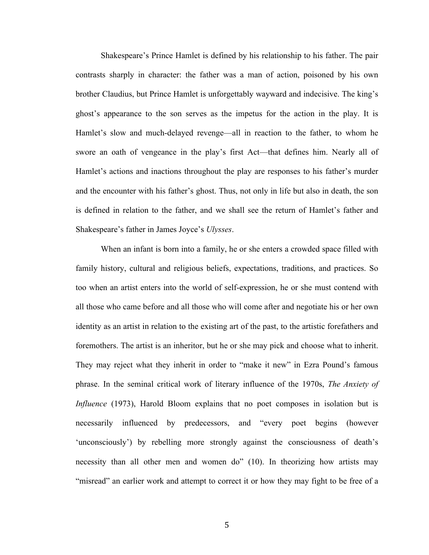Shakespeare's Prince Hamlet is defined by his relationship to his father. The pair contrasts sharply in character: the father was a man of action, poisoned by his own brother Claudius, but Prince Hamlet is unforgettably wayward and indecisive. The king's ghost's appearance to the son serves as the impetus for the action in the play. It is Hamlet's slow and much-delayed revenge—all in reaction to the father, to whom he swore an oath of vengeance in the play's first Act—that defines him. Nearly all of Hamlet's actions and inactions throughout the play are responses to his father's murder and the encounter with his father's ghost. Thus, not only in life but also in death, the son is defined in relation to the father, and we shall see the return of Hamlet's father and Shakespeare's father in James Joyce's *Ulysses*.

When an infant is born into a family, he or she enters a crowded space filled with family history, cultural and religious beliefs, expectations, traditions, and practices. So too when an artist enters into the world of self-expression, he or she must contend with all those who came before and all those who will come after and negotiate his or her own identity as an artist in relation to the existing art of the past, to the artistic forefathers and foremothers. The artist is an inheritor, but he or she may pick and choose what to inherit. They may reject what they inherit in order to "make it new" in Ezra Pound's famous phrase. In the seminal critical work of literary influence of the 1970s, *The Anxiety of Influence* (1973), Harold Bloom explains that no poet composes in isolation but is necessarily influenced by predecessors, and "every poet begins (however 'unconsciously') by rebelling more strongly against the consciousness of death's necessity than all other men and women do" (10). In theorizing how artists may "misread" an earlier work and attempt to correct it or how they may fight to be free of a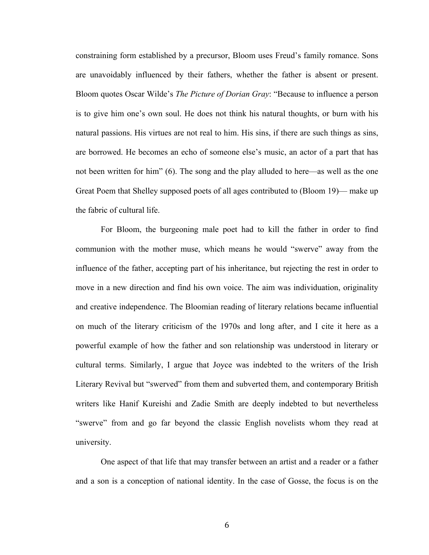constraining form established by a precursor, Bloom uses Freud's family romance. Sons are unavoidably influenced by their fathers, whether the father is absent or present. Bloom quotes Oscar Wilde's *The Picture of Dorian Gray*: "Because to influence a person is to give him one's own soul. He does not think his natural thoughts, or burn with his natural passions. His virtues are not real to him. His sins, if there are such things as sins, are borrowed. He becomes an echo of someone else's music, an actor of a part that has not been written for him" (6). The song and the play alluded to here—as well as the one Great Poem that Shelley supposed poets of all ages contributed to (Bloom 19)— make up the fabric of cultural life.

For Bloom, the burgeoning male poet had to kill the father in order to find communion with the mother muse, which means he would "swerve" away from the influence of the father, accepting part of his inheritance, but rejecting the rest in order to move in a new direction and find his own voice. The aim was individuation, originality and creative independence. The Bloomian reading of literary relations became influential on much of the literary criticism of the 1970s and long after, and I cite it here as a powerful example of how the father and son relationship was understood in literary or cultural terms. Similarly, I argue that Joyce was indebted to the writers of the Irish Literary Revival but "swerved" from them and subverted them, and contemporary British writers like Hanif Kureishi and Zadie Smith are deeply indebted to but nevertheless "swerve" from and go far beyond the classic English novelists whom they read at university.

One aspect of that life that may transfer between an artist and a reader or a father and a son is a conception of national identity. In the case of Gosse, the focus is on the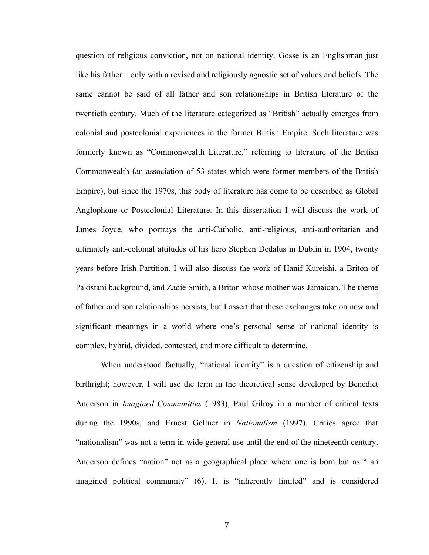question of religious conviction, not on national identity. Gosse is an Englishman just like his father—only with a revised and religiously agnostic set of values and beliefs. The same cannot be said of all father and son relationships in British literature of the twentieth century. Much of the literature categorized as "British" actually emerges from colonial and postcolonial experiences in the former British Empire. Such literature was formerly known as "Commonwealth Literature," referring to literature of the British Commonwealth (an association of 53 states which were former members of the British Empire), but since the 1970s, this body of literature has come to be described as Global Anglophone or Postcolonial Literature. In this dissertation I will discuss the work of James Joyce, who portrays the anti-Catholic, anti-religious, anti-authoritarian and ultimately anti-colonial attitudes of his hero Stephen Dedalus in Dublin in 1904, twenty years before Irish Partition. I will also discuss the work of Hanif Kureishi, a Briton of Pakistani background, and Zadie Smith, a Briton whose mother was Jamaican. The theme of father and son relationships persists, but I assert that these exchanges take on new and significant meanings in a world where one's personal sense of national identity is complex, hybrid, divided, contested, and more difficult to determine.

When understood factually, "national identity" is a question of citizenship and birthright; however, I will use the term in the theoretical sense developed by Benedict Anderson in *Imagined Communities* (1983), Paul Gilroy in a number of critical texts during the 1990s, and Ernest Gellner in *Nationalism* (1997). Critics agree that "nationalism" was not a term in wide general use until the end of the nineteenth century. Anderson defines "nation" not as a geographical place where one is born but as " an imagined political community" (6). It is "inherently limited" and is considered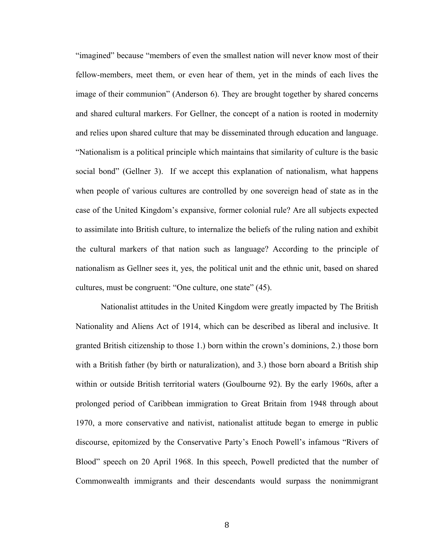"imagined" because "members of even the smallest nation will never know most of their fellow-members, meet them, or even hear of them, yet in the minds of each lives the image of their communion" (Anderson 6). They are brought together by shared concerns and shared cultural markers. For Gellner, the concept of a nation is rooted in modernity and relies upon shared culture that may be disseminated through education and language. "Nationalism is a political principle which maintains that similarity of culture is the basic social bond" (Gellner 3). If we accept this explanation of nationalism, what happens when people of various cultures are controlled by one sovereign head of state as in the case of the United Kingdom's expansive, former colonial rule? Are all subjects expected to assimilate into British culture, to internalize the beliefs of the ruling nation and exhibit the cultural markers of that nation such as language? According to the principle of nationalism as Gellner sees it, yes, the political unit and the ethnic unit, based on shared cultures, must be congruent: "One culture, one state" (45).

Nationalist attitudes in the United Kingdom were greatly impacted by The British Nationality and Aliens Act of 1914, which can be described as liberal and inclusive. It granted British citizenship to those 1.) born within the crown's dominions, 2.) those born with a British father (by birth or naturalization), and 3.) those born aboard a British ship within or outside British territorial waters (Goulbourne 92). By the early 1960s, after a prolonged period of Caribbean immigration to Great Britain from 1948 through about 1970, a more conservative and nativist, nationalist attitude began to emerge in public discourse, epitomized by the Conservative Party's Enoch Powell's infamous "Rivers of Blood" speech on 20 April 1968. In this speech, Powell predicted that the number of Commonwealth immigrants and their descendants would surpass the nonimmigrant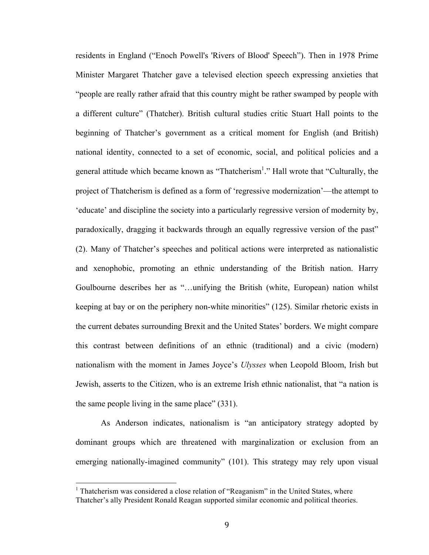residents in England ("Enoch Powell's 'Rivers of Blood' Speech"). Then in 1978 Prime Minister Margaret Thatcher gave a televised election speech expressing anxieties that "people are really rather afraid that this country might be rather swamped by people with a different culture" (Thatcher). British cultural studies critic Stuart Hall points to the beginning of Thatcher's government as a critical moment for English (and British) national identity, connected to a set of economic, social, and political policies and a general attitude which became known as "Thatcherism<sup>1</sup>." Hall wrote that "Culturally, the project of Thatcherism is defined as a form of 'regressive modernization'—the attempt to 'educate' and discipline the society into a particularly regressive version of modernity by, paradoxically, dragging it backwards through an equally regressive version of the past" (2). Many of Thatcher's speeches and political actions were interpreted as nationalistic and xenophobic, promoting an ethnic understanding of the British nation. Harry Goulbourne describes her as "…unifying the British (white, European) nation whilst keeping at bay or on the periphery non-white minorities" (125). Similar rhetoric exists in the current debates surrounding Brexit and the United States' borders. We might compare this contrast between definitions of an ethnic (traditional) and a civic (modern) nationalism with the moment in James Joyce's *Ulysses* when Leopold Bloom, Irish but Jewish, asserts to the Citizen, who is an extreme Irish ethnic nationalist, that "a nation is the same people living in the same place" (331).

As Anderson indicates, nationalism is "an anticipatory strategy adopted by dominant groups which are threatened with marginalization or exclusion from an emerging nationally-imagined community" (101). This strategy may rely upon visual

 

 $<sup>1</sup>$  Thatcherism was considered a close relation of "Reaganism" in the United States, where</sup> Thatcher's ally President Ronald Reagan supported similar economic and political theories.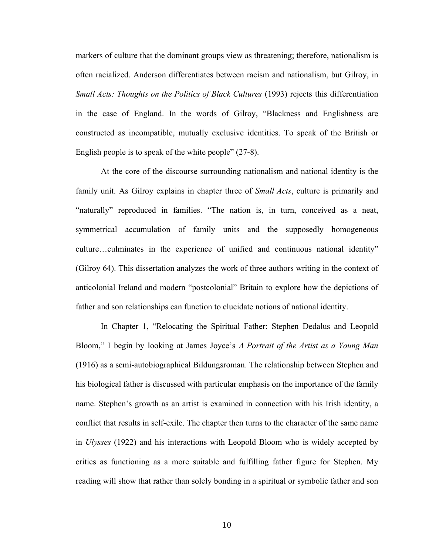markers of culture that the dominant groups view as threatening; therefore, nationalism is often racialized. Anderson differentiates between racism and nationalism, but Gilroy, in *Small Acts: Thoughts on the Politics of Black Cultures* (1993) rejects this differentiation in the case of England. In the words of Gilroy, "Blackness and Englishness are constructed as incompatible, mutually exclusive identities. To speak of the British or English people is to speak of the white people" (27-8).

At the core of the discourse surrounding nationalism and national identity is the family unit. As Gilroy explains in chapter three of *Small Acts*, culture is primarily and "naturally" reproduced in families. "The nation is, in turn, conceived as a neat, symmetrical accumulation of family units and the supposedly homogeneous culture…culminates in the experience of unified and continuous national identity" (Gilroy 64). This dissertation analyzes the work of three authors writing in the context of anticolonial Ireland and modern "postcolonial" Britain to explore how the depictions of father and son relationships can function to elucidate notions of national identity.

In Chapter 1, "Relocating the Spiritual Father: Stephen Dedalus and Leopold Bloom," I begin by looking at James Joyce's *A Portrait of the Artist as a Young Man* (1916) as a semi-autobiographical Bildungsroman. The relationship between Stephen and his biological father is discussed with particular emphasis on the importance of the family name. Stephen's growth as an artist is examined in connection with his Irish identity, a conflict that results in self-exile. The chapter then turns to the character of the same name in *Ulysses* (1922) and his interactions with Leopold Bloom who is widely accepted by critics as functioning as a more suitable and fulfilling father figure for Stephen. My reading will show that rather than solely bonding in a spiritual or symbolic father and son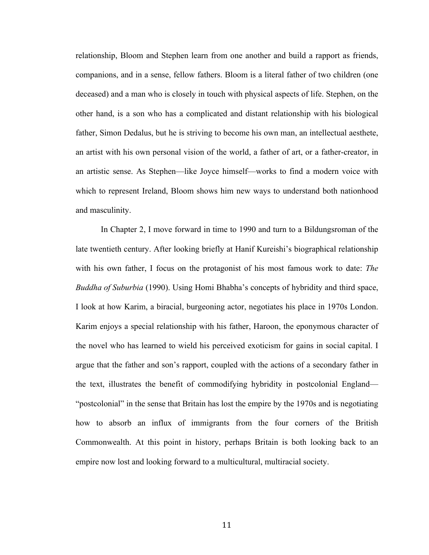relationship, Bloom and Stephen learn from one another and build a rapport as friends, companions, and in a sense, fellow fathers. Bloom is a literal father of two children (one deceased) and a man who is closely in touch with physical aspects of life. Stephen, on the other hand, is a son who has a complicated and distant relationship with his biological father, Simon Dedalus, but he is striving to become his own man, an intellectual aesthete, an artist with his own personal vision of the world, a father of art, or a father-creator, in an artistic sense. As Stephen—like Joyce himself—works to find a modern voice with which to represent Ireland, Bloom shows him new ways to understand both nationhood and masculinity.

In Chapter 2, I move forward in time to 1990 and turn to a Bildungsroman of the late twentieth century. After looking briefly at Hanif Kureishi's biographical relationship with his own father, I focus on the protagonist of his most famous work to date: *The Buddha of Suburbia* (1990). Using Homi Bhabha's concepts of hybridity and third space, I look at how Karim, a biracial, burgeoning actor, negotiates his place in 1970s London. Karim enjoys a special relationship with his father, Haroon, the eponymous character of the novel who has learned to wield his perceived exoticism for gains in social capital. I argue that the father and son's rapport, coupled with the actions of a secondary father in the text, illustrates the benefit of commodifying hybridity in postcolonial England— "postcolonial" in the sense that Britain has lost the empire by the 1970s and is negotiating how to absorb an influx of immigrants from the four corners of the British Commonwealth. At this point in history, perhaps Britain is both looking back to an empire now lost and looking forward to a multicultural, multiracial society.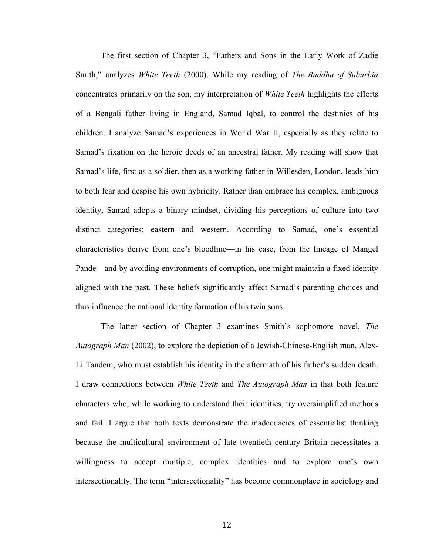The first section of Chapter 3, "Fathers and Sons in the Early Work of Zadie Smith," analyzes *White Teeth* (2000). While my reading of *The Buddha of Suburbia* concentrates primarily on the son, my interpretation of *White Teeth* highlights the efforts of a Bengali father living in England, Samad Iqbal, to control the destinies of his children. I analyze Samad's experiences in World War II, especially as they relate to Samad's fixation on the heroic deeds of an ancestral father. My reading will show that Samad's life, first as a soldier, then as a working father in Willesden, London, leads him to both fear and despise his own hybridity. Rather than embrace his complex, ambiguous identity, Samad adopts a binary mindset, dividing his perceptions of culture into two distinct categories: eastern and western. According to Samad, one's essential characteristics derive from one's bloodline—in his case, from the lineage of Mangel Pande—and by avoiding environments of corruption, one might maintain a fixed identity aligned with the past. These beliefs significantly affect Samad's parenting choices and thus influence the national identity formation of his twin sons.

The latter section of Chapter 3 examines Smith's sophomore novel, *The Autograph Man* (2002), to explore the depiction of a Jewish-Chinese-English man, Alex-Li Tandem, who must establish his identity in the aftermath of his father's sudden death. I draw connections between *White Teeth* and *The Autograph Man* in that both feature characters who, while working to understand their identities, try oversimplified methods and fail. I argue that both texts demonstrate the inadequacies of essentialist thinking because the multicultural environment of late twentieth century Britain necessitates a willingness to accept multiple, complex identities and to explore one's own intersectionality. The term "intersectionality" has become commonplace in sociology and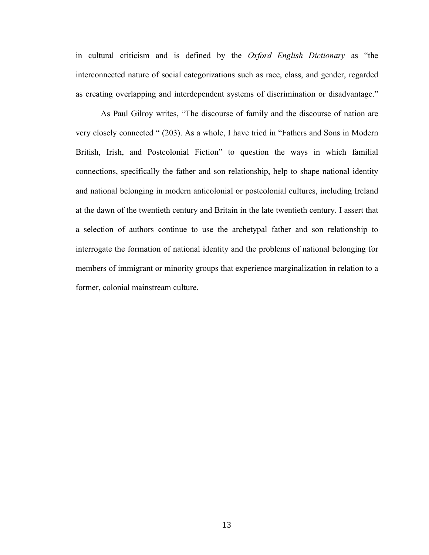in cultural criticism and is defined by the *Oxford English Dictionary* as "the interconnected nature of social categorizations such as race, class, and gender, regarded as creating overlapping and interdependent systems of discrimination or disadvantage."

As Paul Gilroy writes, "The discourse of family and the discourse of nation are very closely connected " (203). As a whole, I have tried in "Fathers and Sons in Modern British, Irish, and Postcolonial Fiction" to question the ways in which familial connections, specifically the father and son relationship, help to shape national identity and national belonging in modern anticolonial or postcolonial cultures, including Ireland at the dawn of the twentieth century and Britain in the late twentieth century. I assert that a selection of authors continue to use the archetypal father and son relationship to interrogate the formation of national identity and the problems of national belonging for members of immigrant or minority groups that experience marginalization in relation to a former, colonial mainstream culture.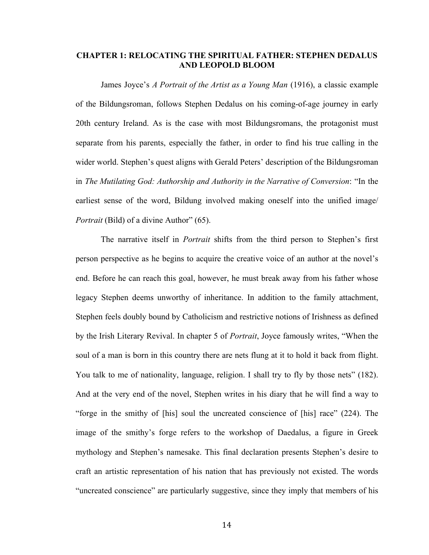### **CHAPTER 1: RELOCATING THE SPIRITUAL FATHER: STEPHEN DEDALUS AND LEOPOLD BLOOM**

James Joyce's *A Portrait of the Artist as a Young Man* (1916), a classic example of the Bildungsroman, follows Stephen Dedalus on his coming-of-age journey in early 20th century Ireland. As is the case with most Bildungsromans, the protagonist must separate from his parents, especially the father, in order to find his true calling in the wider world. Stephen's quest aligns with Gerald Peters' description of the Bildungsroman in *The Mutilating God: Authorship and Authority in the Narrative of Conversion*: "In the earliest sense of the word, Bildung involved making oneself into the unified image/ *Portrait* (Bild) of a divine Author" (65).

The narrative itself in *Portrait* shifts from the third person to Stephen's first person perspective as he begins to acquire the creative voice of an author at the novel's end. Before he can reach this goal, however, he must break away from his father whose legacy Stephen deems unworthy of inheritance. In addition to the family attachment, Stephen feels doubly bound by Catholicism and restrictive notions of Irishness as defined by the Irish Literary Revival. In chapter 5 of *Portrait*, Joyce famously writes, "When the soul of a man is born in this country there are nets flung at it to hold it back from flight. You talk to me of nationality, language, religion. I shall try to fly by those nets" (182). And at the very end of the novel, Stephen writes in his diary that he will find a way to "forge in the smithy of [his] soul the uncreated conscience of [his] race" (224). The image of the smithy's forge refers to the workshop of Daedalus, a figure in Greek mythology and Stephen's namesake. This final declaration presents Stephen's desire to craft an artistic representation of his nation that has previously not existed. The words "uncreated conscience" are particularly suggestive, since they imply that members of his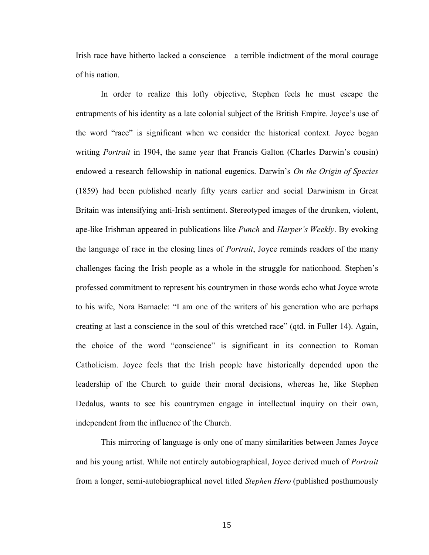Irish race have hitherto lacked a conscience—a terrible indictment of the moral courage of his nation.

In order to realize this lofty objective, Stephen feels he must escape the entrapments of his identity as a late colonial subject of the British Empire. Joyce's use of the word "race" is significant when we consider the historical context. Joyce began writing *Portrait* in 1904, the same year that Francis Galton (Charles Darwin's cousin) endowed a research fellowship in national eugenics. Darwin's *On the Origin of Species* (1859) had been published nearly fifty years earlier and social Darwinism in Great Britain was intensifying anti-Irish sentiment. Stereotyped images of the drunken, violent, ape-like Irishman appeared in publications like *Punch* and *Harper's Weekly*. By evoking the language of race in the closing lines of *Portrait*, Joyce reminds readers of the many challenges facing the Irish people as a whole in the struggle for nationhood. Stephen's professed commitment to represent his countrymen in those words echo what Joyce wrote to his wife, Nora Barnacle: "I am one of the writers of his generation who are perhaps creating at last a conscience in the soul of this wretched race" (qtd. in Fuller 14). Again, the choice of the word "conscience" is significant in its connection to Roman Catholicism. Joyce feels that the Irish people have historically depended upon the leadership of the Church to guide their moral decisions, whereas he, like Stephen Dedalus, wants to see his countrymen engage in intellectual inquiry on their own, independent from the influence of the Church.

This mirroring of language is only one of many similarities between James Joyce and his young artist. While not entirely autobiographical, Joyce derived much of *Portrait* from a longer, semi-autobiographical novel titled *Stephen Hero* (published posthumously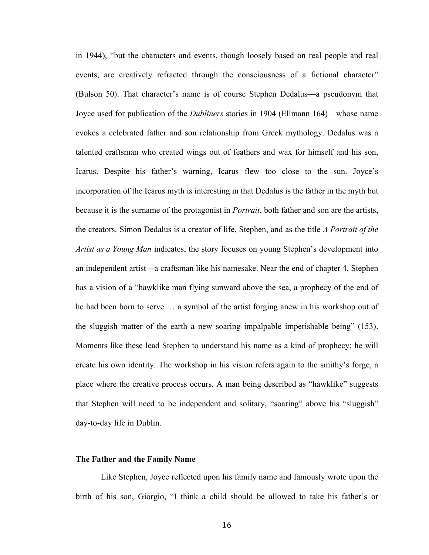in 1944), "but the characters and events, though loosely based on real people and real events, are creatively refracted through the consciousness of a fictional character" (Bulson 50). That character's name is of course Stephen Dedalus—a pseudonym that Joyce used for publication of the *Dubliners* stories in 1904 (Ellmann 164)—whose name evokes a celebrated father and son relationship from Greek mythology. Dedalus was a talented craftsman who created wings out of feathers and wax for himself and his son, Icarus. Despite his father's warning, Icarus flew too close to the sun. Joyce's incorporation of the Icarus myth is interesting in that Dedalus is the father in the myth but because it is the surname of the protagonist in *Portrait*, both father and son are the artists, the creators. Simon Dedalus is a creator of life, Stephen, and as the title *A Portrait of the Artist as a Young Man* indicates, the story focuses on young Stephen's development into an independent artist—a craftsman like his namesake. Near the end of chapter 4, Stephen has a vision of a "hawklike man flying sunward above the sea, a prophecy of the end of he had been born to serve … a symbol of the artist forging anew in his workshop out of the sluggish matter of the earth a new soaring impalpable imperishable being" (153). Moments like these lead Stephen to understand his name as a kind of prophecy; he will create his own identity. The workshop in his vision refers again to the smithy's forge, a place where the creative process occurs. A man being described as "hawklike" suggests that Stephen will need to be independent and solitary, "soaring" above his "sluggish" day-to-day life in Dublin.

### **The Father and the Family Name**

Like Stephen, Joyce reflected upon his family name and famously wrote upon the birth of his son, Giorgio, "I think a child should be allowed to take his father's or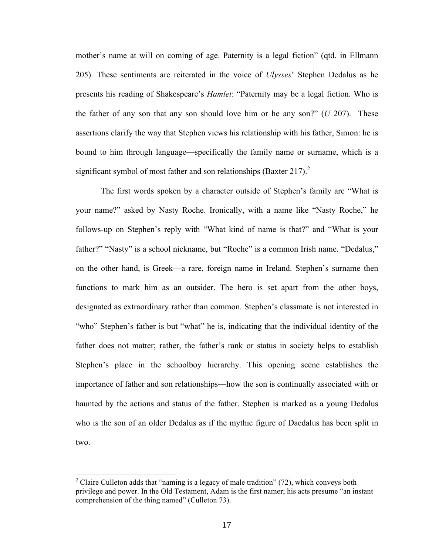mother's name at will on coming of age. Paternity is a legal fiction" (qtd. in Ellmann 205). These sentiments are reiterated in the voice of *Ulysses*' Stephen Dedalus as he presents his reading of Shakespeare's *Hamlet*: "Paternity may be a legal fiction. Who is the father of any son that any son should love him or he any son?" (*U* 207). These assertions clarify the way that Stephen views his relationship with his father, Simon: he is bound to him through language—specifically the family name or surname, which is a significant symbol of most father and son relationships (Baxter 217). $^{2}$ 

The first words spoken by a character outside of Stephen's family are "What is your name?" asked by Nasty Roche. Ironically, with a name like "Nasty Roche," he follows-up on Stephen's reply with "What kind of name is that?" and "What is your father?" "Nasty" is a school nickname, but "Roche" is a common Irish name. "Dedalus," on the other hand, is Greek—a rare, foreign name in Ireland. Stephen's surname then functions to mark him as an outsider. The hero is set apart from the other boys, designated as extraordinary rather than common. Stephen's classmate is not interested in "who" Stephen's father is but "what" he is, indicating that the individual identity of the father does not matter; rather, the father's rank or status in society helps to establish Stephen's place in the schoolboy hierarchy. This opening scene establishes the importance of father and son relationships—how the son is continually associated with or haunted by the actions and status of the father. Stephen is marked as a young Dedalus who is the son of an older Dedalus as if the mythic figure of Daedalus has been split in two.

 

<sup>&</sup>lt;sup>2</sup> Claire Culleton adds that "naming is a legacy of male tradition" (72), which conveys both privilege and power. In the Old Testament, Adam is the first namer; his acts presume "an instant comprehension of the thing named" (Culleton 73).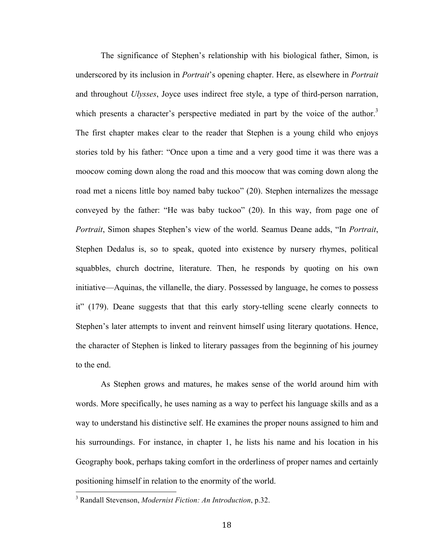The significance of Stephen's relationship with his biological father, Simon, is underscored by its inclusion in *Portrait*'s opening chapter. Here, as elsewhere in *Portrait* and throughout *Ulysses*, Joyce uses indirect free style, a type of third-person narration, which presents a character's perspective mediated in part by the voice of the author.<sup>3</sup> The first chapter makes clear to the reader that Stephen is a young child who enjoys stories told by his father: "Once upon a time and a very good time it was there was a moocow coming down along the road and this moocow that was coming down along the road met a nicens little boy named baby tuckoo" (20). Stephen internalizes the message conveyed by the father: "He was baby tuckoo" (20). In this way, from page one of *Portrait*, Simon shapes Stephen's view of the world. Seamus Deane adds, "In *Portrait*, Stephen Dedalus is, so to speak, quoted into existence by nursery rhymes, political squabbles, church doctrine, literature. Then, he responds by quoting on his own initiative—Aquinas, the villanelle, the diary. Possessed by language, he comes to possess it" (179). Deane suggests that that this early story-telling scene clearly connects to Stephen's later attempts to invent and reinvent himself using literary quotations. Hence, the character of Stephen is linked to literary passages from the beginning of his journey to the end.

As Stephen grows and matures, he makes sense of the world around him with words. More specifically, he uses naming as a way to perfect his language skills and as a way to understand his distinctive self. He examines the proper nouns assigned to him and his surroundings. For instance, in chapter 1, he lists his name and his location in his Geography book, perhaps taking comfort in the orderliness of proper names and certainly positioning himself in relation to the enormity of the world.

 <sup>3</sup> Randall Stevenson, *Modernist Fiction: An Introduction*, p.32.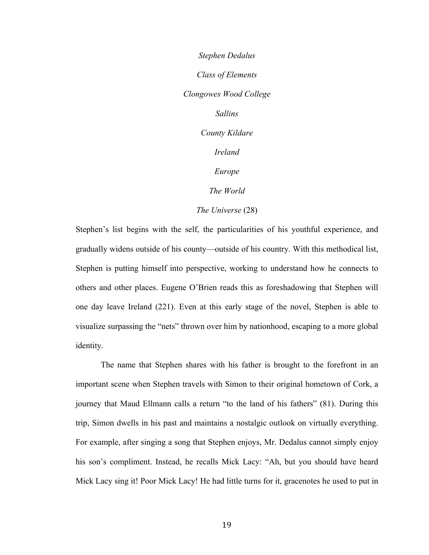*Stephen Dedalus Class of Elements Clongowes Wood College Sallins County Kildare Ireland Europe The World The Universe* (28)

Stephen's list begins with the self, the particularities of his youthful experience, and gradually widens outside of his county—outside of his country. With this methodical list, Stephen is putting himself into perspective, working to understand how he connects to others and other places. Eugene O'Brien reads this as foreshadowing that Stephen will one day leave Ireland (221). Even at this early stage of the novel, Stephen is able to visualize surpassing the "nets" thrown over him by nationhood, escaping to a more global identity.

The name that Stephen shares with his father is brought to the forefront in an important scene when Stephen travels with Simon to their original hometown of Cork, a journey that Maud Ellmann calls a return "to the land of his fathers" (81). During this trip, Simon dwells in his past and maintains a nostalgic outlook on virtually everything. For example, after singing a song that Stephen enjoys, Mr. Dedalus cannot simply enjoy his son's compliment. Instead, he recalls Mick Lacy: "Ah, but you should have heard Mick Lacy sing it! Poor Mick Lacy! He had little turns for it, gracenotes he used to put in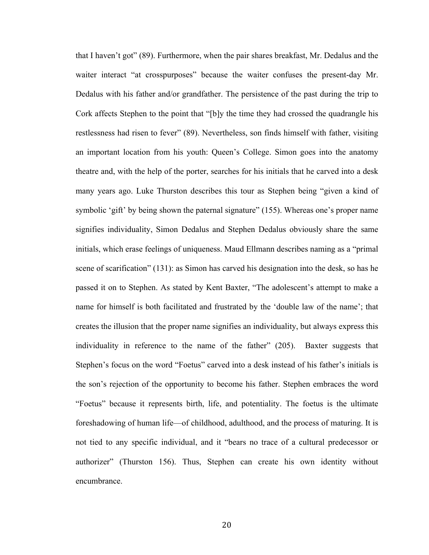that I haven't got" (89). Furthermore, when the pair shares breakfast, Mr. Dedalus and the waiter interact "at crosspurposes" because the waiter confuses the present-day Mr. Dedalus with his father and/or grandfather. The persistence of the past during the trip to Cork affects Stephen to the point that "[b]y the time they had crossed the quadrangle his restlessness had risen to fever" (89). Nevertheless, son finds himself with father, visiting an important location from his youth: Queen's College. Simon goes into the anatomy theatre and, with the help of the porter, searches for his initials that he carved into a desk many years ago. Luke Thurston describes this tour as Stephen being "given a kind of symbolic 'gift' by being shown the paternal signature" (155). Whereas one's proper name signifies individuality, Simon Dedalus and Stephen Dedalus obviously share the same initials, which erase feelings of uniqueness. Maud Ellmann describes naming as a "primal scene of scarification" (131): as Simon has carved his designation into the desk, so has he passed it on to Stephen. As stated by Kent Baxter, "The adolescent's attempt to make a name for himself is both facilitated and frustrated by the 'double law of the name'; that creates the illusion that the proper name signifies an individuality, but always express this individuality in reference to the name of the father" (205). Baxter suggests that Stephen's focus on the word "Foetus" carved into a desk instead of his father's initials is the son's rejection of the opportunity to become his father. Stephen embraces the word "Foetus" because it represents birth, life, and potentiality. The foetus is the ultimate foreshadowing of human life—of childhood, adulthood, and the process of maturing. It is not tied to any specific individual, and it "bears no trace of a cultural predecessor or authorizer" (Thurston 156). Thus, Stephen can create his own identity without encumbrance.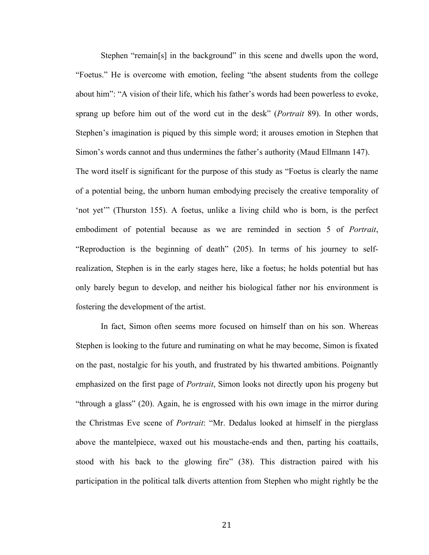Stephen "remain[s] in the background" in this scene and dwells upon the word, "Foetus." He is overcome with emotion, feeling "the absent students from the college about him": "A vision of their life, which his father's words had been powerless to evoke, sprang up before him out of the word cut in the desk" (*Portrait* 89). In other words, Stephen's imagination is piqued by this simple word; it arouses emotion in Stephen that Simon's words cannot and thus undermines the father's authority (Maud Ellmann 147).

The word itself is significant for the purpose of this study as "Foetus is clearly the name of a potential being, the unborn human embodying precisely the creative temporality of 'not yet'" (Thurston 155). A foetus, unlike a living child who is born, is the perfect embodiment of potential because as we are reminded in section 5 of *Portrait*, "Reproduction is the beginning of death" (205). In terms of his journey to selfrealization, Stephen is in the early stages here, like a foetus; he holds potential but has only barely begun to develop, and neither his biological father nor his environment is fostering the development of the artist.

In fact, Simon often seems more focused on himself than on his son. Whereas Stephen is looking to the future and ruminating on what he may become, Simon is fixated on the past, nostalgic for his youth, and frustrated by his thwarted ambitions. Poignantly emphasized on the first page of *Portrait*, Simon looks not directly upon his progeny but "through a glass" (20). Again, he is engrossed with his own image in the mirror during the Christmas Eve scene of *Portrait*: "Mr. Dedalus looked at himself in the pierglass above the mantelpiece, waxed out his moustache-ends and then, parting his coattails, stood with his back to the glowing fire" (38). This distraction paired with his participation in the political talk diverts attention from Stephen who might rightly be the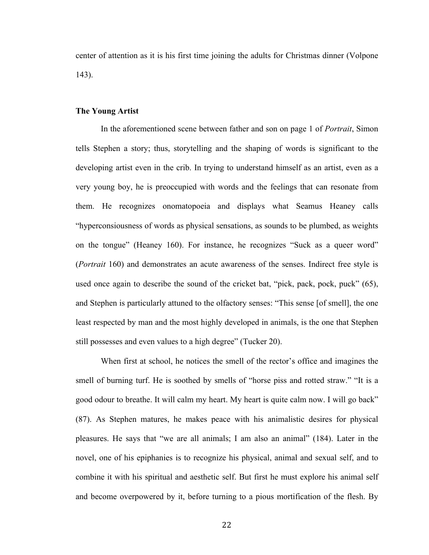center of attention as it is his first time joining the adults for Christmas dinner (Volpone 143).

# **The Young Artist**

In the aforementioned scene between father and son on page 1 of *Portrait*, Simon tells Stephen a story; thus, storytelling and the shaping of words is significant to the developing artist even in the crib. In trying to understand himself as an artist, even as a very young boy, he is preoccupied with words and the feelings that can resonate from them. He recognizes onomatopoeia and displays what Seamus Heaney calls "hyperconsiousness of words as physical sensations, as sounds to be plumbed, as weights on the tongue" (Heaney 160). For instance, he recognizes "Suck as a queer word" (*Portrait* 160) and demonstrates an acute awareness of the senses. Indirect free style is used once again to describe the sound of the cricket bat, "pick, pack, pock, puck" (65), and Stephen is particularly attuned to the olfactory senses: "This sense [of smell], the one least respected by man and the most highly developed in animals, is the one that Stephen still possesses and even values to a high degree" (Tucker 20).

When first at school, he notices the smell of the rector's office and imagines the smell of burning turf. He is soothed by smells of "horse piss and rotted straw." "It is a good odour to breathe. It will calm my heart. My heart is quite calm now. I will go back" (87). As Stephen matures, he makes peace with his animalistic desires for physical pleasures. He says that "we are all animals; I am also an animal" (184). Later in the novel, one of his epiphanies is to recognize his physical, animal and sexual self, and to combine it with his spiritual and aesthetic self. But first he must explore his animal self and become overpowered by it, before turning to a pious mortification of the flesh. By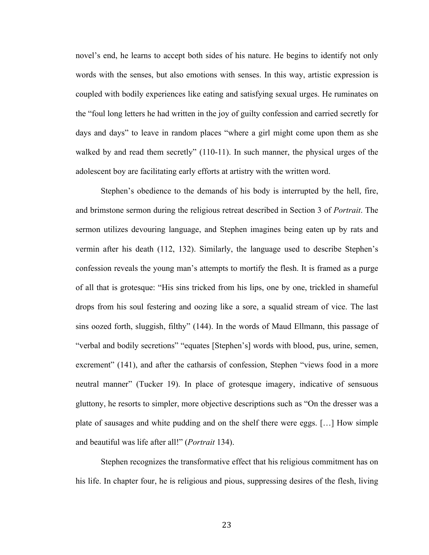novel's end, he learns to accept both sides of his nature. He begins to identify not only words with the senses, but also emotions with senses. In this way, artistic expression is coupled with bodily experiences like eating and satisfying sexual urges. He ruminates on the "foul long letters he had written in the joy of guilty confession and carried secretly for days and days" to leave in random places "where a girl might come upon them as she walked by and read them secretly" (110-11). In such manner, the physical urges of the adolescent boy are facilitating early efforts at artistry with the written word.

Stephen's obedience to the demands of his body is interrupted by the hell, fire, and brimstone sermon during the religious retreat described in Section 3 of *Portrait*. The sermon utilizes devouring language, and Stephen imagines being eaten up by rats and vermin after his death (112, 132). Similarly, the language used to describe Stephen's confession reveals the young man's attempts to mortify the flesh. It is framed as a purge of all that is grotesque: "His sins tricked from his lips, one by one, trickled in shameful drops from his soul festering and oozing like a sore, a squalid stream of vice. The last sins oozed forth, sluggish, filthy" (144). In the words of Maud Ellmann, this passage of "verbal and bodily secretions" "equates [Stephen's] words with blood, pus, urine, semen, excrement" (141), and after the catharsis of confession, Stephen "views food in a more neutral manner" (Tucker 19). In place of grotesque imagery, indicative of sensuous gluttony, he resorts to simpler, more objective descriptions such as "On the dresser was a plate of sausages and white pudding and on the shelf there were eggs. […] How simple and beautiful was life after all!" (*Portrait* 134).

Stephen recognizes the transformative effect that his religious commitment has on his life. In chapter four, he is religious and pious, suppressing desires of the flesh, living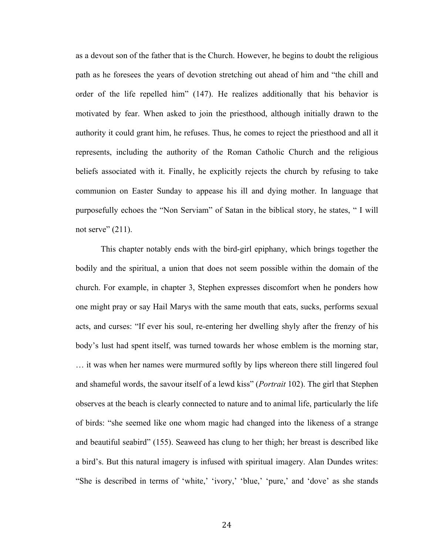as a devout son of the father that is the Church. However, he begins to doubt the religious path as he foresees the years of devotion stretching out ahead of him and "the chill and order of the life repelled him" (147). He realizes additionally that his behavior is motivated by fear. When asked to join the priesthood, although initially drawn to the authority it could grant him, he refuses. Thus, he comes to reject the priesthood and all it represents, including the authority of the Roman Catholic Church and the religious beliefs associated with it. Finally, he explicitly rejects the church by refusing to take communion on Easter Sunday to appease his ill and dying mother. In language that purposefully echoes the "Non Serviam" of Satan in the biblical story, he states, " I will not serve"  $(211)$ .

This chapter notably ends with the bird-girl epiphany, which brings together the bodily and the spiritual, a union that does not seem possible within the domain of the church. For example, in chapter 3, Stephen expresses discomfort when he ponders how one might pray or say Hail Marys with the same mouth that eats, sucks, performs sexual acts, and curses: "If ever his soul, re-entering her dwelling shyly after the frenzy of his body's lust had spent itself, was turned towards her whose emblem is the morning star, … it was when her names were murmured softly by lips whereon there still lingered foul and shameful words, the savour itself of a lewd kiss" (*Portrait* 102). The girl that Stephen observes at the beach is clearly connected to nature and to animal life, particularly the life of birds: "she seemed like one whom magic had changed into the likeness of a strange and beautiful seabird" (155). Seaweed has clung to her thigh; her breast is described like a bird's. But this natural imagery is infused with spiritual imagery. Alan Dundes writes: "She is described in terms of 'white,' 'ivory,' 'blue,' 'pure,' and 'dove' as she stands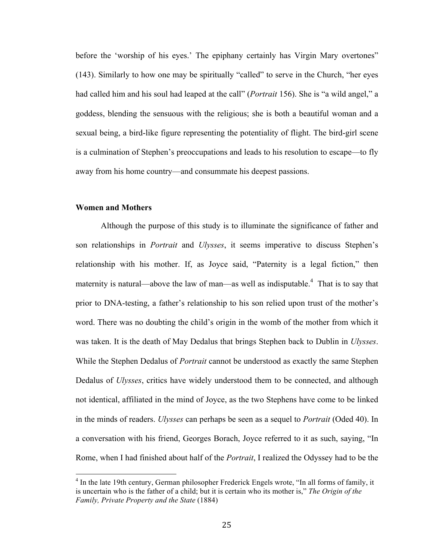before the 'worship of his eyes.' The epiphany certainly has Virgin Mary overtones" (143). Similarly to how one may be spiritually "called" to serve in the Church, "her eyes had called him and his soul had leaped at the call" (*Portrait* 156). She is "a wild angel," a goddess, blending the sensuous with the religious; she is both a beautiful woman and a sexual being, a bird-like figure representing the potentiality of flight. The bird-girl scene is a culmination of Stephen's preoccupations and leads to his resolution to escape—to fly away from his home country—and consummate his deepest passions.

### **Women and Mothers**

 

Although the purpose of this study is to illuminate the significance of father and son relationships in *Portrait* and *Ulysses*, it seems imperative to discuss Stephen's relationship with his mother. If, as Joyce said, "Paternity is a legal fiction," then maternity is natural—above the law of man—as well as indisputable.<sup>4</sup> That is to say that prior to DNA-testing, a father's relationship to his son relied upon trust of the mother's word. There was no doubting the child's origin in the womb of the mother from which it was taken. It is the death of May Dedalus that brings Stephen back to Dublin in *Ulysses*. While the Stephen Dedalus of *Portrait* cannot be understood as exactly the same Stephen Dedalus of *Ulysses*, critics have widely understood them to be connected, and although not identical, affiliated in the mind of Joyce, as the two Stephens have come to be linked in the minds of readers. *Ulysses* can perhaps be seen as a sequel to *Portrait* (Oded 40). In a conversation with his friend, Georges Borach, Joyce referred to it as such, saying, "In Rome, when I had finished about half of the *Portrait*, I realized the Odyssey had to be the

<sup>&</sup>lt;sup>4</sup> In the late 19th century, German philosopher Frederick Engels wrote, "In all forms of family, it is uncertain who is the father of a child; but it is certain who its mother is," *The Origin of the Family, Private Property and the State* (1884)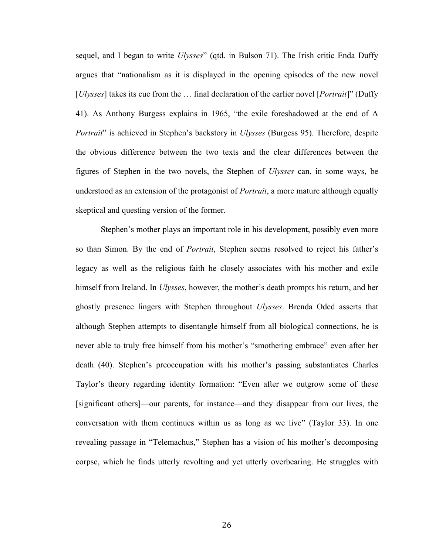sequel, and I began to write *Ulysses*" (qtd. in Bulson 71). The Irish critic Enda Duffy argues that "nationalism as it is displayed in the opening episodes of the new novel [*Ulysses*] takes its cue from the … final declaration of the earlier novel [*Portrait*]" (Duffy 41). As Anthony Burgess explains in 1965, "the exile foreshadowed at the end of A *Portrait*" is achieved in Stephen's backstory in *Ulysses* (Burgess 95). Therefore, despite the obvious difference between the two texts and the clear differences between the figures of Stephen in the two novels, the Stephen of *Ulysses* can, in some ways, be understood as an extension of the protagonist of *Portrait*, a more mature although equally skeptical and questing version of the former.

Stephen's mother plays an important role in his development, possibly even more so than Simon. By the end of *Portrait*, Stephen seems resolved to reject his father's legacy as well as the religious faith he closely associates with his mother and exile himself from Ireland. In *Ulysses*, however, the mother's death prompts his return, and her ghostly presence lingers with Stephen throughout *Ulysses*. Brenda Oded asserts that although Stephen attempts to disentangle himself from all biological connections, he is never able to truly free himself from his mother's "smothering embrace" even after her death (40). Stephen's preoccupation with his mother's passing substantiates Charles Taylor's theory regarding identity formation: "Even after we outgrow some of these [significant others]—our parents, for instance—and they disappear from our lives, the conversation with them continues within us as long as we live" (Taylor 33). In one revealing passage in "Telemachus," Stephen has a vision of his mother's decomposing corpse, which he finds utterly revolting and yet utterly overbearing. He struggles with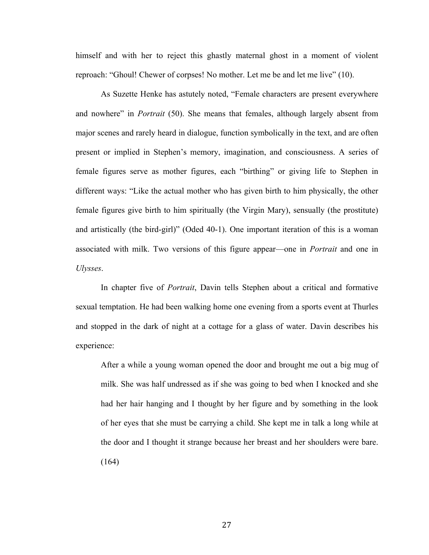himself and with her to reject this ghastly maternal ghost in a moment of violent reproach: "Ghoul! Chewer of corpses! No mother. Let me be and let me live" (10).

As Suzette Henke has astutely noted, "Female characters are present everywhere and nowhere" in *Portrait* (50). She means that females, although largely absent from major scenes and rarely heard in dialogue, function symbolically in the text, and are often present or implied in Stephen's memory, imagination, and consciousness. A series of female figures serve as mother figures, each "birthing" or giving life to Stephen in different ways: "Like the actual mother who has given birth to him physically, the other female figures give birth to him spiritually (the Virgin Mary), sensually (the prostitute) and artistically (the bird-girl)" (Oded 40-1). One important iteration of this is a woman associated with milk. Two versions of this figure appear—one in *Portrait* and one in *Ulysses*.

In chapter five of *Portrait*, Davin tells Stephen about a critical and formative sexual temptation. He had been walking home one evening from a sports event at Thurles and stopped in the dark of night at a cottage for a glass of water. Davin describes his experience:

After a while a young woman opened the door and brought me out a big mug of milk. She was half undressed as if she was going to bed when I knocked and she had her hair hanging and I thought by her figure and by something in the look of her eyes that she must be carrying a child. She kept me in talk a long while at the door and I thought it strange because her breast and her shoulders were bare. (164)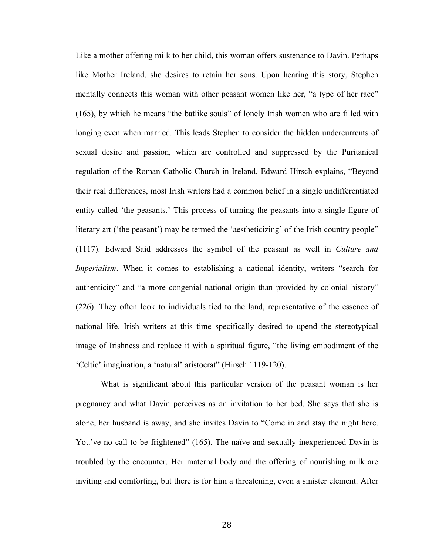Like a mother offering milk to her child, this woman offers sustenance to Davin. Perhaps like Mother Ireland, she desires to retain her sons. Upon hearing this story, Stephen mentally connects this woman with other peasant women like her, "a type of her race" (165), by which he means "the batlike souls" of lonely Irish women who are filled with longing even when married. This leads Stephen to consider the hidden undercurrents of sexual desire and passion, which are controlled and suppressed by the Puritanical regulation of the Roman Catholic Church in Ireland. Edward Hirsch explains, "Beyond their real differences, most Irish writers had a common belief in a single undifferentiated entity called 'the peasants.' This process of turning the peasants into a single figure of literary art ('the peasant') may be termed the 'aestheticizing' of the Irish country people" (1117). Edward Said addresses the symbol of the peasant as well in *Culture and Imperialism*. When it comes to establishing a national identity, writers "search for authenticity" and "a more congenial national origin than provided by colonial history" (226). They often look to individuals tied to the land, representative of the essence of national life. Irish writers at this time specifically desired to upend the stereotypical image of Irishness and replace it with a spiritual figure, "the living embodiment of the 'Celtic' imagination, a 'natural' aristocrat" (Hirsch 1119-120).

What is significant about this particular version of the peasant woman is her pregnancy and what Davin perceives as an invitation to her bed. She says that she is alone, her husband is away, and she invites Davin to "Come in and stay the night here. You've no call to be frightened" (165). The naïve and sexually inexperienced Davin is troubled by the encounter. Her maternal body and the offering of nourishing milk are inviting and comforting, but there is for him a threatening, even a sinister element. After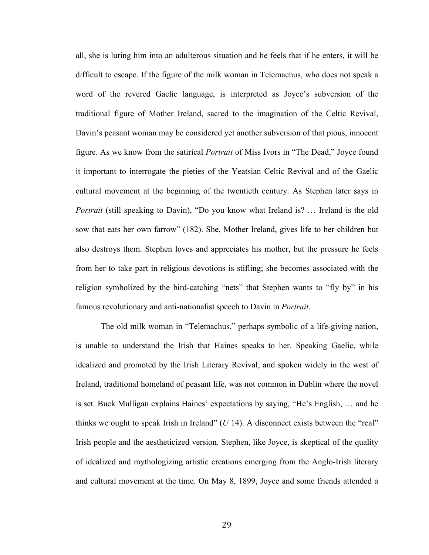all, she is luring him into an adulterous situation and he feels that if he enters, it will be difficult to escape. If the figure of the milk woman in Telemachus, who does not speak a word of the revered Gaelic language, is interpreted as Joyce's subversion of the traditional figure of Mother Ireland, sacred to the imagination of the Celtic Revival, Davin's peasant woman may be considered yet another subversion of that pious, innocent figure. As we know from the satirical *Portrait* of Miss Ivors in "The Dead," Joyce found it important to interrogate the pieties of the Yeatsian Celtic Revival and of the Gaelic cultural movement at the beginning of the twentieth century. As Stephen later says in *Portrait* (still speaking to Davin), "Do you know what Ireland is? ... Ireland is the old sow that eats her own farrow" (182). She, Mother Ireland, gives life to her children but also destroys them. Stephen loves and appreciates his mother, but the pressure he feels from her to take part in religious devotions is stifling; she becomes associated with the religion symbolized by the bird-catching "nets" that Stephen wants to "fly by" in his famous revolutionary and anti-nationalist speech to Davin in *Portrait*.

The old milk woman in "Telemachus," perhaps symbolic of a life-giving nation, is unable to understand the Irish that Haines speaks to her. Speaking Gaelic, while idealized and promoted by the Irish Literary Revival, and spoken widely in the west of Ireland, traditional homeland of peasant life, was not common in Dublin where the novel is set. Buck Mulligan explains Haines' expectations by saying, "He's English, … and he thinks we ought to speak Irish in Ireland" (*U* 14). A disconnect exists between the "real" Irish people and the aestheticized version. Stephen, like Joyce, is skeptical of the quality of idealized and mythologizing artistic creations emerging from the Anglo-Irish literary and cultural movement at the time. On May 8, 1899, Joyce and some friends attended a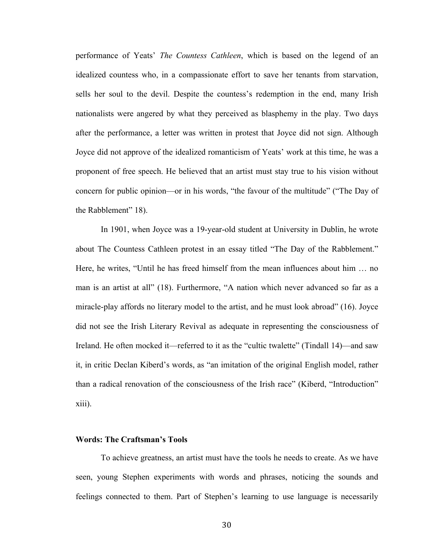performance of Yeats' *The Countess Cathleen*, which is based on the legend of an idealized countess who, in a compassionate effort to save her tenants from starvation, sells her soul to the devil. Despite the countess's redemption in the end, many Irish nationalists were angered by what they perceived as blasphemy in the play. Two days after the performance, a letter was written in protest that Joyce did not sign. Although Joyce did not approve of the idealized romanticism of Yeats' work at this time, he was a proponent of free speech. He believed that an artist must stay true to his vision without concern for public opinion—or in his words, "the favour of the multitude" ("The Day of the Rabblement" 18).

In 1901, when Joyce was a 19-year-old student at University in Dublin, he wrote about The Countess Cathleen protest in an essay titled "The Day of the Rabblement." Here, he writes, "Until he has freed himself from the mean influences about him … no man is an artist at all" (18). Furthermore, "A nation which never advanced so far as a miracle-play affords no literary model to the artist, and he must look abroad" (16). Joyce did not see the Irish Literary Revival as adequate in representing the consciousness of Ireland. He often mocked it—referred to it as the "cultic twalette" (Tindall 14)—and saw it, in critic Declan Kiberd's words, as "an imitation of the original English model, rather than a radical renovation of the consciousness of the Irish race" (Kiberd, "Introduction" xiii).

## **Words: The Craftsman's Tools**

To achieve greatness, an artist must have the tools he needs to create. As we have seen, young Stephen experiments with words and phrases, noticing the sounds and feelings connected to them. Part of Stephen's learning to use language is necessarily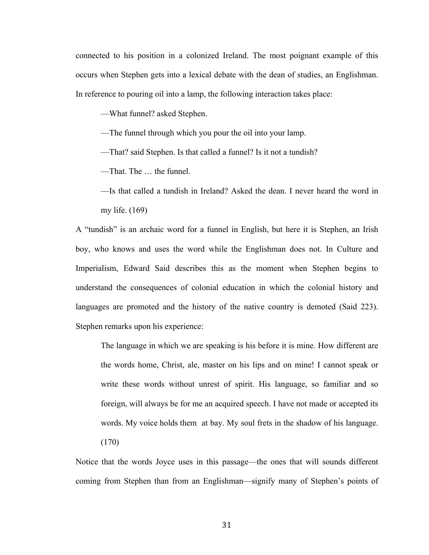connected to his position in a colonized Ireland. The most poignant example of this occurs when Stephen gets into a lexical debate with the dean of studies, an Englishman. In reference to pouring oil into a lamp, the following interaction takes place:

––What funnel? asked Stephen.

––The funnel through which you pour the oil into your lamp.

––That? said Stephen. Is that called a funnel? Is it not a tundish?

––That. The … the funnel.

––Is that called a tundish in Ireland? Asked the dean. I never heard the word in my life. (169)

A "tundish" is an archaic word for a funnel in English, but here it is Stephen, an Irish boy, who knows and uses the word while the Englishman does not. In Culture and Imperialism, Edward Said describes this as the moment when Stephen begins to understand the consequences of colonial education in which the colonial history and languages are promoted and the history of the native country is demoted (Said 223). Stephen remarks upon his experience:

The language in which we are speaking is his before it is mine. How different are the words home, Christ, ale, master on his lips and on mine! I cannot speak or write these words without unrest of spirit. His language, so familiar and so foreign, will always be for me an acquired speech. I have not made or accepted its words. My voice holds them at bay. My soul frets in the shadow of his language. (170)

Notice that the words Joyce uses in this passage—the ones that will sounds different coming from Stephen than from an Englishman—signify many of Stephen's points of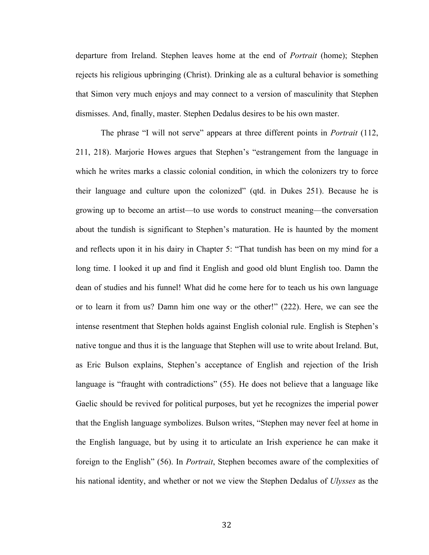departure from Ireland. Stephen leaves home at the end of *Portrait* (home); Stephen rejects his religious upbringing (Christ). Drinking ale as a cultural behavior is something that Simon very much enjoys and may connect to a version of masculinity that Stephen dismisses. And, finally, master. Stephen Dedalus desires to be his own master.

The phrase "I will not serve" appears at three different points in *Portrait* (112, 211, 218). Marjorie Howes argues that Stephen's "estrangement from the language in which he writes marks a classic colonial condition, in which the colonizers try to force their language and culture upon the colonized" (qtd. in Dukes 251). Because he is growing up to become an artist—to use words to construct meaning—the conversation about the tundish is significant to Stephen's maturation. He is haunted by the moment and reflects upon it in his dairy in Chapter 5: "That tundish has been on my mind for a long time. I looked it up and find it English and good old blunt English too. Damn the dean of studies and his funnel! What did he come here for to teach us his own language or to learn it from us? Damn him one way or the other!" (222). Here, we can see the intense resentment that Stephen holds against English colonial rule. English is Stephen's native tongue and thus it is the language that Stephen will use to write about Ireland. But, as Eric Bulson explains, Stephen's acceptance of English and rejection of the Irish language is "fraught with contradictions" (55). He does not believe that a language like Gaelic should be revived for political purposes, but yet he recognizes the imperial power that the English language symbolizes. Bulson writes, "Stephen may never feel at home in the English language, but by using it to articulate an Irish experience he can make it foreign to the English" (56). In *Portrait*, Stephen becomes aware of the complexities of his national identity, and whether or not we view the Stephen Dedalus of *Ulysses* as the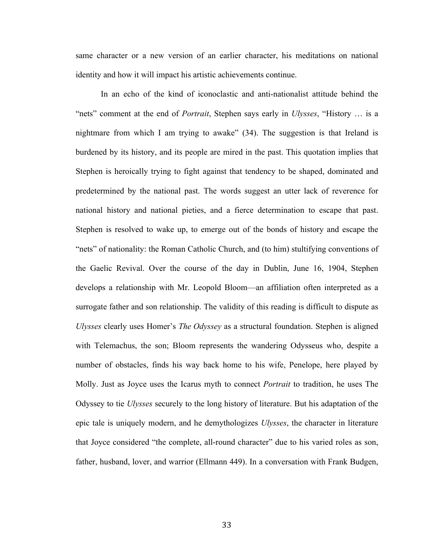same character or a new version of an earlier character, his meditations on national identity and how it will impact his artistic achievements continue.

In an echo of the kind of iconoclastic and anti-nationalist attitude behind the "nets" comment at the end of *Portrait*, Stephen says early in *Ulysses*, "History … is a nightmare from which I am trying to awake" (34). The suggestion is that Ireland is burdened by its history, and its people are mired in the past. This quotation implies that Stephen is heroically trying to fight against that tendency to be shaped, dominated and predetermined by the national past. The words suggest an utter lack of reverence for national history and national pieties, and a fierce determination to escape that past. Stephen is resolved to wake up, to emerge out of the bonds of history and escape the "nets" of nationality: the Roman Catholic Church, and (to him) stultifying conventions of the Gaelic Revival. Over the course of the day in Dublin, June 16, 1904, Stephen develops a relationship with Mr. Leopold Bloom—an affiliation often interpreted as a surrogate father and son relationship. The validity of this reading is difficult to dispute as *Ulysses* clearly uses Homer's *The Odyssey* as a structural foundation. Stephen is aligned with Telemachus, the son; Bloom represents the wandering Odysseus who, despite a number of obstacles, finds his way back home to his wife, Penelope, here played by Molly. Just as Joyce uses the Icarus myth to connect *Portrait* to tradition, he uses The Odyssey to tie *Ulysses* securely to the long history of literature. But his adaptation of the epic tale is uniquely modern, and he demythologizes *Ulysses*, the character in literature that Joyce considered "the complete, all-round character" due to his varied roles as son, father, husband, lover, and warrior (Ellmann 449). In a conversation with Frank Budgen,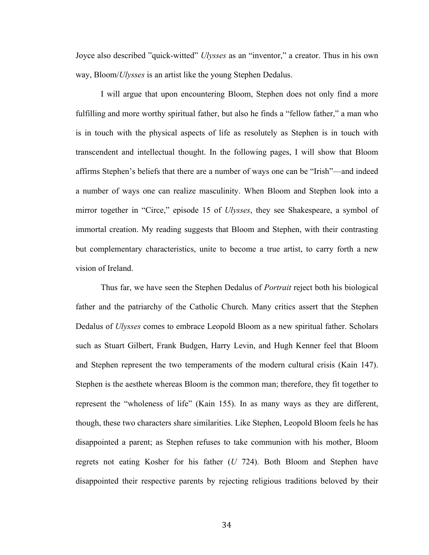Joyce also described "quick-witted" *Ulysses* as an "inventor," a creator. Thus in his own way, Bloom/*Ulysses* is an artist like the young Stephen Dedalus.

I will argue that upon encountering Bloom, Stephen does not only find a more fulfilling and more worthy spiritual father, but also he finds a "fellow father," a man who is in touch with the physical aspects of life as resolutely as Stephen is in touch with transcendent and intellectual thought. In the following pages, I will show that Bloom affirms Stephen's beliefs that there are a number of ways one can be "Irish"—and indeed a number of ways one can realize masculinity. When Bloom and Stephen look into a mirror together in "Circe," episode 15 of *Ulysses*, they see Shakespeare, a symbol of immortal creation. My reading suggests that Bloom and Stephen, with their contrasting but complementary characteristics, unite to become a true artist, to carry forth a new vision of Ireland.

Thus far, we have seen the Stephen Dedalus of *Portrait* reject both his biological father and the patriarchy of the Catholic Church. Many critics assert that the Stephen Dedalus of *Ulysses* comes to embrace Leopold Bloom as a new spiritual father. Scholars such as Stuart Gilbert, Frank Budgen, Harry Levin, and Hugh Kenner feel that Bloom and Stephen represent the two temperaments of the modern cultural crisis (Kain 147). Stephen is the aesthete whereas Bloom is the common man; therefore, they fit together to represent the "wholeness of life" (Kain 155). In as many ways as they are different, though, these two characters share similarities. Like Stephen, Leopold Bloom feels he has disappointed a parent; as Stephen refuses to take communion with his mother, Bloom regrets not eating Kosher for his father (*U* 724). Both Bloom and Stephen have disappointed their respective parents by rejecting religious traditions beloved by their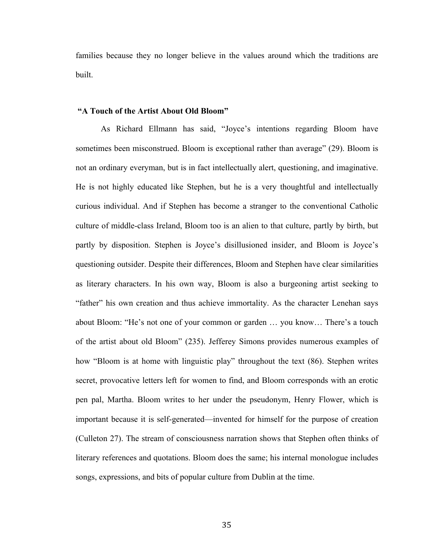families because they no longer believe in the values around which the traditions are built.

#### **"A Touch of the Artist About Old Bloom"**

As Richard Ellmann has said, "Joyce's intentions regarding Bloom have sometimes been misconstrued. Bloom is exceptional rather than average" (29). Bloom is not an ordinary everyman, but is in fact intellectually alert, questioning, and imaginative. He is not highly educated like Stephen, but he is a very thoughtful and intellectually curious individual. And if Stephen has become a stranger to the conventional Catholic culture of middle-class Ireland, Bloom too is an alien to that culture, partly by birth, but partly by disposition. Stephen is Joyce's disillusioned insider, and Bloom is Joyce's questioning outsider. Despite their differences, Bloom and Stephen have clear similarities as literary characters. In his own way, Bloom is also a burgeoning artist seeking to "father" his own creation and thus achieve immortality. As the character Lenehan says about Bloom: "He's not one of your common or garden … you know… There's a touch of the artist about old Bloom" (235). Jefferey Simons provides numerous examples of how "Bloom is at home with linguistic play" throughout the text (86). Stephen writes secret, provocative letters left for women to find, and Bloom corresponds with an erotic pen pal, Martha. Bloom writes to her under the pseudonym, Henry Flower, which is important because it is self-generated—invented for himself for the purpose of creation (Culleton 27). The stream of consciousness narration shows that Stephen often thinks of literary references and quotations. Bloom does the same; his internal monologue includes songs, expressions, and bits of popular culture from Dublin at the time.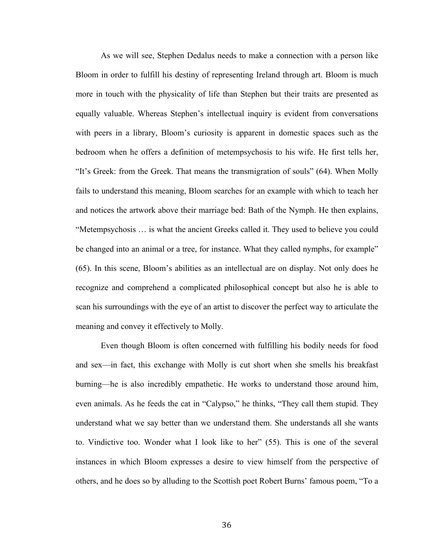As we will see, Stephen Dedalus needs to make a connection with a person like Bloom in order to fulfill his destiny of representing Ireland through art. Bloom is much more in touch with the physicality of life than Stephen but their traits are presented as equally valuable. Whereas Stephen's intellectual inquiry is evident from conversations with peers in a library, Bloom's curiosity is apparent in domestic spaces such as the bedroom when he offers a definition of metempsychosis to his wife. He first tells her, "It's Greek: from the Greek. That means the transmigration of souls" (64). When Molly fails to understand this meaning, Bloom searches for an example with which to teach her and notices the artwork above their marriage bed: Bath of the Nymph. He then explains, "Metempsychosis … is what the ancient Greeks called it. They used to believe you could be changed into an animal or a tree, for instance. What they called nymphs, for example" (65). In this scene, Bloom's abilities as an intellectual are on display. Not only does he recognize and comprehend a complicated philosophical concept but also he is able to scan his surroundings with the eye of an artist to discover the perfect way to articulate the meaning and convey it effectively to Molly.

Even though Bloom is often concerned with fulfilling his bodily needs for food and sex—in fact, this exchange with Molly is cut short when she smells his breakfast burning—he is also incredibly empathetic. He works to understand those around him, even animals. As he feeds the cat in "Calypso," he thinks, "They call them stupid. They understand what we say better than we understand them. She understands all she wants to. Vindictive too. Wonder what I look like to her" (55). This is one of the several instances in which Bloom expresses a desire to view himself from the perspective of others, and he does so by alluding to the Scottish poet Robert Burns' famous poem, "To a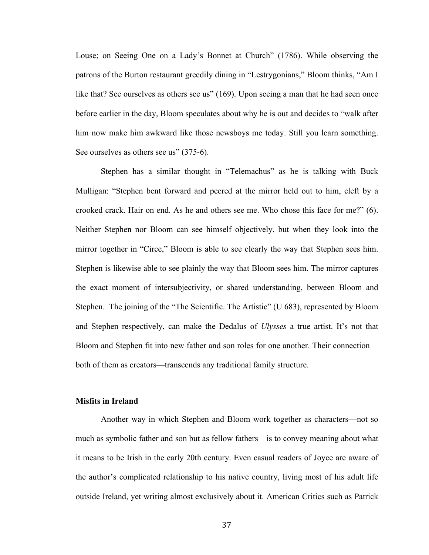Louse; on Seeing One on a Lady's Bonnet at Church" (1786). While observing the patrons of the Burton restaurant greedily dining in "Lestrygonians," Bloom thinks, "Am I like that? See ourselves as others see us" (169). Upon seeing a man that he had seen once before earlier in the day, Bloom speculates about why he is out and decides to "walk after him now make him awkward like those newsboys me today. Still you learn something. See ourselves as others see us" (375-6).

Stephen has a similar thought in "Telemachus" as he is talking with Buck Mulligan: "Stephen bent forward and peered at the mirror held out to him, cleft by a crooked crack. Hair on end. As he and others see me. Who chose this face for me?" (6). Neither Stephen nor Bloom can see himself objectively, but when they look into the mirror together in "Circe," Bloom is able to see clearly the way that Stephen sees him. Stephen is likewise able to see plainly the way that Bloom sees him. The mirror captures the exact moment of intersubjectivity, or shared understanding, between Bloom and Stephen. The joining of the "The Scientific. The Artistic" (U 683), represented by Bloom and Stephen respectively, can make the Dedalus of *Ulysses* a true artist. It's not that Bloom and Stephen fit into new father and son roles for one another. Their connection both of them as creators—transcends any traditional family structure.

# **Misfits in Ireland**

Another way in which Stephen and Bloom work together as characters—not so much as symbolic father and son but as fellow fathers—is to convey meaning about what it means to be Irish in the early 20th century. Even casual readers of Joyce are aware of the author's complicated relationship to his native country, living most of his adult life outside Ireland, yet writing almost exclusively about it. American Critics such as Patrick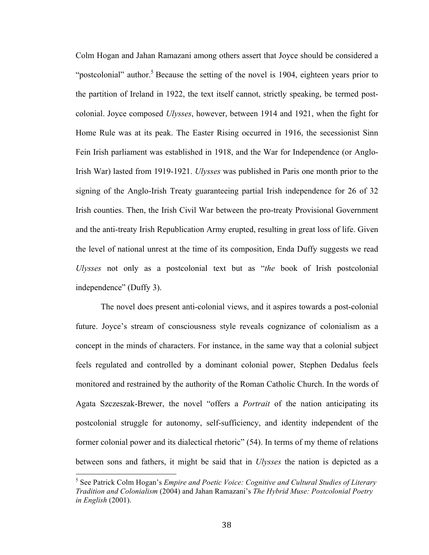Colm Hogan and Jahan Ramazani among others assert that Joyce should be considered a "postcolonial" author.<sup>5</sup> Because the setting of the novel is 1904, eighteen years prior to the partition of Ireland in 1922, the text itself cannot, strictly speaking, be termed postcolonial. Joyce composed *Ulysses*, however, between 1914 and 1921, when the fight for Home Rule was at its peak. The Easter Rising occurred in 1916, the secessionist Sinn Fein Irish parliament was established in 1918, and the War for Independence (or Anglo-Irish War) lasted from 1919-1921. *Ulysses* was published in Paris one month prior to the signing of the Anglo-Irish Treaty guaranteeing partial Irish independence for 26 of 32 Irish counties. Then, the Irish Civil War between the pro-treaty Provisional Government and the anti-treaty Irish Republication Army erupted, resulting in great loss of life. Given the level of national unrest at the time of its composition, Enda Duffy suggests we read *Ulysses* not only as a postcolonial text but as "*the* book of Irish postcolonial independence" (Duffy 3).

The novel does present anti-colonial views, and it aspires towards a post-colonial future. Joyce's stream of consciousness style reveals cognizance of colonialism as a concept in the minds of characters. For instance, in the same way that a colonial subject feels regulated and controlled by a dominant colonial power, Stephen Dedalus feels monitored and restrained by the authority of the Roman Catholic Church. In the words of Agata Szczeszak-Brewer, the novel "offers a *Portrait* of the nation anticipating its postcolonial struggle for autonomy, self-sufficiency, and identity independent of the former colonial power and its dialectical rhetoric" (54). In terms of my theme of relations between sons and fathers, it might be said that in *Ulysses* the nation is depicted as a

<sup>5</sup> See Patrick Colm Hogan's *Empire and Poetic Voice: Cognitive and Cultural Studies of Literary Tradition and Colonialism* (2004) and Jahan Ramazani's *The Hybrid Muse: Postcolonial Poetry in English* (2001).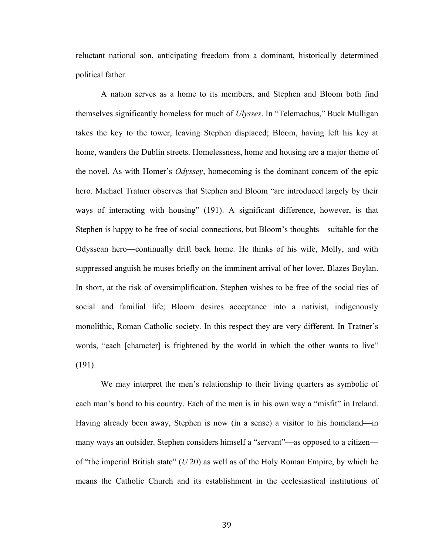reluctant national son, anticipating freedom from a dominant, historically determined political father.

A nation serves as a home to its members, and Stephen and Bloom both find themselves significantly homeless for much of *Ulysses*. In "Telemachus," Buck Mulligan takes the key to the tower, leaving Stephen displaced; Bloom, having left his key at home, wanders the Dublin streets. Homelessness, home and housing are a major theme of the novel. As with Homer's *Odyssey*, homecoming is the dominant concern of the epic hero. Michael Tratner observes that Stephen and Bloom "are introduced largely by their ways of interacting with housing" (191). A significant difference, however, is that Stephen is happy to be free of social connections, but Bloom's thoughts—suitable for the Odyssean hero—continually drift back home. He thinks of his wife, Molly, and with suppressed anguish he muses briefly on the imminent arrival of her lover, Blazes Boylan. In short, at the risk of oversimplification, Stephen wishes to be free of the social ties of social and familial life; Bloom desires acceptance into a nativist, indigenously monolithic, Roman Catholic society. In this respect they are very different. In Tratner's words, "each [character] is frightened by the world in which the other wants to live" (191).

We may interpret the men's relationship to their living quarters as symbolic of each man's bond to his country. Each of the men is in his own way a "misfit" in Ireland. Having already been away, Stephen is now (in a sense) a visitor to his homeland—in many ways an outsider. Stephen considers himself a "servant"—as opposed to a citizen of "the imperial British state" (*U* 20) as well as of the Holy Roman Empire, by which he means the Catholic Church and its establishment in the ecclesiastical institutions of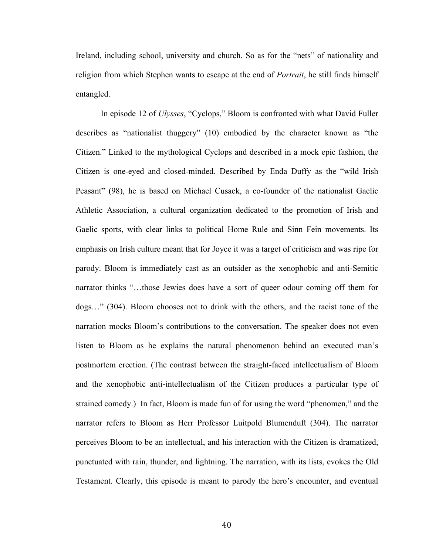Ireland, including school, university and church. So as for the "nets" of nationality and religion from which Stephen wants to escape at the end of *Portrait*, he still finds himself entangled.

In episode 12 of *Ulysses*, "Cyclops," Bloom is confronted with what David Fuller describes as "nationalist thuggery" (10) embodied by the character known as "the Citizen." Linked to the mythological Cyclops and described in a mock epic fashion, the Citizen is one-eyed and closed-minded. Described by Enda Duffy as the "wild Irish Peasant" (98), he is based on Michael Cusack, a co-founder of the nationalist Gaelic Athletic Association, a cultural organization dedicated to the promotion of Irish and Gaelic sports, with clear links to political Home Rule and Sinn Fein movements. Its emphasis on Irish culture meant that for Joyce it was a target of criticism and was ripe for parody. Bloom is immediately cast as an outsider as the xenophobic and anti-Semitic narrator thinks "…those Jewies does have a sort of queer odour coming off them for dogs…" (304). Bloom chooses not to drink with the others, and the racist tone of the narration mocks Bloom's contributions to the conversation. The speaker does not even listen to Bloom as he explains the natural phenomenon behind an executed man's postmortem erection. (The contrast between the straight-faced intellectualism of Bloom and the xenophobic anti-intellectualism of the Citizen produces a particular type of strained comedy.) In fact, Bloom is made fun of for using the word "phenomen," and the narrator refers to Bloom as Herr Professor Luitpold Blumenduft (304). The narrator perceives Bloom to be an intellectual, and his interaction with the Citizen is dramatized, punctuated with rain, thunder, and lightning. The narration, with its lists, evokes the Old Testament. Clearly, this episode is meant to parody the hero's encounter, and eventual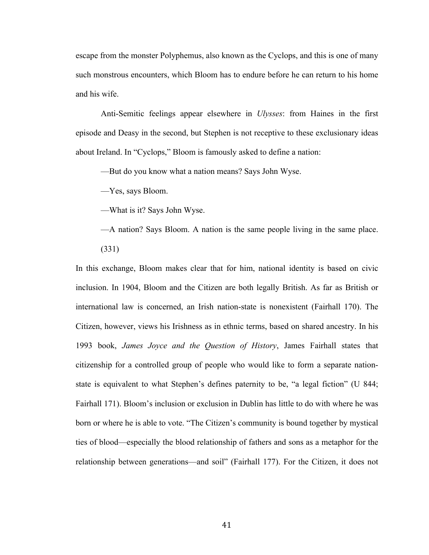escape from the monster Polyphemus, also known as the Cyclops, and this is one of many such monstrous encounters, which Bloom has to endure before he can return to his home and his wife.

Anti-Semitic feelings appear elsewhere in *Ulysses*: from Haines in the first episode and Deasy in the second, but Stephen is not receptive to these exclusionary ideas about Ireland. In "Cyclops," Bloom is famously asked to define a nation:

––But do you know what a nation means? Says John Wyse.

––Yes, says Bloom.

––What is it? Says John Wyse.

––A nation? Says Bloom. A nation is the same people living in the same place. (331)

In this exchange, Bloom makes clear that for him, national identity is based on civic inclusion. In 1904, Bloom and the Citizen are both legally British. As far as British or international law is concerned, an Irish nation-state is nonexistent (Fairhall 170). The Citizen, however, views his Irishness as in ethnic terms, based on shared ancestry. In his 1993 book, *James Joyce and the Question of History*, James Fairhall states that citizenship for a controlled group of people who would like to form a separate nationstate is equivalent to what Stephen's defines paternity to be, "a legal fiction" (U 844; Fairhall 171). Bloom's inclusion or exclusion in Dublin has little to do with where he was born or where he is able to vote. "The Citizen's community is bound together by mystical ties of blood—especially the blood relationship of fathers and sons as a metaphor for the relationship between generations—and soil" (Fairhall 177). For the Citizen, it does not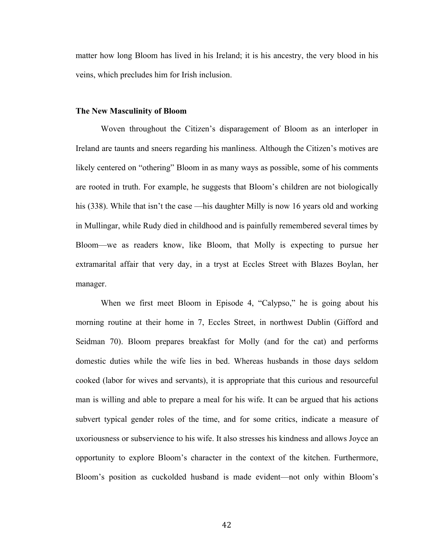matter how long Bloom has lived in his Ireland; it is his ancestry, the very blood in his veins, which precludes him for Irish inclusion.

### **The New Masculinity of Bloom**

Woven throughout the Citizen's disparagement of Bloom as an interloper in Ireland are taunts and sneers regarding his manliness. Although the Citizen's motives are likely centered on "othering" Bloom in as many ways as possible, some of his comments are rooted in truth. For example, he suggests that Bloom's children are not biologically his (338). While that isn't the case —his daughter Milly is now 16 years old and working in Mullingar, while Rudy died in childhood and is painfully remembered several times by Bloom—we as readers know, like Bloom, that Molly is expecting to pursue her extramarital affair that very day, in a tryst at Eccles Street with Blazes Boylan, her manager.

When we first meet Bloom in Episode 4, "Calypso," he is going about his morning routine at their home in 7, Eccles Street, in northwest Dublin (Gifford and Seidman 70). Bloom prepares breakfast for Molly (and for the cat) and performs domestic duties while the wife lies in bed. Whereas husbands in those days seldom cooked (labor for wives and servants), it is appropriate that this curious and resourceful man is willing and able to prepare a meal for his wife. It can be argued that his actions subvert typical gender roles of the time, and for some critics, indicate a measure of uxoriousness or subservience to his wife. It also stresses his kindness and allows Joyce an opportunity to explore Bloom's character in the context of the kitchen. Furthermore, Bloom's position as cuckolded husband is made evident—not only within Bloom's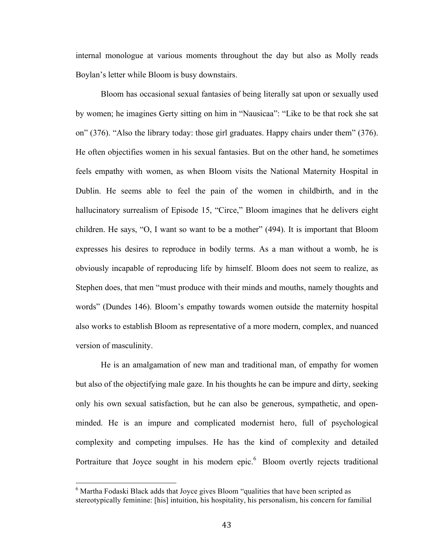internal monologue at various moments throughout the day but also as Molly reads Boylan's letter while Bloom is busy downstairs.

Bloom has occasional sexual fantasies of being literally sat upon or sexually used by women; he imagines Gerty sitting on him in "Nausicaa": "Like to be that rock she sat on" (376). "Also the library today: those girl graduates. Happy chairs under them" (376). He often objectifies women in his sexual fantasies. But on the other hand, he sometimes feels empathy with women, as when Bloom visits the National Maternity Hospital in Dublin. He seems able to feel the pain of the women in childbirth, and in the hallucinatory surrealism of Episode 15, "Circe," Bloom imagines that he delivers eight children. He says, "O, I want so want to be a mother" (494). It is important that Bloom expresses his desires to reproduce in bodily terms. As a man without a womb, he is obviously incapable of reproducing life by himself. Bloom does not seem to realize, as Stephen does, that men "must produce with their minds and mouths, namely thoughts and words" (Dundes 146). Bloom's empathy towards women outside the maternity hospital also works to establish Bloom as representative of a more modern, complex, and nuanced version of masculinity.

He is an amalgamation of new man and traditional man, of empathy for women but also of the objectifying male gaze. In his thoughts he can be impure and dirty, seeking only his own sexual satisfaction, but he can also be generous, sympathetic, and openminded. He is an impure and complicated modernist hero, full of psychological complexity and competing impulses. He has the kind of complexity and detailed Portraiture that Joyce sought in his modern epic.<sup>6</sup> Bloom overtly rejects traditional

 $6$  Martha Fodaski Black adds that Joyce gives Bloom "qualities that have been scripted as stereotypically feminine: [his] intuition, his hospitality, his personalism, his concern for familial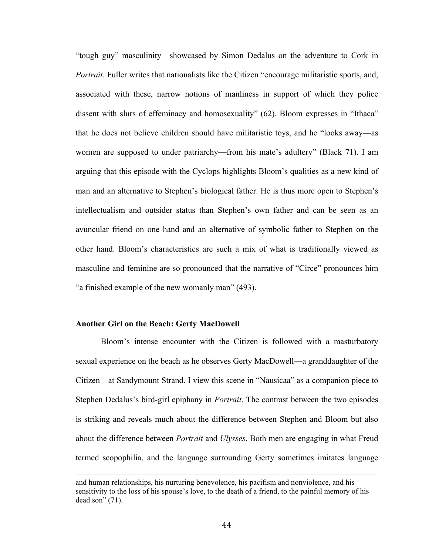"tough guy" masculinity—showcased by Simon Dedalus on the adventure to Cork in *Portrait*. Fuller writes that nationalists like the Citizen "encourage militaristic sports, and, associated with these, narrow notions of manliness in support of which they police dissent with slurs of effeminacy and homosexuality" (62). Bloom expresses in "Ithaca" that he does not believe children should have militaristic toys, and he "looks away—as women are supposed to under patriarchy—from his mate's adultery" (Black 71). I am arguing that this episode with the Cyclops highlights Bloom's qualities as a new kind of man and an alternative to Stephen's biological father. He is thus more open to Stephen's intellectualism and outsider status than Stephen's own father and can be seen as an avuncular friend on one hand and an alternative of symbolic father to Stephen on the other hand. Bloom's characteristics are such a mix of what is traditionally viewed as masculine and feminine are so pronounced that the narrative of "Circe" pronounces him "a finished example of the new womanly man" (493).

### **Another Girl on the Beach: Gerty MacDowell**

Bloom's intense encounter with the Citizen is followed with a masturbatory sexual experience on the beach as he observes Gerty MacDowell—a granddaughter of the Citizen—at Sandymount Strand. I view this scene in "Nausicaa" as a companion piece to Stephen Dedalus's bird-girl epiphany in *Portrait*. The contrast between the two episodes is striking and reveals much about the difference between Stephen and Bloom but also about the difference between *Portrait* and *Ulysses*. Both men are engaging in what Freud termed scopophilia, and the language surrounding Gerty sometimes imitates language

<u> 1989 - Andrea San Andrea San Andrea San Andrea San Andrea San Andrea San Andrea San Andrea San Andrea San An</u>

and human relationships, his nurturing benevolence, his pacifism and nonviolence, and his sensitivity to the loss of his spouse's love, to the death of a friend, to the painful memory of his dead son" (71).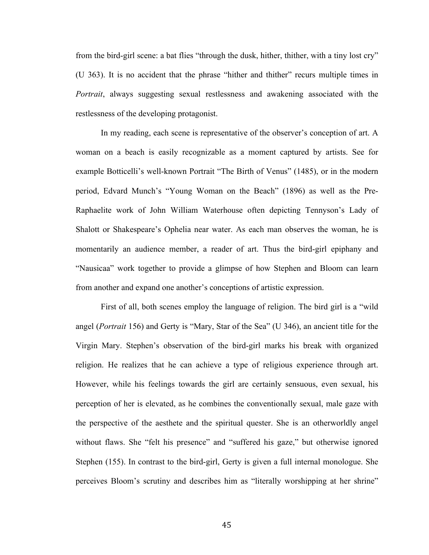from the bird-girl scene: a bat flies "through the dusk, hither, thither, with a tiny lost cry" (U 363). It is no accident that the phrase "hither and thither" recurs multiple times in *Portrait*, always suggesting sexual restlessness and awakening associated with the restlessness of the developing protagonist.

In my reading, each scene is representative of the observer's conception of art. A woman on a beach is easily recognizable as a moment captured by artists. See for example Botticelli's well-known Portrait "The Birth of Venus" (1485), or in the modern period, Edvard Munch's "Young Woman on the Beach" (1896) as well as the Pre-Raphaelite work of John William Waterhouse often depicting Tennyson's Lady of Shalott or Shakespeare's Ophelia near water. As each man observes the woman, he is momentarily an audience member, a reader of art. Thus the bird-girl epiphany and "Nausicaa" work together to provide a glimpse of how Stephen and Bloom can learn from another and expand one another's conceptions of artistic expression.

First of all, both scenes employ the language of religion. The bird girl is a "wild angel (*Portrait* 156) and Gerty is "Mary, Star of the Sea" (U 346), an ancient title for the Virgin Mary. Stephen's observation of the bird-girl marks his break with organized religion. He realizes that he can achieve a type of religious experience through art. However, while his feelings towards the girl are certainly sensuous, even sexual, his perception of her is elevated, as he combines the conventionally sexual, male gaze with the perspective of the aesthete and the spiritual quester. She is an otherworldly angel without flaws. She "felt his presence" and "suffered his gaze," but otherwise ignored Stephen (155). In contrast to the bird-girl, Gerty is given a full internal monologue. She perceives Bloom's scrutiny and describes him as "literally worshipping at her shrine"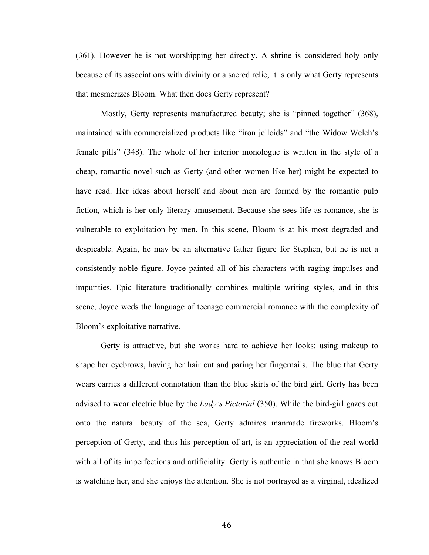(361). However he is not worshipping her directly. A shrine is considered holy only because of its associations with divinity or a sacred relic; it is only what Gerty represents that mesmerizes Bloom. What then does Gerty represent?

Mostly, Gerty represents manufactured beauty; she is "pinned together" (368), maintained with commercialized products like "iron jelloids" and "the Widow Welch's female pills" (348). The whole of her interior monologue is written in the style of a cheap, romantic novel such as Gerty (and other women like her) might be expected to have read. Her ideas about herself and about men are formed by the romantic pulp fiction, which is her only literary amusement. Because she sees life as romance, she is vulnerable to exploitation by men. In this scene, Bloom is at his most degraded and despicable. Again, he may be an alternative father figure for Stephen, but he is not a consistently noble figure. Joyce painted all of his characters with raging impulses and impurities. Epic literature traditionally combines multiple writing styles, and in this scene, Joyce weds the language of teenage commercial romance with the complexity of Bloom's exploitative narrative.

Gerty is attractive, but she works hard to achieve her looks: using makeup to shape her eyebrows, having her hair cut and paring her fingernails. The blue that Gerty wears carries a different connotation than the blue skirts of the bird girl. Gerty has been advised to wear electric blue by the *Lady's Pictorial* (350). While the bird-girl gazes out onto the natural beauty of the sea, Gerty admires manmade fireworks. Bloom's perception of Gerty, and thus his perception of art, is an appreciation of the real world with all of its imperfections and artificiality. Gerty is authentic in that she knows Bloom is watching her, and she enjoys the attention. She is not portrayed as a virginal, idealized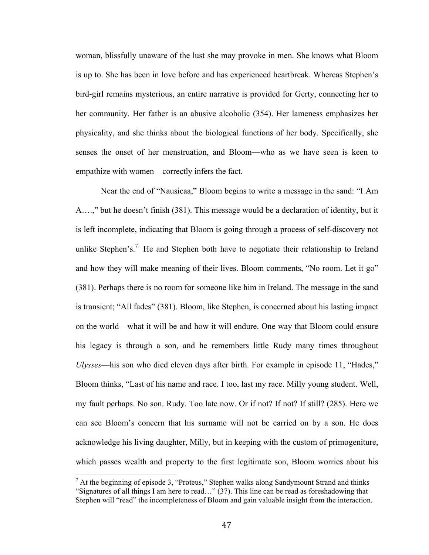woman, blissfully unaware of the lust she may provoke in men. She knows what Bloom is up to. She has been in love before and has experienced heartbreak. Whereas Stephen's bird-girl remains mysterious, an entire narrative is provided for Gerty, connecting her to her community. Her father is an abusive alcoholic (354). Her lameness emphasizes her physicality, and she thinks about the biological functions of her body. Specifically, she senses the onset of her menstruation, and Bloom—who as we have seen is keen to empathize with women—correctly infers the fact.

Near the end of "Nausicaa," Bloom begins to write a message in the sand: "I Am A….," but he doesn't finish (381). This message would be a declaration of identity, but it is left incomplete, indicating that Bloom is going through a process of self-discovery not unlike Stephen's.<sup>7</sup> He and Stephen both have to negotiate their relationship to Ireland and how they will make meaning of their lives. Bloom comments, "No room. Let it go" (381). Perhaps there is no room for someone like him in Ireland. The message in the sand is transient; "All fades" (381). Bloom, like Stephen, is concerned about his lasting impact on the world—what it will be and how it will endure. One way that Bloom could ensure his legacy is through a son, and he remembers little Rudy many times throughout *Ulysses*—his son who died eleven days after birth. For example in episode 11, "Hades," Bloom thinks, "Last of his name and race. I too, last my race. Milly young student. Well, my fault perhaps. No son. Rudy. Too late now. Or if not? If not? If still? (285). Here we can see Bloom's concern that his surname will not be carried on by a son. He does acknowledge his living daughter, Milly, but in keeping with the custom of primogeniture, which passes wealth and property to the first legitimate son, Bloom worries about his

 $<sup>7</sup>$  At the beginning of episode 3, "Proteus," Stephen walks along Sandymount Strand and thinks</sup> "Signatures of all things I am here to read…" (37). This line can be read as foreshadowing that Stephen will "read" the incompleteness of Bloom and gain valuable insight from the interaction.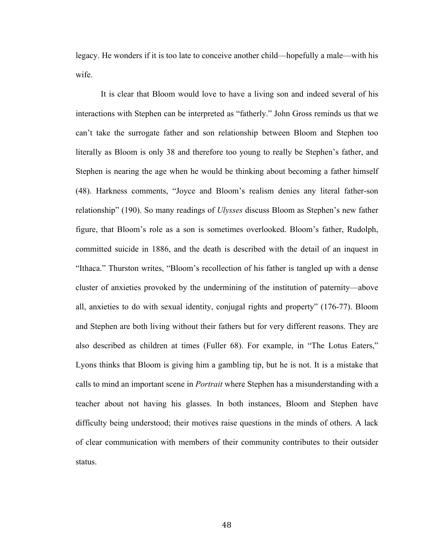legacy. He wonders if it is too late to conceive another child—hopefully a male—with his wife.

It is clear that Bloom would love to have a living son and indeed several of his interactions with Stephen can be interpreted as "fatherly." John Gross reminds us that we can't take the surrogate father and son relationship between Bloom and Stephen too literally as Bloom is only 38 and therefore too young to really be Stephen's father, and Stephen is nearing the age when he would be thinking about becoming a father himself (48). Harkness comments, "Joyce and Bloom's realism denies any literal father-son relationship" (190). So many readings of *Ulysses* discuss Bloom as Stephen's new father figure, that Bloom's role as a son is sometimes overlooked. Bloom's father, Rudolph, committed suicide in 1886, and the death is described with the detail of an inquest in "Ithaca." Thurston writes, "Bloom's recollection of his father is tangled up with a dense cluster of anxieties provoked by the undermining of the institution of paternity—above all, anxieties to do with sexual identity, conjugal rights and property" (176-77). Bloom and Stephen are both living without their fathers but for very different reasons. They are also described as children at times (Fuller 68). For example, in "The Lotus Eaters," Lyons thinks that Bloom is giving him a gambling tip, but he is not. It is a mistake that calls to mind an important scene in *Portrait* where Stephen has a misunderstanding with a teacher about not having his glasses. In both instances, Bloom and Stephen have difficulty being understood; their motives raise questions in the minds of others. A lack of clear communication with members of their community contributes to their outsider status.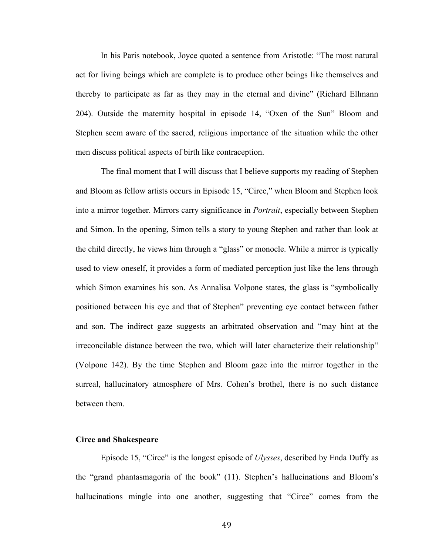In his Paris notebook, Joyce quoted a sentence from Aristotle: "The most natural act for living beings which are complete is to produce other beings like themselves and thereby to participate as far as they may in the eternal and divine" (Richard Ellmann 204). Outside the maternity hospital in episode 14, "Oxen of the Sun" Bloom and Stephen seem aware of the sacred, religious importance of the situation while the other men discuss political aspects of birth like contraception.

The final moment that I will discuss that I believe supports my reading of Stephen and Bloom as fellow artists occurs in Episode 15, "Circe," when Bloom and Stephen look into a mirror together. Mirrors carry significance in *Portrait*, especially between Stephen and Simon. In the opening, Simon tells a story to young Stephen and rather than look at the child directly, he views him through a "glass" or monocle. While a mirror is typically used to view oneself, it provides a form of mediated perception just like the lens through which Simon examines his son. As Annalisa Volpone states, the glass is "symbolically positioned between his eye and that of Stephen" preventing eye contact between father and son. The indirect gaze suggests an arbitrated observation and "may hint at the irreconcilable distance between the two, which will later characterize their relationship" (Volpone 142). By the time Stephen and Bloom gaze into the mirror together in the surreal, hallucinatory atmosphere of Mrs. Cohen's brothel, there is no such distance between them.

## **Circe and Shakespeare**

Episode 15, "Circe" is the longest episode of *Ulysses*, described by Enda Duffy as the "grand phantasmagoria of the book" (11). Stephen's hallucinations and Bloom's hallucinations mingle into one another, suggesting that "Circe" comes from the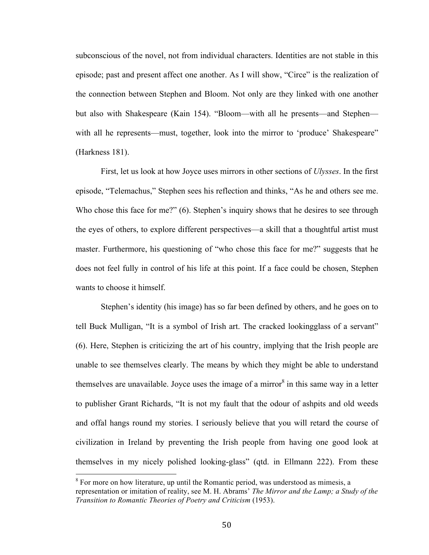subconscious of the novel, not from individual characters. Identities are not stable in this episode; past and present affect one another. As I will show, "Circe" is the realization of the connection between Stephen and Bloom. Not only are they linked with one another but also with Shakespeare (Kain 154). "Bloom—with all he presents—and Stephen with all he represents—must, together, look into the mirror to 'produce' Shakespeare" (Harkness 181).

First, let us look at how Joyce uses mirrors in other sections of *Ulysses*. In the first episode, "Telemachus," Stephen sees his reflection and thinks, "As he and others see me. Who chose this face for me?" (6). Stephen's inquiry shows that he desires to see through the eyes of others, to explore different perspectives—a skill that a thoughtful artist must master. Furthermore, his questioning of "who chose this face for me?" suggests that he does not feel fully in control of his life at this point. If a face could be chosen, Stephen wants to choose it himself.

Stephen's identity (his image) has so far been defined by others, and he goes on to tell Buck Mulligan, "It is a symbol of Irish art. The cracked lookingglass of a servant" (6). Here, Stephen is criticizing the art of his country, implying that the Irish people are unable to see themselves clearly. The means by which they might be able to understand themselves are unavailable. Joyce uses the image of a mirror  $\delta$  in this same way in a letter to publisher Grant Richards, "It is not my fault that the odour of ashpits and old weeds and offal hangs round my stories. I seriously believe that you will retard the course of civilization in Ireland by preventing the Irish people from having one good look at themselves in my nicely polished looking-glass" (qtd. in Ellmann 222). From these

 $8$  For more on how literature, up until the Romantic period, was understood as mimesis, a representation or imitation of reality, see M. H. Abrams' *The Mirror and the Lamp; a Study of the Transition to Romantic Theories of Poetry and Criticism* (1953).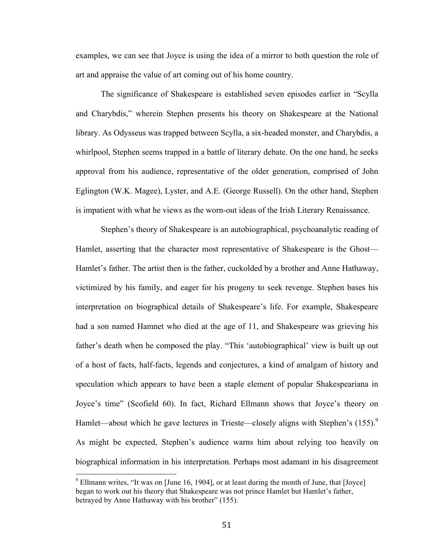examples, we can see that Joyce is using the idea of a mirror to both question the role of art and appraise the value of art coming out of his home country.

The significance of Shakespeare is established seven episodes earlier in "Scylla and Charybdis," wherein Stephen presents his theory on Shakespeare at the National library. As Odysseus was trapped between Scylla, a six-headed monster, and Charybdis, a whirlpool, Stephen seems trapped in a battle of literary debate. On the one hand, he seeks approval from his audience, representative of the older generation, comprised of John Eglington (W.K. Magee), Lyster, and A.E. (George Russell). On the other hand, Stephen is impatient with what he views as the worn-out ideas of the Irish Literary Renaissance.

Stephen's theory of Shakespeare is an autobiographical, psychoanalytic reading of Hamlet, asserting that the character most representative of Shakespeare is the Ghost— Hamlet's father. The artist then is the father, cuckolded by a brother and Anne Hathaway, victimized by his family, and eager for his progeny to seek revenge. Stephen bases his interpretation on biographical details of Shakespeare's life. For example, Shakespeare had a son named Hamnet who died at the age of 11, and Shakespeare was grieving his father's death when he composed the play. "This 'autobiographical' view is built up out of a host of facts, half-facts, legends and conjectures, a kind of amalgam of history and speculation which appears to have been a staple element of popular Shakespeariana in Joyce's time" (Scofield 60). In fact, Richard Ellmann shows that Joyce's theory on Hamlet—about which he gave lectures in Trieste—closely aligns with Stephen's  $(155)$ .<sup>9</sup> As might be expected, Stephen's audience warns him about relying too heavily on biographical information in his interpretation. Perhaps most adamant in his disagreement

 $9$  Ellmann writes, "It was on [June 16, 1904], or at least during the month of June, that [Joyce] began to work out his theory that Shakespeare was not prince Hamlet but Hamlet's father, betrayed by Anne Hathaway with his brother" (155).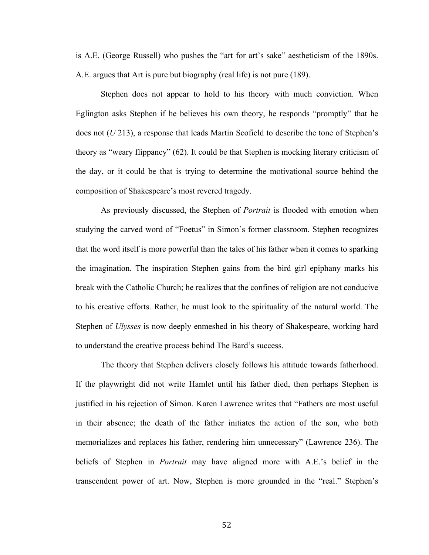is A.E. (George Russell) who pushes the "art for art's sake" aestheticism of the 1890s. A.E. argues that Art is pure but biography (real life) is not pure (189).

Stephen does not appear to hold to his theory with much conviction. When Eglington asks Stephen if he believes his own theory, he responds "promptly" that he does not (*U* 213), a response that leads Martin Scofield to describe the tone of Stephen's theory as "weary flippancy" (62). It could be that Stephen is mocking literary criticism of the day, or it could be that is trying to determine the motivational source behind the composition of Shakespeare's most revered tragedy.

As previously discussed, the Stephen of *Portrait* is flooded with emotion when studying the carved word of "Foetus" in Simon's former classroom. Stephen recognizes that the word itself is more powerful than the tales of his father when it comes to sparking the imagination. The inspiration Stephen gains from the bird girl epiphany marks his break with the Catholic Church; he realizes that the confines of religion are not conducive to his creative efforts. Rather, he must look to the spirituality of the natural world. The Stephen of *Ulysses* is now deeply enmeshed in his theory of Shakespeare, working hard to understand the creative process behind The Bard's success.

The theory that Stephen delivers closely follows his attitude towards fatherhood. If the playwright did not write Hamlet until his father died, then perhaps Stephen is justified in his rejection of Simon. Karen Lawrence writes that "Fathers are most useful in their absence; the death of the father initiates the action of the son, who both memorializes and replaces his father, rendering him unnecessary" (Lawrence 236). The beliefs of Stephen in *Portrait* may have aligned more with A.E.'s belief in the transcendent power of art. Now, Stephen is more grounded in the "real." Stephen's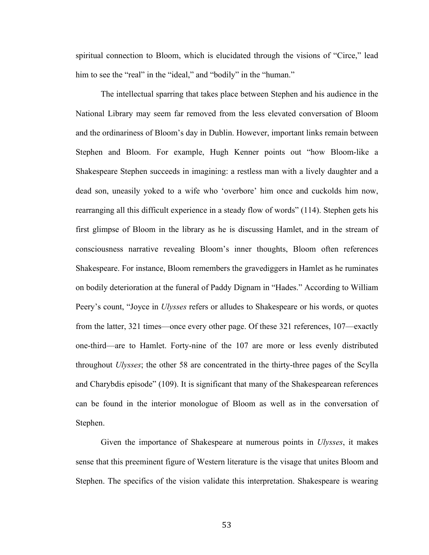spiritual connection to Bloom, which is elucidated through the visions of "Circe," lead him to see the "real" in the "ideal," and "bodily" in the "human."

The intellectual sparring that takes place between Stephen and his audience in the National Library may seem far removed from the less elevated conversation of Bloom and the ordinariness of Bloom's day in Dublin. However, important links remain between Stephen and Bloom. For example, Hugh Kenner points out "how Bloom-like a Shakespeare Stephen succeeds in imagining: a restless man with a lively daughter and a dead son, uneasily yoked to a wife who 'overbore' him once and cuckolds him now, rearranging all this difficult experience in a steady flow of words" (114). Stephen gets his first glimpse of Bloom in the library as he is discussing Hamlet, and in the stream of consciousness narrative revealing Bloom's inner thoughts, Bloom often references Shakespeare. For instance, Bloom remembers the gravediggers in Hamlet as he ruminates on bodily deterioration at the funeral of Paddy Dignam in "Hades." According to William Peery's count, "Joyce in *Ulysses* refers or alludes to Shakespeare or his words, or quotes from the latter, 321 times—once every other page. Of these 321 references, 107—exactly one-third—are to Hamlet. Forty-nine of the 107 are more or less evenly distributed throughout *Ulysses*; the other 58 are concentrated in the thirty-three pages of the Scylla and Charybdis episode" (109). It is significant that many of the Shakespearean references can be found in the interior monologue of Bloom as well as in the conversation of Stephen.

Given the importance of Shakespeare at numerous points in *Ulysses*, it makes sense that this preeminent figure of Western literature is the visage that unites Bloom and Stephen. The specifics of the vision validate this interpretation. Shakespeare is wearing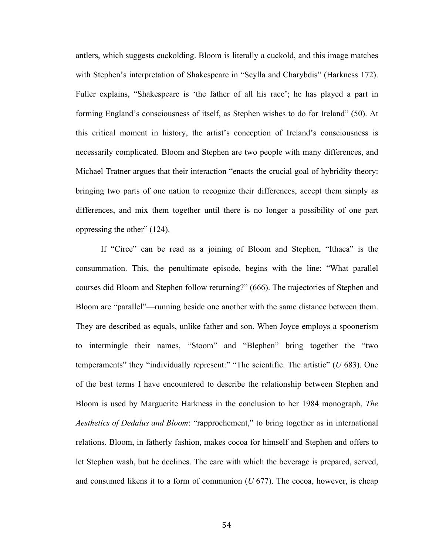antlers, which suggests cuckolding. Bloom is literally a cuckold, and this image matches with Stephen's interpretation of Shakespeare in "Scylla and Charybdis" (Harkness 172). Fuller explains, "Shakespeare is 'the father of all his race'; he has played a part in forming England's consciousness of itself, as Stephen wishes to do for Ireland" (50). At this critical moment in history, the artist's conception of Ireland's consciousness is necessarily complicated. Bloom and Stephen are two people with many differences, and Michael Tratner argues that their interaction "enacts the crucial goal of hybridity theory: bringing two parts of one nation to recognize their differences, accept them simply as differences, and mix them together until there is no longer a possibility of one part oppressing the other" (124).

If "Circe" can be read as a joining of Bloom and Stephen, "Ithaca" is the consummation. This, the penultimate episode, begins with the line: "What parallel courses did Bloom and Stephen follow returning?" (666). The trajectories of Stephen and Bloom are "parallel"—running beside one another with the same distance between them. They are described as equals, unlike father and son. When Joyce employs a spoonerism to intermingle their names, "Stoom" and "Blephen" bring together the "two temperaments" they "individually represent:" "The scientific. The artistic" (*U* 683). One of the best terms I have encountered to describe the relationship between Stephen and Bloom is used by Marguerite Harkness in the conclusion to her 1984 monograph, *The Aesthetics of Dedalus and Bloom*: "rapprochement," to bring together as in international relations. Bloom, in fatherly fashion, makes cocoa for himself and Stephen and offers to let Stephen wash, but he declines. The care with which the beverage is prepared, served, and consumed likens it to a form of communion (*U* 677). The cocoa, however, is cheap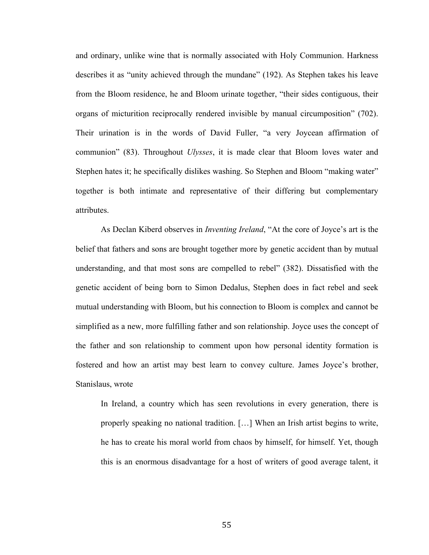and ordinary, unlike wine that is normally associated with Holy Communion. Harkness describes it as "unity achieved through the mundane" (192). As Stephen takes his leave from the Bloom residence, he and Bloom urinate together, "their sides contiguous, their organs of micturition reciprocally rendered invisible by manual circumposition" (702). Their urination is in the words of David Fuller, "a very Joycean affirmation of communion" (83). Throughout *Ulysses*, it is made clear that Bloom loves water and Stephen hates it; he specifically dislikes washing. So Stephen and Bloom "making water" together is both intimate and representative of their differing but complementary attributes.

As Declan Kiberd observes in *Inventing Ireland*, "At the core of Joyce's art is the belief that fathers and sons are brought together more by genetic accident than by mutual understanding, and that most sons are compelled to rebel" (382). Dissatisfied with the genetic accident of being born to Simon Dedalus, Stephen does in fact rebel and seek mutual understanding with Bloom, but his connection to Bloom is complex and cannot be simplified as a new, more fulfilling father and son relationship. Joyce uses the concept of the father and son relationship to comment upon how personal identity formation is fostered and how an artist may best learn to convey culture. James Joyce's brother, Stanislaus, wrote

In Ireland, a country which has seen revolutions in every generation, there is properly speaking no national tradition. […] When an Irish artist begins to write, he has to create his moral world from chaos by himself, for himself. Yet, though this is an enormous disadvantage for a host of writers of good average talent, it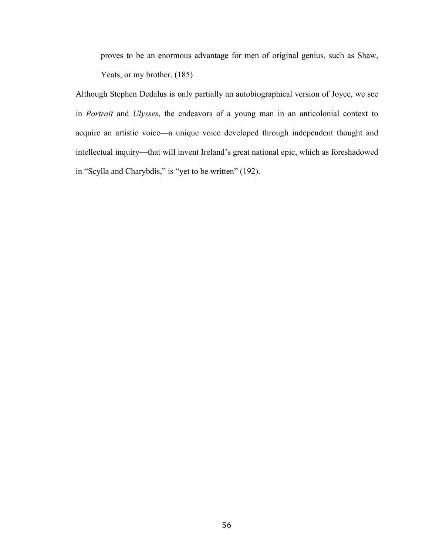proves to be an enormous advantage for men of original genius, such as Shaw, Yeats, or my brother. (185)

Although Stephen Dedalus is only partially an autobiographical version of Joyce, we see in *Portrait* and *Ulysses*, the endeavors of a young man in an anticolonial context to acquire an artistic voice—a unique voice developed through independent thought and intellectual inquiry—that will invent Ireland's great national epic, which as foreshadowed in "Scylla and Charybdis," is "yet to be written" (192).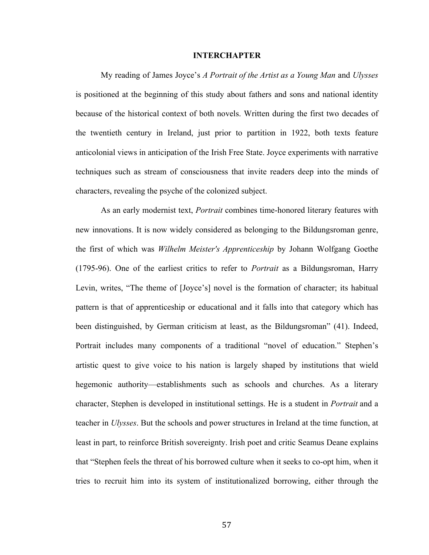### **INTERCHAPTER**

My reading of James Joyce's *A Portrait of the Artist as a Young Man* and *Ulysses*  is positioned at the beginning of this study about fathers and sons and national identity because of the historical context of both novels. Written during the first two decades of the twentieth century in Ireland, just prior to partition in 1922, both texts feature anticolonial views in anticipation of the Irish Free State. Joyce experiments with narrative techniques such as stream of consciousness that invite readers deep into the minds of characters, revealing the psyche of the colonized subject.

As an early modernist text, *Portrait* combines time-honored literary features with new innovations. It is now widely considered as belonging to the Bildungsroman genre, the first of which was *Wilhelm Meister's Apprenticeship* by Johann Wolfgang Goethe (1795-96). One of the earliest critics to refer to *Portrait* as a Bildungsroman, Harry Levin, writes, "The theme of [Joyce's] novel is the formation of character; its habitual pattern is that of apprenticeship or educational and it falls into that category which has been distinguished, by German criticism at least, as the Bildungsroman" (41). Indeed, Portrait includes many components of a traditional "novel of education." Stephen's artistic quest to give voice to his nation is largely shaped by institutions that wield hegemonic authority—establishments such as schools and churches. As a literary character, Stephen is developed in institutional settings. He is a student in *Portrait* and a teacher in *Ulysses*. But the schools and power structures in Ireland at the time function, at least in part, to reinforce British sovereignty. Irish poet and critic Seamus Deane explains that "Stephen feels the threat of his borrowed culture when it seeks to co-opt him, when it tries to recruit him into its system of institutionalized borrowing, either through the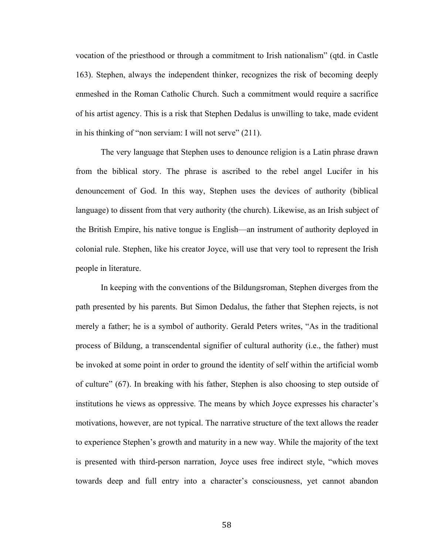vocation of the priesthood or through a commitment to Irish nationalism" (qtd. in Castle 163). Stephen, always the independent thinker, recognizes the risk of becoming deeply enmeshed in the Roman Catholic Church. Such a commitment would require a sacrifice of his artist agency. This is a risk that Stephen Dedalus is unwilling to take, made evident in his thinking of "non serviam: I will not serve" (211).

The very language that Stephen uses to denounce religion is a Latin phrase drawn from the biblical story. The phrase is ascribed to the rebel angel Lucifer in his denouncement of God. In this way, Stephen uses the devices of authority (biblical language) to dissent from that very authority (the church). Likewise, as an Irish subject of the British Empire, his native tongue is English—an instrument of authority deployed in colonial rule. Stephen, like his creator Joyce, will use that very tool to represent the Irish people in literature.

In keeping with the conventions of the Bildungsroman, Stephen diverges from the path presented by his parents. But Simon Dedalus, the father that Stephen rejects, is not merely a father; he is a symbol of authority. Gerald Peters writes, "As in the traditional process of Bildung, a transcendental signifier of cultural authority (i.e., the father) must be invoked at some point in order to ground the identity of self within the artificial womb of culture" (67). In breaking with his father, Stephen is also choosing to step outside of institutions he views as oppressive. The means by which Joyce expresses his character's motivations, however, are not typical. The narrative structure of the text allows the reader to experience Stephen's growth and maturity in a new way. While the majority of the text is presented with third-person narration, Joyce uses free indirect style, "which moves towards deep and full entry into a character's consciousness, yet cannot abandon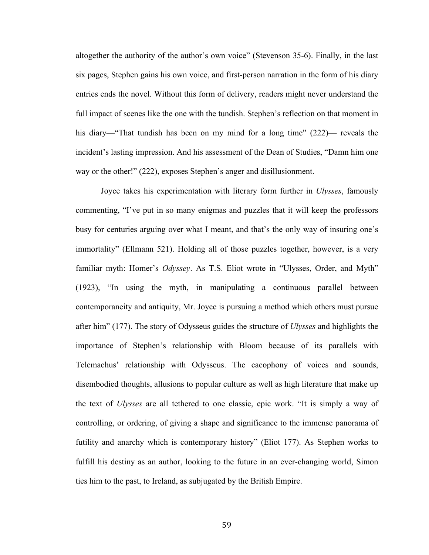altogether the authority of the author's own voice" (Stevenson 35-6). Finally, in the last six pages, Stephen gains his own voice, and first-person narration in the form of his diary entries ends the novel. Without this form of delivery, readers might never understand the full impact of scenes like the one with the tundish. Stephen's reflection on that moment in his diary—"That tundish has been on my mind for a long time" (222)— reveals the incident's lasting impression. And his assessment of the Dean of Studies, "Damn him one way or the other!" (222), exposes Stephen's anger and disillusionment.

Joyce takes his experimentation with literary form further in *Ulysses*, famously commenting, "I've put in so many enigmas and puzzles that it will keep the professors busy for centuries arguing over what I meant, and that's the only way of insuring one's immortality" (Ellmann 521). Holding all of those puzzles together, however, is a very familiar myth: Homer's *Odyssey*. As T.S. Eliot wrote in "Ulysses, Order, and Myth" (1923), "In using the myth, in manipulating a continuous parallel between contemporaneity and antiquity, Mr. Joyce is pursuing a method which others must pursue after him" (177). The story of Odysseus guides the structure of *Ulysses* and highlights the importance of Stephen's relationship with Bloom because of its parallels with Telemachus' relationship with Odysseus. The cacophony of voices and sounds, disembodied thoughts, allusions to popular culture as well as high literature that make up the text of *Ulysses* are all tethered to one classic, epic work. "It is simply a way of controlling, or ordering, of giving a shape and significance to the immense panorama of futility and anarchy which is contemporary history" (Eliot 177). As Stephen works to fulfill his destiny as an author, looking to the future in an ever-changing world, Simon ties him to the past, to Ireland, as subjugated by the British Empire.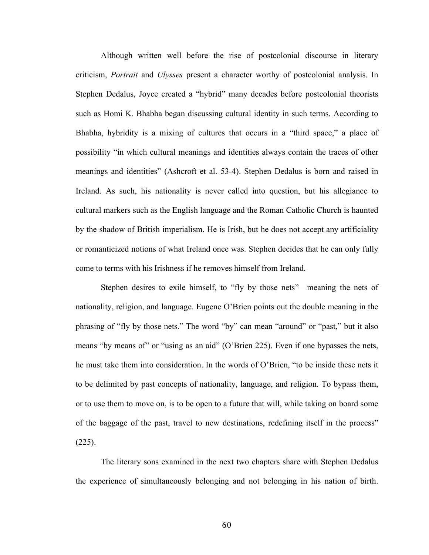Although written well before the rise of postcolonial discourse in literary criticism, *Portrait* and *Ulysses* present a character worthy of postcolonial analysis. In Stephen Dedalus, Joyce created a "hybrid" many decades before postcolonial theorists such as Homi K. Bhabha began discussing cultural identity in such terms. According to Bhabha, hybridity is a mixing of cultures that occurs in a "third space," a place of possibility "in which cultural meanings and identities always contain the traces of other meanings and identities" (Ashcroft et al. 53-4). Stephen Dedalus is born and raised in Ireland. As such, his nationality is never called into question, but his allegiance to cultural markers such as the English language and the Roman Catholic Church is haunted by the shadow of British imperialism. He is Irish, but he does not accept any artificiality or romanticized notions of what Ireland once was. Stephen decides that he can only fully come to terms with his Irishness if he removes himself from Ireland.

Stephen desires to exile himself, to "fly by those nets"—meaning the nets of nationality, religion, and language. Eugene O'Brien points out the double meaning in the phrasing of "fly by those nets." The word "by" can mean "around" or "past," but it also means "by means of" or "using as an aid" (O'Brien 225). Even if one bypasses the nets, he must take them into consideration. In the words of O'Brien, "to be inside these nets it to be delimited by past concepts of nationality, language, and religion. To bypass them, or to use them to move on, is to be open to a future that will, while taking on board some of the baggage of the past, travel to new destinations, redefining itself in the process"  $(225)$ .

The literary sons examined in the next two chapters share with Stephen Dedalus the experience of simultaneously belonging and not belonging in his nation of birth.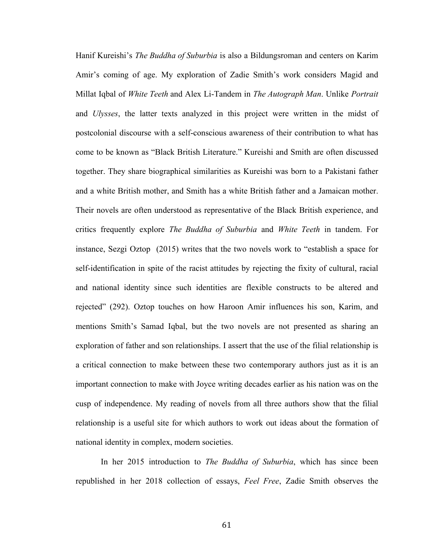Hanif Kureishi's *The Buddha of Suburbia* is also a Bildungsroman and centers on Karim Amir's coming of age. My exploration of Zadie Smith's work considers Magid and Millat Iqbal of *White Teeth* and Alex Li-Tandem in *The Autograph Man*. Unlike *Portrait*  and *Ulysses*, the latter texts analyzed in this project were written in the midst of postcolonial discourse with a self-conscious awareness of their contribution to what has come to be known as "Black British Literature." Kureishi and Smith are often discussed together. They share biographical similarities as Kureishi was born to a Pakistani father and a white British mother, and Smith has a white British father and a Jamaican mother. Their novels are often understood as representative of the Black British experience, and critics frequently explore *The Buddha of Suburbia* and *White Teeth* in tandem. For instance, Sezgi Oztop (2015) writes that the two novels work to "establish a space for self-identification in spite of the racist attitudes by rejecting the fixity of cultural, racial and national identity since such identities are flexible constructs to be altered and rejected" (292). Oztop touches on how Haroon Amir influences his son, Karim, and mentions Smith's Samad Iqbal, but the two novels are not presented as sharing an exploration of father and son relationships. I assert that the use of the filial relationship is a critical connection to make between these two contemporary authors just as it is an important connection to make with Joyce writing decades earlier as his nation was on the cusp of independence. My reading of novels from all three authors show that the filial relationship is a useful site for which authors to work out ideas about the formation of national identity in complex, modern societies.

In her 2015 introduction to *The Buddha of Suburbia*, which has since been republished in her 2018 collection of essays, *Feel Free*, Zadie Smith observes the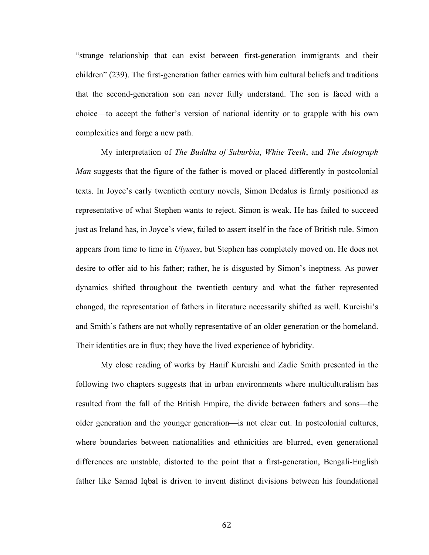"strange relationship that can exist between first-generation immigrants and their children" (239). The first-generation father carries with him cultural beliefs and traditions that the second-generation son can never fully understand. The son is faced with a choice—to accept the father's version of national identity or to grapple with his own complexities and forge a new path.

My interpretation of *The Buddha of Suburbia*, *White Teeth*, and *The Autograph Man* suggests that the figure of the father is moved or placed differently in postcolonial texts. In Joyce's early twentieth century novels, Simon Dedalus is firmly positioned as representative of what Stephen wants to reject. Simon is weak. He has failed to succeed just as Ireland has, in Joyce's view, failed to assert itself in the face of British rule. Simon appears from time to time in *Ulysses*, but Stephen has completely moved on. He does not desire to offer aid to his father; rather, he is disgusted by Simon's ineptness. As power dynamics shifted throughout the twentieth century and what the father represented changed, the representation of fathers in literature necessarily shifted as well. Kureishi's and Smith's fathers are not wholly representative of an older generation or the homeland. Their identities are in flux; they have the lived experience of hybridity.

My close reading of works by Hanif Kureishi and Zadie Smith presented in the following two chapters suggests that in urban environments where multiculturalism has resulted from the fall of the British Empire, the divide between fathers and sons—the older generation and the younger generation—is not clear cut. In postcolonial cultures, where boundaries between nationalities and ethnicities are blurred, even generational differences are unstable, distorted to the point that a first-generation, Bengali-English father like Samad Iqbal is driven to invent distinct divisions between his foundational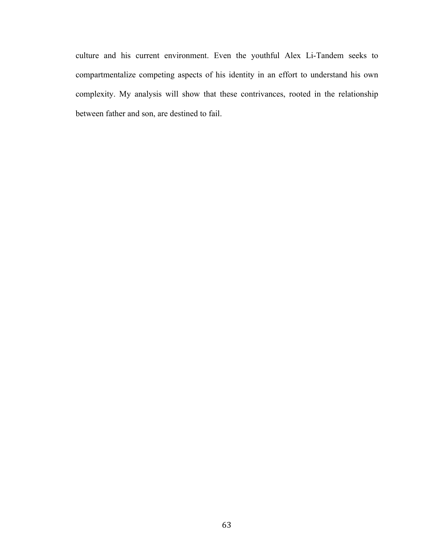culture and his current environment. Even the youthful Alex Li-Tandem seeks to compartmentalize competing aspects of his identity in an effort to understand his own complexity. My analysis will show that these contrivances, rooted in the relationship between father and son, are destined to fail.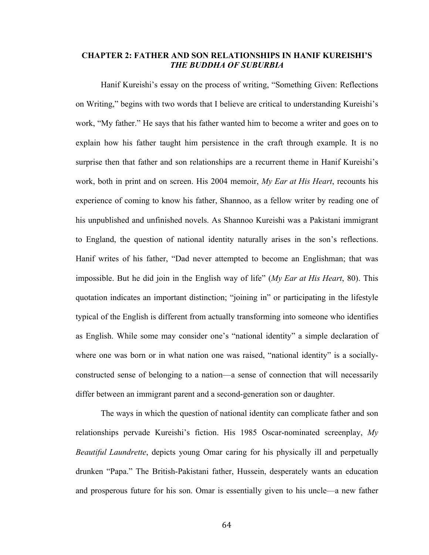## **CHAPTER 2: FATHER AND SON RELATIONSHIPS IN HANIF KUREISHI'S**  *THE BUDDHA OF SUBURBIA*

Hanif Kureishi's essay on the process of writing, "Something Given: Reflections on Writing," begins with two words that I believe are critical to understanding Kureishi's work, "My father." He says that his father wanted him to become a writer and goes on to explain how his father taught him persistence in the craft through example. It is no surprise then that father and son relationships are a recurrent theme in Hanif Kureishi's work, both in print and on screen. His 2004 memoir, *My Ear at His Heart*, recounts his experience of coming to know his father, Shannoo, as a fellow writer by reading one of his unpublished and unfinished novels. As Shannoo Kureishi was a Pakistani immigrant to England, the question of national identity naturally arises in the son's reflections. Hanif writes of his father, "Dad never attempted to become an Englishman; that was impossible. But he did join in the English way of life" (*My Ear at His Heart*, 80). This quotation indicates an important distinction; "joining in" or participating in the lifestyle typical of the English is different from actually transforming into someone who identifies as English. While some may consider one's "national identity" a simple declaration of where one was born or in what nation one was raised, "national identity" is a sociallyconstructed sense of belonging to a nation—a sense of connection that will necessarily differ between an immigrant parent and a second-generation son or daughter.

The ways in which the question of national identity can complicate father and son relationships pervade Kureishi's fiction. His 1985 Oscar-nominated screenplay, *My Beautiful Laundrette*, depicts young Omar caring for his physically ill and perpetually drunken "Papa." The British-Pakistani father, Hussein, desperately wants an education and prosperous future for his son. Omar is essentially given to his uncle—a new father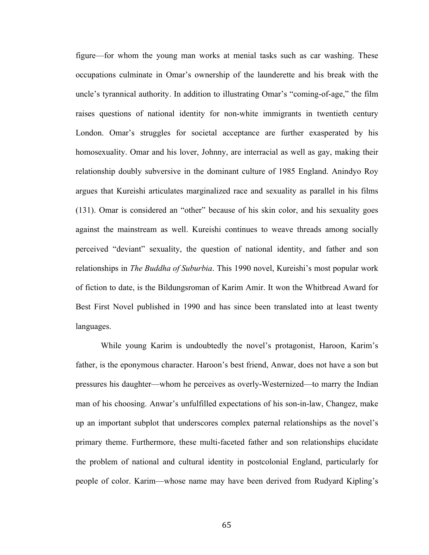figure—for whom the young man works at menial tasks such as car washing. These occupations culminate in Omar's ownership of the launderette and his break with the uncle's tyrannical authority. In addition to illustrating Omar's "coming-of-age," the film raises questions of national identity for non-white immigrants in twentieth century London. Omar's struggles for societal acceptance are further exasperated by his homosexuality. Omar and his lover, Johnny, are interracial as well as gay, making their relationship doubly subversive in the dominant culture of 1985 England. Anindyo Roy argues that Kureishi articulates marginalized race and sexuality as parallel in his films (131). Omar is considered an "other" because of his skin color, and his sexuality goes against the mainstream as well. Kureishi continues to weave threads among socially perceived "deviant" sexuality, the question of national identity, and father and son relationships in *The Buddha of Suburbia*. This 1990 novel, Kureishi's most popular work of fiction to date, is the Bildungsroman of Karim Amir. It won the Whitbread Award for Best First Novel published in 1990 and has since been translated into at least twenty languages.

While young Karim is undoubtedly the novel's protagonist, Haroon, Karim's father, is the eponymous character. Haroon's best friend, Anwar, does not have a son but pressures his daughter—whom he perceives as overly-Westernized—to marry the Indian man of his choosing. Anwar's unfulfilled expectations of his son-in-law, Changez, make up an important subplot that underscores complex paternal relationships as the novel's primary theme. Furthermore, these multi-faceted father and son relationships elucidate the problem of national and cultural identity in postcolonial England, particularly for people of color. Karim—whose name may have been derived from Rudyard Kipling's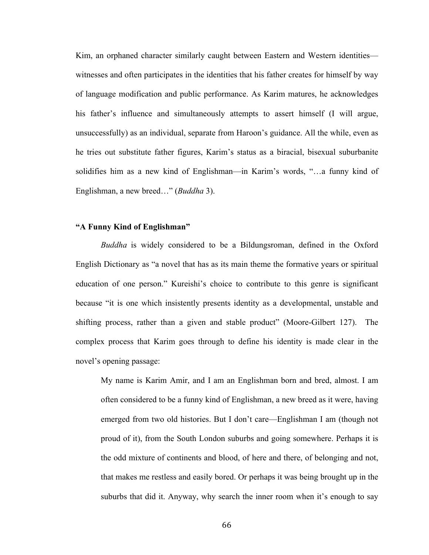Kim, an orphaned character similarly caught between Eastern and Western identities witnesses and often participates in the identities that his father creates for himself by way of language modification and public performance. As Karim matures, he acknowledges his father's influence and simultaneously attempts to assert himself (I will argue, unsuccessfully) as an individual, separate from Haroon's guidance. All the while, even as he tries out substitute father figures, Karim's status as a biracial, bisexual suburbanite solidifies him as a new kind of Englishman—in Karim's words, "…a funny kind of Englishman, a new breed…" (*Buddha* 3).

# **"A Funny Kind of Englishman"**

*Buddha* is widely considered to be a Bildungsroman, defined in the Oxford English Dictionary as "a novel that has as its main theme the formative years or spiritual education of one person." Kureishi's choice to contribute to this genre is significant because "it is one which insistently presents identity as a developmental, unstable and shifting process, rather than a given and stable product" (Moore-Gilbert 127). The complex process that Karim goes through to define his identity is made clear in the novel's opening passage:

My name is Karim Amir, and I am an Englishman born and bred, almost. I am often considered to be a funny kind of Englishman, a new breed as it were, having emerged from two old histories. But I don't care—Englishman I am (though not proud of it), from the South London suburbs and going somewhere. Perhaps it is the odd mixture of continents and blood, of here and there, of belonging and not, that makes me restless and easily bored. Or perhaps it was being brought up in the suburbs that did it. Anyway, why search the inner room when it's enough to say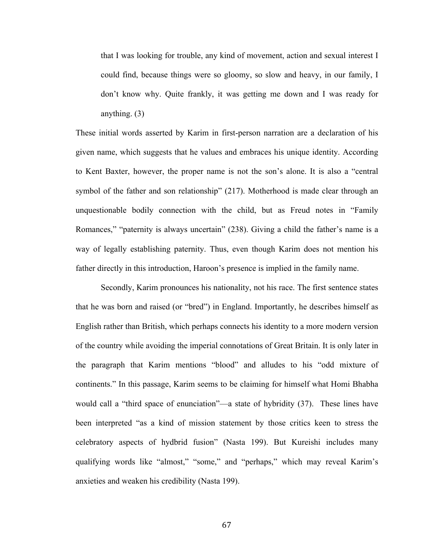that I was looking for trouble, any kind of movement, action and sexual interest I could find, because things were so gloomy, so slow and heavy, in our family, I don't know why. Quite frankly, it was getting me down and I was ready for anything. (3)

These initial words asserted by Karim in first-person narration are a declaration of his given name, which suggests that he values and embraces his unique identity. According to Kent Baxter, however, the proper name is not the son's alone. It is also a "central symbol of the father and son relationship" (217). Motherhood is made clear through an unquestionable bodily connection with the child, but as Freud notes in "Family Romances," "paternity is always uncertain" (238). Giving a child the father's name is a way of legally establishing paternity. Thus, even though Karim does not mention his father directly in this introduction, Haroon's presence is implied in the family name.

Secondly, Karim pronounces his nationality, not his race. The first sentence states that he was born and raised (or "bred") in England. Importantly, he describes himself as English rather than British, which perhaps connects his identity to a more modern version of the country while avoiding the imperial connotations of Great Britain. It is only later in the paragraph that Karim mentions "blood" and alludes to his "odd mixture of continents." In this passage, Karim seems to be claiming for himself what Homi Bhabha would call a "third space of enunciation"—a state of hybridity (37). These lines have been interpreted "as a kind of mission statement by those critics keen to stress the celebratory aspects of hydbrid fusion" (Nasta 199). But Kureishi includes many qualifying words like "almost," "some," and "perhaps," which may reveal Karim's anxieties and weaken his credibility (Nasta 199).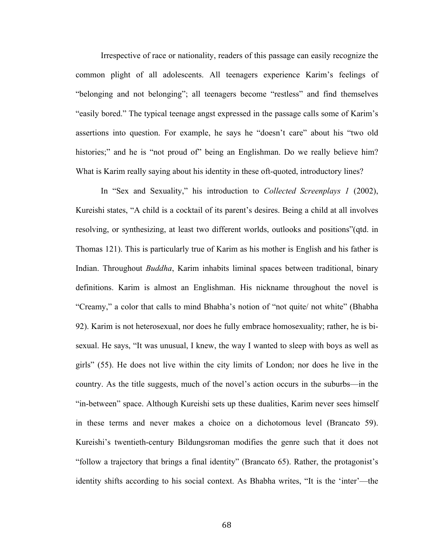Irrespective of race or nationality, readers of this passage can easily recognize the common plight of all adolescents. All teenagers experience Karim's feelings of "belonging and not belonging"; all teenagers become "restless" and find themselves "easily bored." The typical teenage angst expressed in the passage calls some of Karim's assertions into question. For example, he says he "doesn't care" about his "two old histories;" and he is "not proud of" being an Englishman. Do we really believe him? What is Karim really saying about his identity in these oft-quoted, introductory lines?

In "Sex and Sexuality," his introduction to *Collected Screenplays 1* (2002), Kureishi states, "A child is a cocktail of its parent's desires. Being a child at all involves resolving, or synthesizing, at least two different worlds, outlooks and positions"(qtd. in Thomas 121). This is particularly true of Karim as his mother is English and his father is Indian. Throughout *Buddha*, Karim inhabits liminal spaces between traditional, binary definitions. Karim is almost an Englishman. His nickname throughout the novel is "Creamy," a color that calls to mind Bhabha's notion of "not quite/ not white" (Bhabha 92). Karim is not heterosexual, nor does he fully embrace homosexuality; rather, he is bisexual. He says, "It was unusual, I knew, the way I wanted to sleep with boys as well as girls" (55). He does not live within the city limits of London; nor does he live in the country. As the title suggests, much of the novel's action occurs in the suburbs—in the "in-between" space. Although Kureishi sets up these dualities, Karim never sees himself in these terms and never makes a choice on a dichotomous level (Brancato 59). Kureishi's twentieth-century Bildungsroman modifies the genre such that it does not "follow a trajectory that brings a final identity" (Brancato 65). Rather, the protagonist's identity shifts according to his social context. As Bhabha writes, "It is the 'inter'—the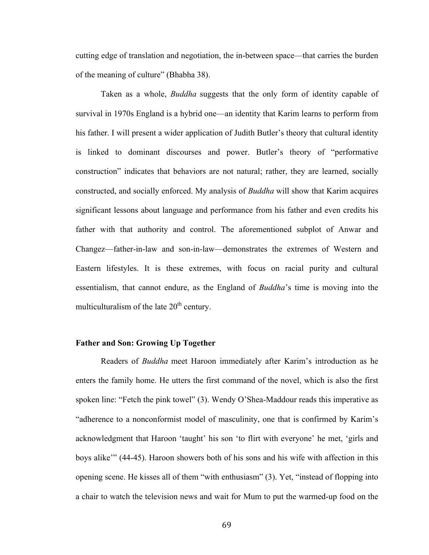cutting edge of translation and negotiation, the in-between space—that carries the burden of the meaning of culture" (Bhabha 38).

Taken as a whole, *Buddha* suggests that the only form of identity capable of survival in 1970s England is a hybrid one—an identity that Karim learns to perform from his father. I will present a wider application of Judith Butler's theory that cultural identity is linked to dominant discourses and power. Butler's theory of "performative construction" indicates that behaviors are not natural; rather, they are learned, socially constructed, and socially enforced. My analysis of *Buddha* will show that Karim acquires significant lessons about language and performance from his father and even credits his father with that authority and control. The aforementioned subplot of Anwar and Changez—father-in-law and son-in-law—demonstrates the extremes of Western and Eastern lifestyles. It is these extremes, with focus on racial purity and cultural essentialism, that cannot endure, as the England of *Buddha*'s time is moving into the multiculturalism of the late  $20<sup>th</sup>$  century.

# **Father and Son: Growing Up Together**

Readers of *Buddha* meet Haroon immediately after Karim's introduction as he enters the family home. He utters the first command of the novel, which is also the first spoken line: "Fetch the pink towel" (3). Wendy O'Shea-Maddour reads this imperative as "adherence to a nonconformist model of masculinity, one that is confirmed by Karim's acknowledgment that Haroon 'taught' his son 'to flirt with everyone' he met, 'girls and boys alike'" (44-45). Haroon showers both of his sons and his wife with affection in this opening scene. He kisses all of them "with enthusiasm" (3). Yet, "instead of flopping into a chair to watch the television news and wait for Mum to put the warmed-up food on the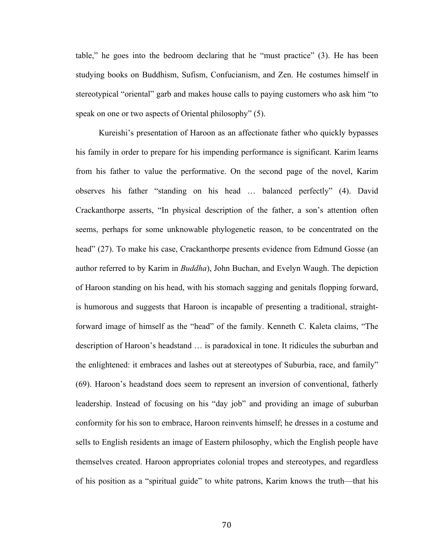table," he goes into the bedroom declaring that he "must practice" (3). He has been studying books on Buddhism, Sufism, Confucianism, and Zen. He costumes himself in stereotypical "oriental" garb and makes house calls to paying customers who ask him "to speak on one or two aspects of Oriental philosophy" (5).

 Kureishi's presentation of Haroon as an affectionate father who quickly bypasses his family in order to prepare for his impending performance is significant. Karim learns from his father to value the performative. On the second page of the novel, Karim observes his father "standing on his head … balanced perfectly" (4). David Crackanthorpe asserts, "In physical description of the father, a son's attention often seems, perhaps for some unknowable phylogenetic reason, to be concentrated on the head" (27). To make his case, Crackanthorpe presents evidence from Edmund Gosse (an author referred to by Karim in *Buddha*), John Buchan, and Evelyn Waugh. The depiction of Haroon standing on his head, with his stomach sagging and genitals flopping forward, is humorous and suggests that Haroon is incapable of presenting a traditional, straightforward image of himself as the "head" of the family. Kenneth C. Kaleta claims, "The description of Haroon's headstand … is paradoxical in tone. It ridicules the suburban and the enlightened: it embraces and lashes out at stereotypes of Suburbia, race, and family" (69). Haroon's headstand does seem to represent an inversion of conventional, fatherly leadership. Instead of focusing on his "day job" and providing an image of suburban conformity for his son to embrace, Haroon reinvents himself; he dresses in a costume and sells to English residents an image of Eastern philosophy, which the English people have themselves created. Haroon appropriates colonial tropes and stereotypes, and regardless of his position as a "spiritual guide" to white patrons, Karim knows the truth—that his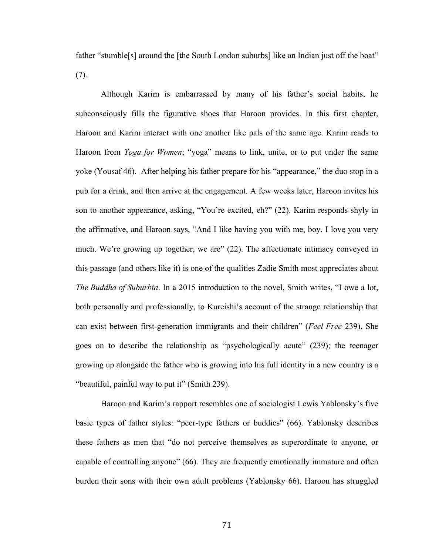father "stumble[s] around the [the South London suburbs] like an Indian just off the boat" (7).

Although Karim is embarrassed by many of his father's social habits, he subconsciously fills the figurative shoes that Haroon provides. In this first chapter, Haroon and Karim interact with one another like pals of the same age. Karim reads to Haroon from *Yoga for Women*; "yoga" means to link, unite, or to put under the same yoke (Yousaf 46). After helping his father prepare for his "appearance," the duo stop in a pub for a drink, and then arrive at the engagement. A few weeks later, Haroon invites his son to another appearance, asking, "You're excited, eh?" (22). Karim responds shyly in the affirmative, and Haroon says, "And I like having you with me, boy. I love you very much. We're growing up together, we are" (22). The affectionate intimacy conveyed in this passage (and others like it) is one of the qualities Zadie Smith most appreciates about *The Buddha of Suburbia*. In a 2015 introduction to the novel, Smith writes, "I owe a lot, both personally and professionally, to Kureishi's account of the strange relationship that can exist between first-generation immigrants and their children" (*Feel Free* 239). She goes on to describe the relationship as "psychologically acute" (239); the teenager growing up alongside the father who is growing into his full identity in a new country is a "beautiful, painful way to put it" (Smith 239).

Haroon and Karim's rapport resembles one of sociologist Lewis Yablonsky's five basic types of father styles: "peer-type fathers or buddies" (66). Yablonsky describes these fathers as men that "do not perceive themselves as superordinate to anyone, or capable of controlling anyone" (66). They are frequently emotionally immature and often burden their sons with their own adult problems (Yablonsky 66). Haroon has struggled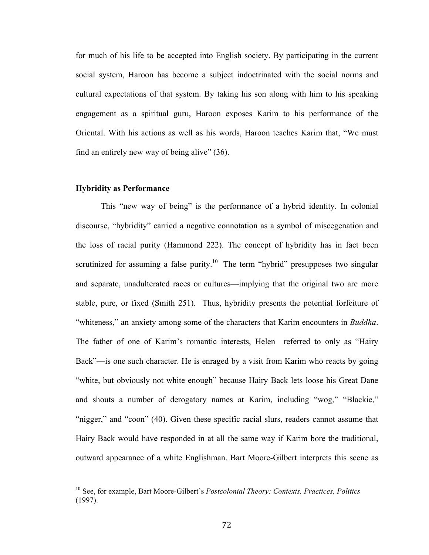for much of his life to be accepted into English society. By participating in the current social system, Haroon has become a subject indoctrinated with the social norms and cultural expectations of that system. By taking his son along with him to his speaking engagement as a spiritual guru, Haroon exposes Karim to his performance of the Oriental. With his actions as well as his words, Haroon teaches Karim that, "We must find an entirely new way of being alive" (36).

## **Hybridity as Performance**

 

This "new way of being" is the performance of a hybrid identity. In colonial discourse, "hybridity" carried a negative connotation as a symbol of miscegenation and the loss of racial purity (Hammond 222). The concept of hybridity has in fact been scrutinized for assuming a false purity.<sup>10</sup> The term "hybrid" presupposes two singular and separate, unadulterated races or cultures—implying that the original two are more stable, pure, or fixed (Smith 251). Thus, hybridity presents the potential forfeiture of "whiteness," an anxiety among some of the characters that Karim encounters in *Buddha*. The father of one of Karim's romantic interests, Helen—referred to only as "Hairy Back"—is one such character. He is enraged by a visit from Karim who reacts by going "white, but obviously not white enough" because Hairy Back lets loose his Great Dane and shouts a number of derogatory names at Karim, including "wog," "Blackie," "nigger," and "coon" (40). Given these specific racial slurs, readers cannot assume that Hairy Back would have responded in at all the same way if Karim bore the traditional, outward appearance of a white Englishman. Bart Moore-Gilbert interprets this scene as

<sup>10</sup> See, for example, Bart Moore-Gilbert's *Postcolonial Theory: Contexts, Practices, Politics* (1997).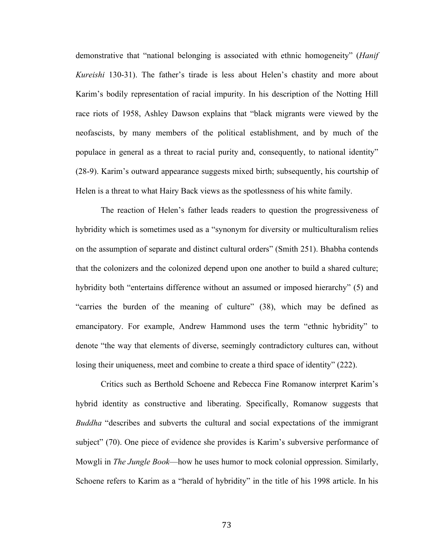demonstrative that "national belonging is associated with ethnic homogeneity" (*Hanif Kureishi* 130-31). The father's tirade is less about Helen's chastity and more about Karim's bodily representation of racial impurity. In his description of the Notting Hill race riots of 1958, Ashley Dawson explains that "black migrants were viewed by the neofascists, by many members of the political establishment, and by much of the populace in general as a threat to racial purity and, consequently, to national identity" (28-9). Karim's outward appearance suggests mixed birth; subsequently, his courtship of Helen is a threat to what Hairy Back views as the spotlessness of his white family.

The reaction of Helen's father leads readers to question the progressiveness of hybridity which is sometimes used as a "synonym for diversity or multiculturalism relies on the assumption of separate and distinct cultural orders" (Smith 251). Bhabha contends that the colonizers and the colonized depend upon one another to build a shared culture; hybridity both "entertains difference without an assumed or imposed hierarchy" (5) and "carries the burden of the meaning of culture" (38), which may be defined as emancipatory. For example, Andrew Hammond uses the term "ethnic hybridity" to denote "the way that elements of diverse, seemingly contradictory cultures can, without losing their uniqueness, meet and combine to create a third space of identity" (222).

Critics such as Berthold Schoene and Rebecca Fine Romanow interpret Karim's hybrid identity as constructive and liberating. Specifically, Romanow suggests that *Buddha* "describes and subverts the cultural and social expectations of the immigrant subject" (70). One piece of evidence she provides is Karim's subversive performance of Mowgli in *The Jungle Book*—how he uses humor to mock colonial oppression. Similarly, Schoene refers to Karim as a "herald of hybridity" in the title of his 1998 article. In his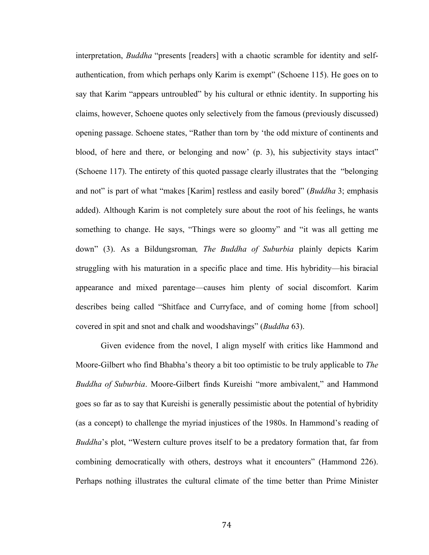interpretation, *Buddha* "presents [readers] with a chaotic scramble for identity and selfauthentication, from which perhaps only Karim is exempt" (Schoene 115). He goes on to say that Karim "appears untroubled" by his cultural or ethnic identity. In supporting his claims, however, Schoene quotes only selectively from the famous (previously discussed) opening passage. Schoene states, "Rather than torn by 'the odd mixture of continents and blood, of here and there, or belonging and now' (p. 3), his subjectivity stays intact" (Schoene 117). The entirety of this quoted passage clearly illustrates that the "belonging and not" is part of what "makes [Karim] restless and easily bored" (*Buddha* 3; emphasis added). Although Karim is not completely sure about the root of his feelings, he wants something to change. He says, "Things were so gloomy" and "it was all getting me down" (3). As a Bildungsroman*, The Buddha of Suburbia* plainly depicts Karim struggling with his maturation in a specific place and time. His hybridity—his biracial appearance and mixed parentage—causes him plenty of social discomfort. Karim describes being called "Shitface and Curryface, and of coming home [from school] covered in spit and snot and chalk and woodshavings" (*Buddha* 63).

Given evidence from the novel, I align myself with critics like Hammond and Moore-Gilbert who find Bhabha's theory a bit too optimistic to be truly applicable to *The Buddha of Suburbia*. Moore-Gilbert finds Kureishi "more ambivalent," and Hammond goes so far as to say that Kureishi is generally pessimistic about the potential of hybridity (as a concept) to challenge the myriad injustices of the 1980s. In Hammond's reading of *Buddha*'s plot, "Western culture proves itself to be a predatory formation that, far from combining democratically with others, destroys what it encounters" (Hammond 226). Perhaps nothing illustrates the cultural climate of the time better than Prime Minister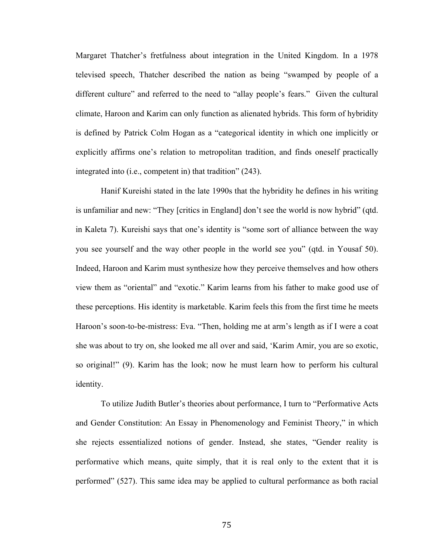Margaret Thatcher's fretfulness about integration in the United Kingdom. In a 1978 televised speech, Thatcher described the nation as being "swamped by people of a different culture" and referred to the need to "allay people's fears." Given the cultural climate, Haroon and Karim can only function as alienated hybrids. This form of hybridity is defined by Patrick Colm Hogan as a "categorical identity in which one implicitly or explicitly affirms one's relation to metropolitan tradition, and finds oneself practically integrated into (i.e., competent in) that tradition" (243).

Hanif Kureishi stated in the late 1990s that the hybridity he defines in his writing is unfamiliar and new: "They [critics in England] don't see the world is now hybrid" (qtd. in Kaleta 7). Kureishi says that one's identity is "some sort of alliance between the way you see yourself and the way other people in the world see you" (qtd. in Yousaf 50). Indeed, Haroon and Karim must synthesize how they perceive themselves and how others view them as "oriental" and "exotic." Karim learns from his father to make good use of these perceptions. His identity is marketable. Karim feels this from the first time he meets Haroon's soon-to-be-mistress: Eva. "Then, holding me at arm's length as if I were a coat she was about to try on, she looked me all over and said, 'Karim Amir, you are so exotic, so original!" (9). Karim has the look; now he must learn how to perform his cultural identity.

To utilize Judith Butler's theories about performance, I turn to "Performative Acts and Gender Constitution: An Essay in Phenomenology and Feminist Theory," in which she rejects essentialized notions of gender. Instead, she states, "Gender reality is performative which means, quite simply, that it is real only to the extent that it is performed" (527). This same idea may be applied to cultural performance as both racial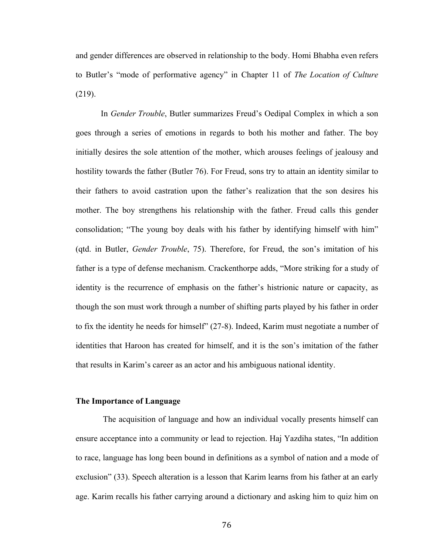and gender differences are observed in relationship to the body. Homi Bhabha even refers to Butler's "mode of performative agency" in Chapter 11 of *The Location of Culture* (219).

In *Gender Trouble*, Butler summarizes Freud's Oedipal Complex in which a son goes through a series of emotions in regards to both his mother and father. The boy initially desires the sole attention of the mother, which arouses feelings of jealousy and hostility towards the father (Butler 76). For Freud, sons try to attain an identity similar to their fathers to avoid castration upon the father's realization that the son desires his mother. The boy strengthens his relationship with the father. Freud calls this gender consolidation; "The young boy deals with his father by identifying himself with him" (qtd. in Butler, *Gender Trouble*, 75). Therefore, for Freud, the son's imitation of his father is a type of defense mechanism. Crackenthorpe adds, "More striking for a study of identity is the recurrence of emphasis on the father's histrionic nature or capacity, as though the son must work through a number of shifting parts played by his father in order to fix the identity he needs for himself" (27-8). Indeed, Karim must negotiate a number of identities that Haroon has created for himself, and it is the son's imitation of the father that results in Karim's career as an actor and his ambiguous national identity.

## **The Importance of Language**

The acquisition of language and how an individual vocally presents himself can ensure acceptance into a community or lead to rejection. Haj Yazdiha states, "In addition to race, language has long been bound in definitions as a symbol of nation and a mode of exclusion" (33). Speech alteration is a lesson that Karim learns from his father at an early age. Karim recalls his father carrying around a dictionary and asking him to quiz him on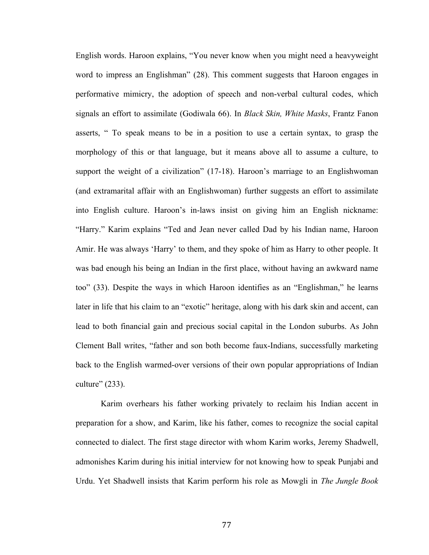English words. Haroon explains, "You never know when you might need a heavyweight word to impress an Englishman" (28). This comment suggests that Haroon engages in performative mimicry, the adoption of speech and non-verbal cultural codes, which signals an effort to assimilate (Godiwala 66). In *Black Skin, White Masks*, Frantz Fanon asserts, " To speak means to be in a position to use a certain syntax, to grasp the morphology of this or that language, but it means above all to assume a culture, to support the weight of a civilization" (17-18). Haroon's marriage to an Englishwoman (and extramarital affair with an Englishwoman) further suggests an effort to assimilate into English culture. Haroon's in-laws insist on giving him an English nickname: "Harry." Karim explains "Ted and Jean never called Dad by his Indian name, Haroon Amir. He was always 'Harry' to them, and they spoke of him as Harry to other people. It was bad enough his being an Indian in the first place, without having an awkward name too" (33). Despite the ways in which Haroon identifies as an "Englishman," he learns later in life that his claim to an "exotic" heritage, along with his dark skin and accent, can lead to both financial gain and precious social capital in the London suburbs. As John Clement Ball writes, "father and son both become faux-Indians, successfully marketing back to the English warmed-over versions of their own popular appropriations of Indian culture" (233).

Karim overhears his father working privately to reclaim his Indian accent in preparation for a show, and Karim, like his father, comes to recognize the social capital connected to dialect. The first stage director with whom Karim works, Jeremy Shadwell, admonishes Karim during his initial interview for not knowing how to speak Punjabi and Urdu. Yet Shadwell insists that Karim perform his role as Mowgli in *The Jungle Book*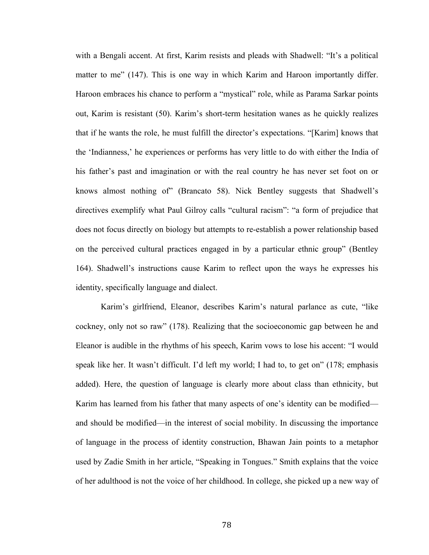with a Bengali accent. At first, Karim resists and pleads with Shadwell: "It's a political matter to me" (147). This is one way in which Karim and Haroon importantly differ. Haroon embraces his chance to perform a "mystical" role, while as Parama Sarkar points out, Karim is resistant (50). Karim's short-term hesitation wanes as he quickly realizes that if he wants the role, he must fulfill the director's expectations. "[Karim] knows that the 'Indianness,' he experiences or performs has very little to do with either the India of his father's past and imagination or with the real country he has never set foot on or knows almost nothing of" (Brancato 58). Nick Bentley suggests that Shadwell's directives exemplify what Paul Gilroy calls "cultural racism": "a form of prejudice that does not focus directly on biology but attempts to re-establish a power relationship based on the perceived cultural practices engaged in by a particular ethnic group" (Bentley 164). Shadwell's instructions cause Karim to reflect upon the ways he expresses his identity, specifically language and dialect.

Karim's girlfriend, Eleanor, describes Karim's natural parlance as cute, "like cockney, only not so raw" (178). Realizing that the socioeconomic gap between he and Eleanor is audible in the rhythms of his speech, Karim vows to lose his accent: "I would speak like her. It wasn't difficult. I'd left my world; I had to, to get on" (178; emphasis added). Here, the question of language is clearly more about class than ethnicity, but Karim has learned from his father that many aspects of one's identity can be modified and should be modified—in the interest of social mobility. In discussing the importance of language in the process of identity construction, Bhawan Jain points to a metaphor used by Zadie Smith in her article, "Speaking in Tongues." Smith explains that the voice of her adulthood is not the voice of her childhood. In college, she picked up a new way of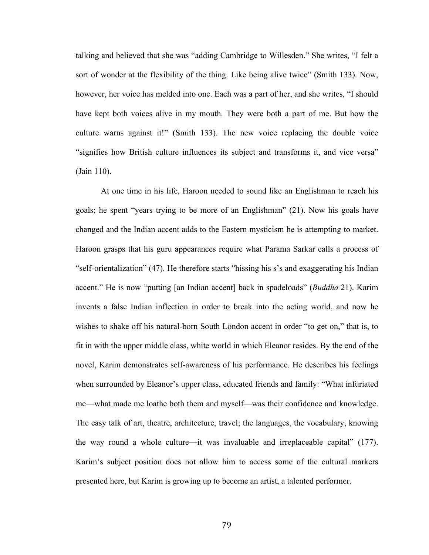talking and believed that she was "adding Cambridge to Willesden." She writes, "I felt a sort of wonder at the flexibility of the thing. Like being alive twice" (Smith 133). Now, however, her voice has melded into one. Each was a part of her, and she writes, "I should have kept both voices alive in my mouth. They were both a part of me. But how the culture warns against it!" (Smith 133). The new voice replacing the double voice "signifies how British culture influences its subject and transforms it, and vice versa" (Jain 110).

At one time in his life, Haroon needed to sound like an Englishman to reach his goals; he spent "years trying to be more of an Englishman" (21). Now his goals have changed and the Indian accent adds to the Eastern mysticism he is attempting to market. Haroon grasps that his guru appearances require what Parama Sarkar calls a process of "self-orientalization" (47). He therefore starts "hissing his s's and exaggerating his Indian accent." He is now "putting [an Indian accent] back in spadeloads" (*Buddha* 21). Karim invents a false Indian inflection in order to break into the acting world, and now he wishes to shake off his natural-born South London accent in order "to get on," that is, to fit in with the upper middle class, white world in which Eleanor resides. By the end of the novel, Karim demonstrates self-awareness of his performance. He describes his feelings when surrounded by Eleanor's upper class, educated friends and family: "What infuriated me—what made me loathe both them and myself—was their confidence and knowledge. The easy talk of art, theatre, architecture, travel; the languages, the vocabulary, knowing the way round a whole culture—it was invaluable and irreplaceable capital" (177). Karim's subject position does not allow him to access some of the cultural markers presented here, but Karim is growing up to become an artist, a talented performer.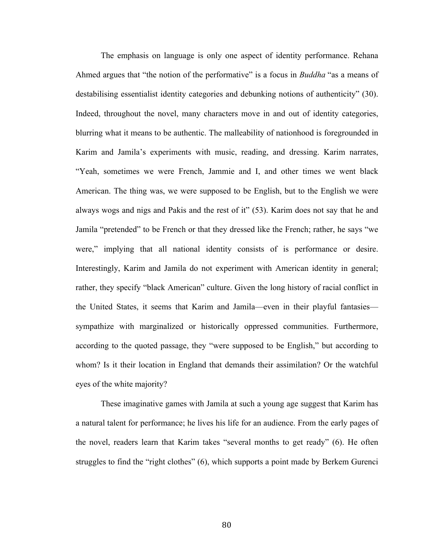The emphasis on language is only one aspect of identity performance. Rehana Ahmed argues that "the notion of the performative" is a focus in *Buddha* "as a means of destabilising essentialist identity categories and debunking notions of authenticity" (30). Indeed, throughout the novel, many characters move in and out of identity categories, blurring what it means to be authentic. The malleability of nationhood is foregrounded in Karim and Jamila's experiments with music, reading, and dressing. Karim narrates, "Yeah, sometimes we were French, Jammie and I, and other times we went black American. The thing was, we were supposed to be English, but to the English we were always wogs and nigs and Pakis and the rest of it" (53). Karim does not say that he and Jamila "pretended" to be French or that they dressed like the French; rather, he says "we were," implying that all national identity consists of is performance or desire. Interestingly, Karim and Jamila do not experiment with American identity in general; rather, they specify "black American" culture. Given the long history of racial conflict in the United States, it seems that Karim and Jamila—even in their playful fantasies sympathize with marginalized or historically oppressed communities. Furthermore, according to the quoted passage, they "were supposed to be English," but according to whom? Is it their location in England that demands their assimilation? Or the watchful eyes of the white majority?

These imaginative games with Jamila at such a young age suggest that Karim has a natural talent for performance; he lives his life for an audience. From the early pages of the novel, readers learn that Karim takes "several months to get ready" (6). He often struggles to find the "right clothes" (6), which supports a point made by Berkem Gurenci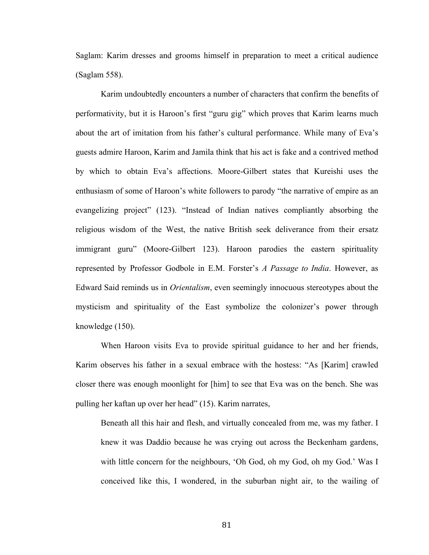Saglam: Karim dresses and grooms himself in preparation to meet a critical audience (Saglam 558).

Karim undoubtedly encounters a number of characters that confirm the benefits of performativity, but it is Haroon's first "guru gig" which proves that Karim learns much about the art of imitation from his father's cultural performance. While many of Eva's guests admire Haroon, Karim and Jamila think that his act is fake and a contrived method by which to obtain Eva's affections. Moore-Gilbert states that Kureishi uses the enthusiasm of some of Haroon's white followers to parody "the narrative of empire as an evangelizing project" (123). "Instead of Indian natives compliantly absorbing the religious wisdom of the West, the native British seek deliverance from their ersatz immigrant guru" (Moore-Gilbert 123). Haroon parodies the eastern spirituality represented by Professor Godbole in E.M. Forster's *A Passage to India*. However, as Edward Said reminds us in *Orientalism*, even seemingly innocuous stereotypes about the mysticism and spirituality of the East symbolize the colonizer's power through knowledge (150).

When Haroon visits Eva to provide spiritual guidance to her and her friends, Karim observes his father in a sexual embrace with the hostess: "As [Karim] crawled closer there was enough moonlight for [him] to see that Eva was on the bench. She was pulling her kaftan up over her head" (15). Karim narrates,

Beneath all this hair and flesh, and virtually concealed from me, was my father. I knew it was Daddio because he was crying out across the Beckenham gardens, with little concern for the neighbours, 'Oh God, oh my God, oh my God.' Was I conceived like this, I wondered, in the suburban night air, to the wailing of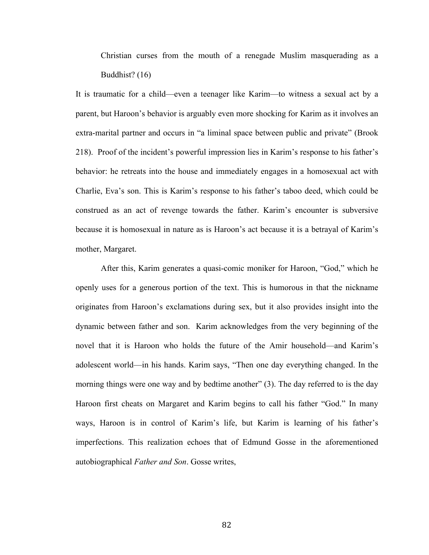Christian curses from the mouth of a renegade Muslim masquerading as a Buddhist? (16)

It is traumatic for a child—even a teenager like Karim—to witness a sexual act by a parent, but Haroon's behavior is arguably even more shocking for Karim as it involves an extra-marital partner and occurs in "a liminal space between public and private" (Brook 218). Proof of the incident's powerful impression lies in Karim's response to his father's behavior: he retreats into the house and immediately engages in a homosexual act with Charlie, Eva's son. This is Karim's response to his father's taboo deed, which could be construed as an act of revenge towards the father. Karim's encounter is subversive because it is homosexual in nature as is Haroon's act because it is a betrayal of Karim's mother, Margaret.

After this, Karim generates a quasi-comic moniker for Haroon, "God," which he openly uses for a generous portion of the text. This is humorous in that the nickname originates from Haroon's exclamations during sex, but it also provides insight into the dynamic between father and son. Karim acknowledges from the very beginning of the novel that it is Haroon who holds the future of the Amir household—and Karim's adolescent world—in his hands. Karim says, "Then one day everything changed. In the morning things were one way and by bedtime another" (3). The day referred to is the day Haroon first cheats on Margaret and Karim begins to call his father "God." In many ways, Haroon is in control of Karim's life, but Karim is learning of his father's imperfections. This realization echoes that of Edmund Gosse in the aforementioned autobiographical *Father and Son*. Gosse writes,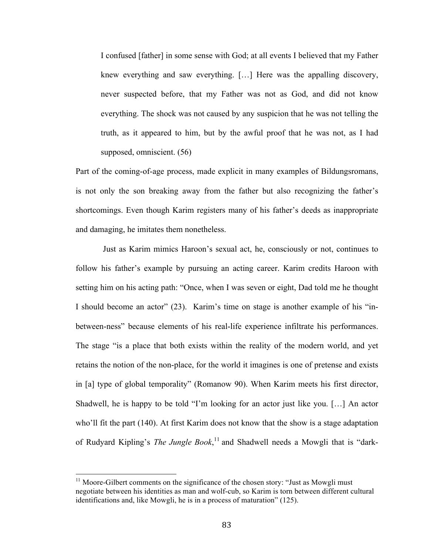I confused [father] in some sense with God; at all events I believed that my Father knew everything and saw everything. […] Here was the appalling discovery, never suspected before, that my Father was not as God, and did not know everything. The shock was not caused by any suspicion that he was not telling the truth, as it appeared to him, but by the awful proof that he was not, as I had supposed, omniscient. (56)

Part of the coming-of-age process, made explicit in many examples of Bildungsromans, is not only the son breaking away from the father but also recognizing the father's shortcomings. Even though Karim registers many of his father's deeds as inappropriate and damaging, he imitates them nonetheless.

Just as Karim mimics Haroon's sexual act, he, consciously or not, continues to follow his father's example by pursuing an acting career. Karim credits Haroon with setting him on his acting path: "Once, when I was seven or eight, Dad told me he thought I should become an actor" (23). Karim's time on stage is another example of his "inbetween-ness" because elements of his real-life experience infiltrate his performances. The stage "is a place that both exists within the reality of the modern world, and yet retains the notion of the non-place, for the world it imagines is one of pretense and exists in [a] type of global temporality" (Romanow 90). When Karim meets his first director, Shadwell, he is happy to be told "I'm looking for an actor just like you. […] An actor who'll fit the part (140). At first Karim does not know that the show is a stage adaptation of Rudyard Kipling's *The Jungle Book*, <sup>11</sup> and Shadwell needs a Mowgli that is "dark-

 $11$  Moore-Gilbert comments on the significance of the chosen story: "Just as Mowgli must negotiate between his identities as man and wolf-cub, so Karim is torn between different cultural identifications and, like Mowgli, he is in a process of maturation" (125).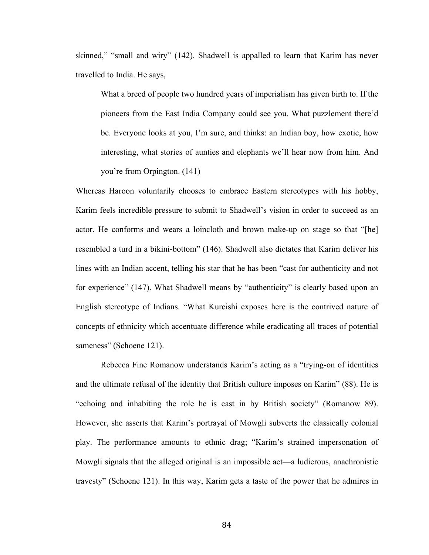skinned," "small and wiry" (142). Shadwell is appalled to learn that Karim has never travelled to India. He says,

What a breed of people two hundred years of imperialism has given birth to. If the pioneers from the East India Company could see you. What puzzlement there'd be. Everyone looks at you, I'm sure, and thinks: an Indian boy, how exotic, how interesting, what stories of aunties and elephants we'll hear now from him. And you're from Orpington. (141)

Whereas Haroon voluntarily chooses to embrace Eastern stereotypes with his hobby, Karim feels incredible pressure to submit to Shadwell's vision in order to succeed as an actor. He conforms and wears a loincloth and brown make-up on stage so that "[he] resembled a turd in a bikini-bottom" (146). Shadwell also dictates that Karim deliver his lines with an Indian accent, telling his star that he has been "cast for authenticity and not for experience" (147). What Shadwell means by "authenticity" is clearly based upon an English stereotype of Indians. "What Kureishi exposes here is the contrived nature of concepts of ethnicity which accentuate difference while eradicating all traces of potential sameness" (Schoene 121).

Rebecca Fine Romanow understands Karim's acting as a "trying-on of identities and the ultimate refusal of the identity that British culture imposes on Karim" (88). He is "echoing and inhabiting the role he is cast in by British society" (Romanow 89). However, she asserts that Karim's portrayal of Mowgli subverts the classically colonial play. The performance amounts to ethnic drag; "Karim's strained impersonation of Mowgli signals that the alleged original is an impossible act—a ludicrous, anachronistic travesty" (Schoene 121). In this way, Karim gets a taste of the power that he admires in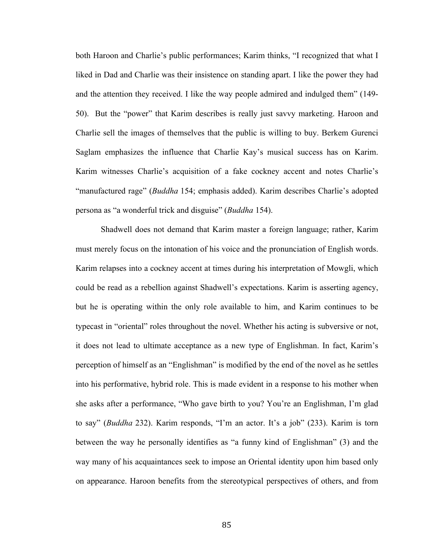both Haroon and Charlie's public performances; Karim thinks, "I recognized that what I liked in Dad and Charlie was their insistence on standing apart. I like the power they had and the attention they received. I like the way people admired and indulged them" (149- 50). But the "power" that Karim describes is really just savvy marketing. Haroon and Charlie sell the images of themselves that the public is willing to buy. Berkem Gurenci Saglam emphasizes the influence that Charlie Kay's musical success has on Karim. Karim witnesses Charlie's acquisition of a fake cockney accent and notes Charlie's "manufactured rage" (*Buddha* 154; emphasis added). Karim describes Charlie's adopted persona as "a wonderful trick and disguise" (*Buddha* 154).

Shadwell does not demand that Karim master a foreign language; rather, Karim must merely focus on the intonation of his voice and the pronunciation of English words. Karim relapses into a cockney accent at times during his interpretation of Mowgli, which could be read as a rebellion against Shadwell's expectations. Karim is asserting agency, but he is operating within the only role available to him, and Karim continues to be typecast in "oriental" roles throughout the novel. Whether his acting is subversive or not, it does not lead to ultimate acceptance as a new type of Englishman. In fact, Karim's perception of himself as an "Englishman" is modified by the end of the novel as he settles into his performative, hybrid role. This is made evident in a response to his mother when she asks after a performance, "Who gave birth to you? You're an Englishman, I'm glad to say" (*Buddha* 232). Karim responds, "I'm an actor. It's a job" (233). Karim is torn between the way he personally identifies as "a funny kind of Englishman" (3) and the way many of his acquaintances seek to impose an Oriental identity upon him based only on appearance. Haroon benefits from the stereotypical perspectives of others, and from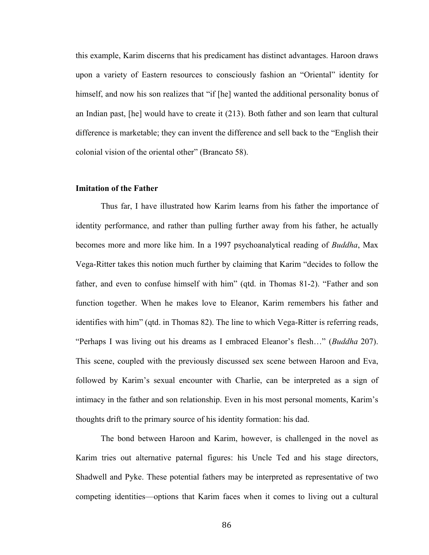this example, Karim discerns that his predicament has distinct advantages. Haroon draws upon a variety of Eastern resources to consciously fashion an "Oriental" identity for himself, and now his son realizes that "if [he] wanted the additional personality bonus of an Indian past, [he] would have to create it (213). Both father and son learn that cultural difference is marketable; they can invent the difference and sell back to the "English their colonial vision of the oriental other" (Brancato 58).

#### **Imitation of the Father**

Thus far, I have illustrated how Karim learns from his father the importance of identity performance, and rather than pulling further away from his father, he actually becomes more and more like him. In a 1997 psychoanalytical reading of *Buddha*, Max Vega-Ritter takes this notion much further by claiming that Karim "decides to follow the father, and even to confuse himself with him" (qtd. in Thomas 81-2). "Father and son function together. When he makes love to Eleanor, Karim remembers his father and identifies with him" (qtd. in Thomas 82). The line to which Vega-Ritter is referring reads, "Perhaps I was living out his dreams as I embraced Eleanor's flesh…" (*Buddha* 207). This scene, coupled with the previously discussed sex scene between Haroon and Eva, followed by Karim's sexual encounter with Charlie, can be interpreted as a sign of intimacy in the father and son relationship. Even in his most personal moments, Karim's thoughts drift to the primary source of his identity formation: his dad.

The bond between Haroon and Karim, however, is challenged in the novel as Karim tries out alternative paternal figures: his Uncle Ted and his stage directors, Shadwell and Pyke. These potential fathers may be interpreted as representative of two competing identities—options that Karim faces when it comes to living out a cultural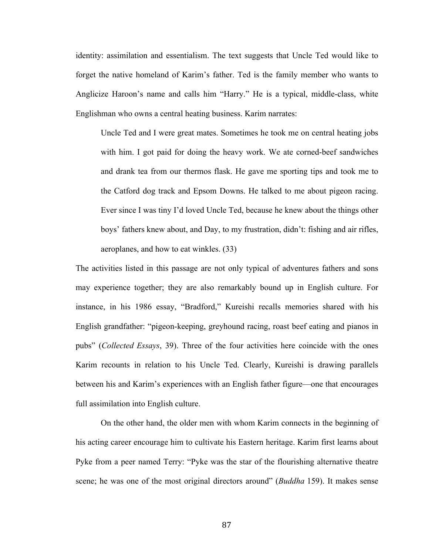identity: assimilation and essentialism. The text suggests that Uncle Ted would like to forget the native homeland of Karim's father. Ted is the family member who wants to Anglicize Haroon's name and calls him "Harry." He is a typical, middle-class, white Englishman who owns a central heating business. Karim narrates:

Uncle Ted and I were great mates. Sometimes he took me on central heating jobs with him. I got paid for doing the heavy work. We ate corned-beef sandwiches and drank tea from our thermos flask. He gave me sporting tips and took me to the Catford dog track and Epsom Downs. He talked to me about pigeon racing. Ever since I was tiny I'd loved Uncle Ted, because he knew about the things other boys' fathers knew about, and Day, to my frustration, didn't: fishing and air rifles, aeroplanes, and how to eat winkles. (33)

The activities listed in this passage are not only typical of adventures fathers and sons may experience together; they are also remarkably bound up in English culture. For instance, in his 1986 essay, "Bradford," Kureishi recalls memories shared with his English grandfather: "pigeon-keeping, greyhound racing, roast beef eating and pianos in pubs" (*Collected Essays*, 39). Three of the four activities here coincide with the ones Karim recounts in relation to his Uncle Ted. Clearly, Kureishi is drawing parallels between his and Karim's experiences with an English father figure—one that encourages full assimilation into English culture.

On the other hand, the older men with whom Karim connects in the beginning of his acting career encourage him to cultivate his Eastern heritage. Karim first learns about Pyke from a peer named Terry: "Pyke was the star of the flourishing alternative theatre scene; he was one of the most original directors around" (*Buddha* 159). It makes sense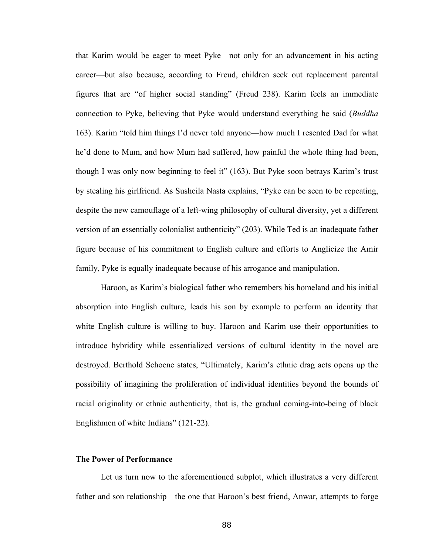that Karim would be eager to meet Pyke—not only for an advancement in his acting career—but also because, according to Freud, children seek out replacement parental figures that are "of higher social standing" (Freud 238). Karim feels an immediate connection to Pyke, believing that Pyke would understand everything he said (*Buddha* 163). Karim "told him things I'd never told anyone—how much I resented Dad for what he'd done to Mum, and how Mum had suffered, how painful the whole thing had been, though I was only now beginning to feel it" (163). But Pyke soon betrays Karim's trust by stealing his girlfriend. As Susheila Nasta explains, "Pyke can be seen to be repeating, despite the new camouflage of a left-wing philosophy of cultural diversity, yet a different version of an essentially colonialist authenticity" (203). While Ted is an inadequate father figure because of his commitment to English culture and efforts to Anglicize the Amir family, Pyke is equally inadequate because of his arrogance and manipulation.

Haroon, as Karim's biological father who remembers his homeland and his initial absorption into English culture, leads his son by example to perform an identity that white English culture is willing to buy. Haroon and Karim use their opportunities to introduce hybridity while essentialized versions of cultural identity in the novel are destroyed. Berthold Schoene states, "Ultimately, Karim's ethnic drag acts opens up the possibility of imagining the proliferation of individual identities beyond the bounds of racial originality or ethnic authenticity, that is, the gradual coming-into-being of black Englishmen of white Indians" (121-22).

#### **The Power of Performance**

Let us turn now to the aforementioned subplot, which illustrates a very different father and son relationship—the one that Haroon's best friend, Anwar, attempts to forge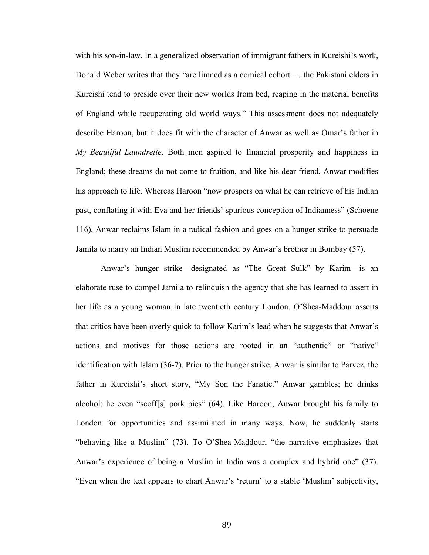with his son-in-law. In a generalized observation of immigrant fathers in Kureishi's work, Donald Weber writes that they "are limned as a comical cohort … the Pakistani elders in Kureishi tend to preside over their new worlds from bed, reaping in the material benefits of England while recuperating old world ways." This assessment does not adequately describe Haroon, but it does fit with the character of Anwar as well as Omar's father in *My Beautiful Laundrette*. Both men aspired to financial prosperity and happiness in England; these dreams do not come to fruition, and like his dear friend, Anwar modifies his approach to life. Whereas Haroon "now prospers on what he can retrieve of his Indian past, conflating it with Eva and her friends' spurious conception of Indianness" (Schoene 116), Anwar reclaims Islam in a radical fashion and goes on a hunger strike to persuade Jamila to marry an Indian Muslim recommended by Anwar's brother in Bombay (57).

Anwar's hunger strike—designated as "The Great Sulk" by Karim—is an elaborate ruse to compel Jamila to relinquish the agency that she has learned to assert in her life as a young woman in late twentieth century London. O'Shea-Maddour asserts that critics have been overly quick to follow Karim's lead when he suggests that Anwar's actions and motives for those actions are rooted in an "authentic" or "native" identification with Islam (36-7). Prior to the hunger strike, Anwar is similar to Parvez, the father in Kureishi's short story, "My Son the Fanatic." Anwar gambles; he drinks alcohol; he even "scoff[s] pork pies" (64). Like Haroon, Anwar brought his family to London for opportunities and assimilated in many ways. Now, he suddenly starts "behaving like a Muslim" (73). To O'Shea-Maddour, "the narrative emphasizes that Anwar's experience of being a Muslim in India was a complex and hybrid one" (37). "Even when the text appears to chart Anwar's 'return' to a stable 'Muslim' subjectivity,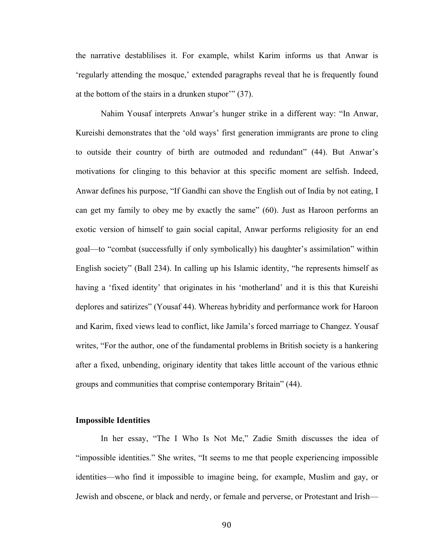the narrative destablilises it. For example, whilst Karim informs us that Anwar is 'regularly attending the mosque,' extended paragraphs reveal that he is frequently found at the bottom of the stairs in a drunken stupor'" (37).

Nahim Yousaf interprets Anwar's hunger strike in a different way: "In Anwar, Kureishi demonstrates that the 'old ways' first generation immigrants are prone to cling to outside their country of birth are outmoded and redundant" (44). But Anwar's motivations for clinging to this behavior at this specific moment are selfish. Indeed, Anwar defines his purpose, "If Gandhi can shove the English out of India by not eating, I can get my family to obey me by exactly the same" (60). Just as Haroon performs an exotic version of himself to gain social capital, Anwar performs religiosity for an end goal—to "combat (successfully if only symbolically) his daughter's assimilation" within English society" (Ball 234). In calling up his Islamic identity, "he represents himself as having a 'fixed identity' that originates in his 'motherland' and it is this that Kureishi deplores and satirizes" (Yousaf 44). Whereas hybridity and performance work for Haroon and Karim, fixed views lead to conflict, like Jamila's forced marriage to Changez. Yousaf writes, "For the author, one of the fundamental problems in British society is a hankering after a fixed, unbending, originary identity that takes little account of the various ethnic groups and communities that comprise contemporary Britain" (44).

#### **Impossible Identities**

In her essay, "The I Who Is Not Me," Zadie Smith discusses the idea of "impossible identities." She writes, "It seems to me that people experiencing impossible identities—who find it impossible to imagine being, for example, Muslim and gay, or Jewish and obscene, or black and nerdy, or female and perverse, or Protestant and Irish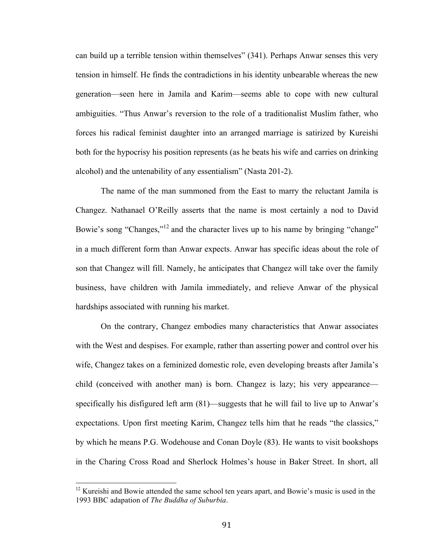can build up a terrible tension within themselves" (341). Perhaps Anwar senses this very tension in himself. He finds the contradictions in his identity unbearable whereas the new generation—seen here in Jamila and Karim—seems able to cope with new cultural ambiguities. "Thus Anwar's reversion to the role of a traditionalist Muslim father, who forces his radical feminist daughter into an arranged marriage is satirized by Kureishi both for the hypocrisy his position represents (as he beats his wife and carries on drinking alcohol) and the untenability of any essentialism" (Nasta 201-2).

The name of the man summoned from the East to marry the reluctant Jamila is Changez. Nathanael O'Reilly asserts that the name is most certainly a nod to David Bowie's song "Changes,"<sup>12</sup> and the character lives up to his name by bringing "change" in a much different form than Anwar expects. Anwar has specific ideas about the role of son that Changez will fill. Namely, he anticipates that Changez will take over the family business, have children with Jamila immediately, and relieve Anwar of the physical hardships associated with running his market.

On the contrary, Changez embodies many characteristics that Anwar associates with the West and despises. For example, rather than asserting power and control over his wife, Changez takes on a feminized domestic role, even developing breasts after Jamila's child (conceived with another man) is born. Changez is lazy; his very appearance specifically his disfigured left arm (81)—suggests that he will fail to live up to Anwar's expectations. Upon first meeting Karim, Changez tells him that he reads "the classics," by which he means P.G. Wodehouse and Conan Doyle (83). He wants to visit bookshops in the Charing Cross Road and Sherlock Holmes's house in Baker Street. In short, all

 $12$  Kureishi and Bowie attended the same school ten years apart, and Bowie's music is used in the 1993 BBC adapation of *The Buddha of Suburbia*.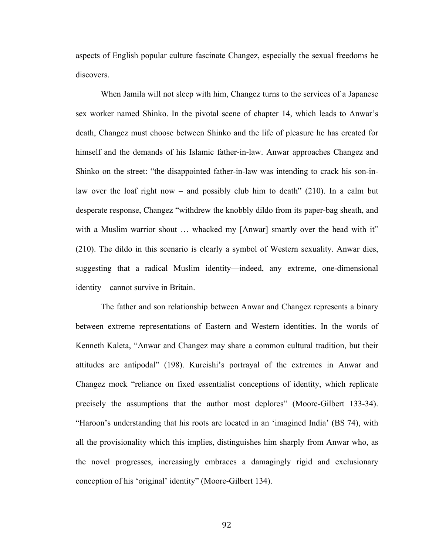aspects of English popular culture fascinate Changez, especially the sexual freedoms he discovers.

When Jamila will not sleep with him, Changez turns to the services of a Japanese sex worker named Shinko. In the pivotal scene of chapter 14, which leads to Anwar's death, Changez must choose between Shinko and the life of pleasure he has created for himself and the demands of his Islamic father-in-law. Anwar approaches Changez and Shinko on the street: "the disappointed father-in-law was intending to crack his son-inlaw over the loaf right now – and possibly club him to death"  $(210)$ . In a calm but desperate response, Changez "withdrew the knobbly dildo from its paper-bag sheath, and with a Muslim warrior shout ... whacked my [Anwar] smartly over the head with it" (210). The dildo in this scenario is clearly a symbol of Western sexuality. Anwar dies, suggesting that a radical Muslim identity—indeed, any extreme, one-dimensional identity—cannot survive in Britain.

The father and son relationship between Anwar and Changez represents a binary between extreme representations of Eastern and Western identities. In the words of Kenneth Kaleta, "Anwar and Changez may share a common cultural tradition, but their attitudes are antipodal" (198). Kureishi's portrayal of the extremes in Anwar and Changez mock "reliance on fixed essentialist conceptions of identity, which replicate precisely the assumptions that the author most deplores" (Moore-Gilbert 133-34). "Haroon's understanding that his roots are located in an 'imagined India' (BS 74), with all the provisionality which this implies, distinguishes him sharply from Anwar who, as the novel progresses, increasingly embraces a damagingly rigid and exclusionary conception of his 'original' identity" (Moore-Gilbert 134).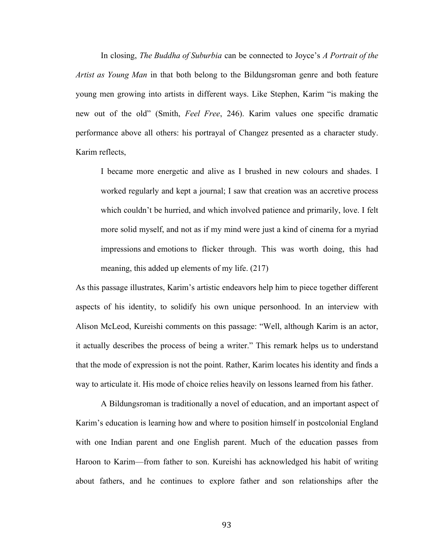In closing, *The Buddha of Suburbia* can be connected to Joyce's *A Portrait of the Artist as Young Man* in that both belong to the Bildungsroman genre and both feature young men growing into artists in different ways. Like Stephen, Karim "is making the new out of the old" (Smith, *Feel Free*, 246). Karim values one specific dramatic performance above all others: his portrayal of Changez presented as a character study. Karim reflects,

I became more energetic and alive as I brushed in new colours and shades. I worked regularly and kept a journal; I saw that creation was an accretive process which couldn't be hurried, and which involved patience and primarily, love. I felt more solid myself, and not as if my mind were just a kind of cinema for a myriad impressions and emotions to flicker through. This was worth doing, this had meaning, this added up elements of my life. (217)

As this passage illustrates, Karim's artistic endeavors help him to piece together different aspects of his identity, to solidify his own unique personhood. In an interview with Alison McLeod, Kureishi comments on this passage: "Well, although Karim is an actor, it actually describes the process of being a writer." This remark helps us to understand that the mode of expression is not the point. Rather, Karim locates his identity and finds a way to articulate it. His mode of choice relies heavily on lessons learned from his father.

A Bildungsroman is traditionally a novel of education, and an important aspect of Karim's education is learning how and where to position himself in postcolonial England with one Indian parent and one English parent. Much of the education passes from Haroon to Karim—from father to son. Kureishi has acknowledged his habit of writing about fathers, and he continues to explore father and son relationships after the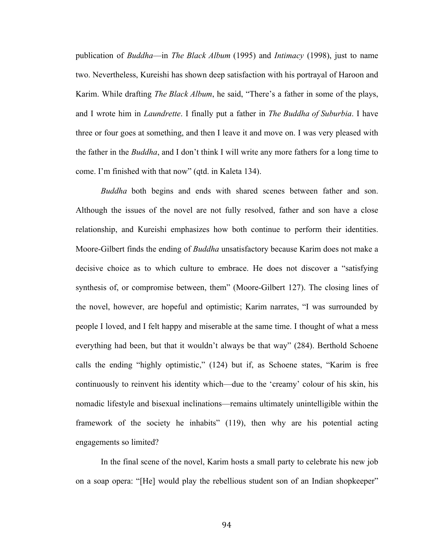publication of *Buddha*—in *The Black Album* (1995) and *Intimacy* (1998), just to name two. Nevertheless, Kureishi has shown deep satisfaction with his portrayal of Haroon and Karim. While drafting *The Black Album*, he said, "There's a father in some of the plays, and I wrote him in *Laundrette*. I finally put a father in *The Buddha of Suburbia*. I have three or four goes at something, and then I leave it and move on. I was very pleased with the father in the *Buddha*, and I don't think I will write any more fathers for a long time to come. I'm finished with that now" (qtd. in Kaleta 134).

*Buddha* both begins and ends with shared scenes between father and son. Although the issues of the novel are not fully resolved, father and son have a close relationship, and Kureishi emphasizes how both continue to perform their identities. Moore-Gilbert finds the ending of *Buddha* unsatisfactory because Karim does not make a decisive choice as to which culture to embrace. He does not discover a "satisfying synthesis of, or compromise between, them" (Moore-Gilbert 127). The closing lines of the novel, however, are hopeful and optimistic; Karim narrates, "I was surrounded by people I loved, and I felt happy and miserable at the same time. I thought of what a mess everything had been, but that it wouldn't always be that way" (284). Berthold Schoene calls the ending "highly optimistic," (124) but if, as Schoene states, "Karim is free continuously to reinvent his identity which—due to the 'creamy' colour of his skin, his nomadic lifestyle and bisexual inclinations—remains ultimately unintelligible within the framework of the society he inhabits" (119), then why are his potential acting engagements so limited?

In the final scene of the novel, Karim hosts a small party to celebrate his new job on a soap opera: "[He] would play the rebellious student son of an Indian shopkeeper"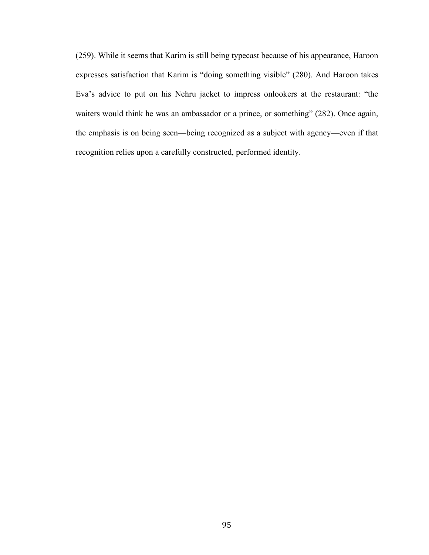(259). While it seems that Karim is still being typecast because of his appearance, Haroon expresses satisfaction that Karim is "doing something visible" (280). And Haroon takes Eva's advice to put on his Nehru jacket to impress onlookers at the restaurant: "the waiters would think he was an ambassador or a prince, or something" (282). Once again, the emphasis is on being seen—being recognized as a subject with agency—even if that recognition relies upon a carefully constructed, performed identity.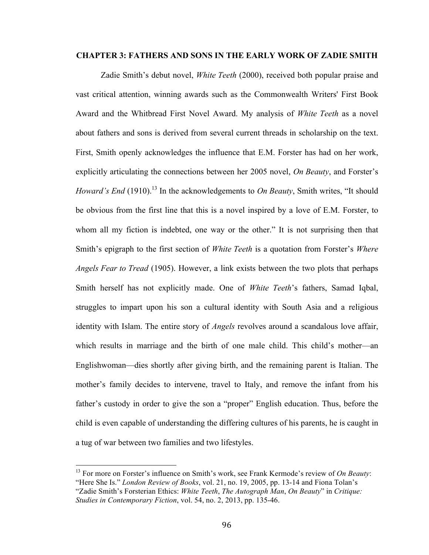#### **CHAPTER 3: FATHERS AND SONS IN THE EARLY WORK OF ZADIE SMITH**

Zadie Smith's debut novel, *White Teeth* (2000), received both popular praise and vast critical attention, winning awards such as the Commonwealth Writers' First Book Award and the Whitbread First Novel Award. My analysis of *White Teeth* as a novel about fathers and sons is derived from several current threads in scholarship on the text. First, Smith openly acknowledges the influence that E.M. Forster has had on her work, explicitly articulating the connections between her 2005 novel, *On Beauty*, and Forster's *Howard's End* (1910).<sup>13</sup> In the acknowledgements to *On Beauty*, Smith writes, "It should be obvious from the first line that this is a novel inspired by a love of E.M. Forster, to whom all my fiction is indebted, one way or the other." It is not surprising then that Smith's epigraph to the first section of *White Teeth* is a quotation from Forster's *Where Angels Fear to Tread* (1905). However, a link exists between the two plots that perhaps Smith herself has not explicitly made. One of *White Teeth*'s fathers, Samad Iqbal, struggles to impart upon his son a cultural identity with South Asia and a religious identity with Islam. The entire story of *Angels* revolves around a scandalous love affair, which results in marriage and the birth of one male child. This child's mother—an Englishwoman—dies shortly after giving birth, and the remaining parent is Italian. The mother's family decides to intervene, travel to Italy, and remove the infant from his father's custody in order to give the son a "proper" English education. Thus, before the child is even capable of understanding the differing cultures of his parents, he is caught in a tug of war between two families and two lifestyles.

 <sup>13</sup> For more on Forster's influence on Smith's work, see Frank Kermode's review of *On Beauty*: "Here She Is." *London Review of Books*, vol. 21, no. 19, 2005, pp. 13-14 and Fiona Tolan's "Zadie Smith's Forsterian Ethics: *White Teeth*, *The Autograph Man*, *On Beauty*" in *Critique: Studies in Contemporary Fiction*, vol. 54, no. 2, 2013, pp. 135-46.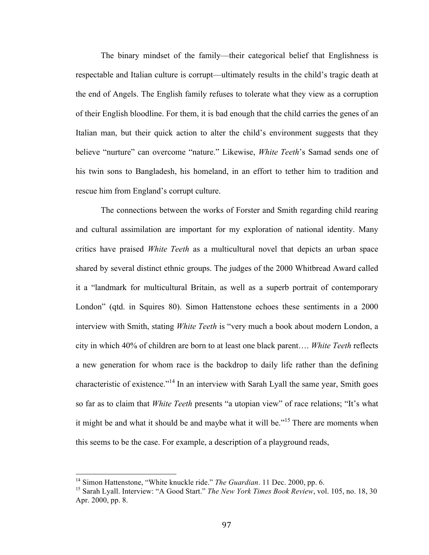The binary mindset of the family—their categorical belief that Englishness is respectable and Italian culture is corrupt—ultimately results in the child's tragic death at the end of Angels. The English family refuses to tolerate what they view as a corruption of their English bloodline. For them, it is bad enough that the child carries the genes of an Italian man, but their quick action to alter the child's environment suggests that they believe "nurture" can overcome "nature." Likewise, *White Teeth*'s Samad sends one of his twin sons to Bangladesh, his homeland, in an effort to tether him to tradition and rescue him from England's corrupt culture.

The connections between the works of Forster and Smith regarding child rearing and cultural assimilation are important for my exploration of national identity. Many critics have praised *White Teeth* as a multicultural novel that depicts an urban space shared by several distinct ethnic groups. The judges of the 2000 Whitbread Award called it a "landmark for multicultural Britain, as well as a superb portrait of contemporary London" (qtd. in Squires 80). Simon Hattenstone echoes these sentiments in a 2000 interview with Smith, stating *White Teeth* is "very much a book about modern London, a city in which 40% of children are born to at least one black parent…. *White Teeth* reflects a new generation for whom race is the backdrop to daily life rather than the defining characteristic of existence."<sup>14</sup> In an interview with Sarah Lyall the same year, Smith goes so far as to claim that *White Teeth* presents "a utopian view" of race relations; "It's what it might be and what it should be and maybe what it will be.<sup>"15</sup> There are moments when this seems to be the case. For example, a description of a playground reads,

<sup>&</sup>lt;sup>14</sup> Simon Hattenstone, "White knuckle ride." *The Guardian*. 11 Dec. 2000, pp. 6.

<sup>15</sup> Sarah Lyall. Interview: "A Good Start." *The New York Times Book Review*, vol. 105, no. 18, 30 Apr. 2000, pp. 8.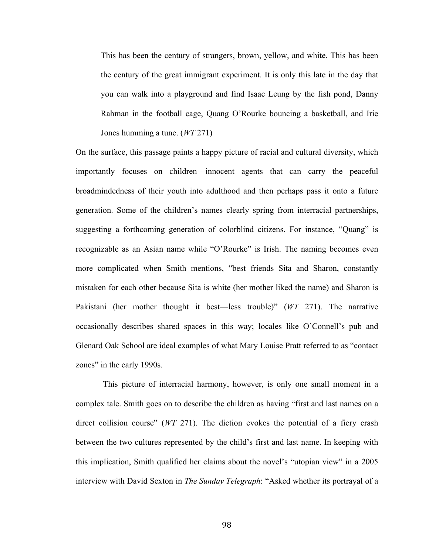This has been the century of strangers, brown, yellow, and white. This has been the century of the great immigrant experiment. It is only this late in the day that you can walk into a playground and find Isaac Leung by the fish pond, Danny Rahman in the football cage, Quang O'Rourke bouncing a basketball, and Irie Jones humming a tune. (*WT* 271)

On the surface, this passage paints a happy picture of racial and cultural diversity, which importantly focuses on children—innocent agents that can carry the peaceful broadmindedness of their youth into adulthood and then perhaps pass it onto a future generation. Some of the children's names clearly spring from interracial partnerships, suggesting a forthcoming generation of colorblind citizens. For instance, "Quang" is recognizable as an Asian name while "O'Rourke" is Irish. The naming becomes even more complicated when Smith mentions, "best friends Sita and Sharon, constantly mistaken for each other because Sita is white (her mother liked the name) and Sharon is Pakistani (her mother thought it best—less trouble)" (*WT* 271). The narrative occasionally describes shared spaces in this way; locales like O'Connell's pub and Glenard Oak School are ideal examples of what Mary Louise Pratt referred to as "contact zones" in the early 1990s.

This picture of interracial harmony, however, is only one small moment in a complex tale. Smith goes on to describe the children as having "first and last names on a direct collision course" (*WT* 271). The diction evokes the potential of a fiery crash between the two cultures represented by the child's first and last name. In keeping with this implication, Smith qualified her claims about the novel's "utopian view" in a 2005 interview with David Sexton in *The Sunday Telegraph*: "Asked whether its portrayal of a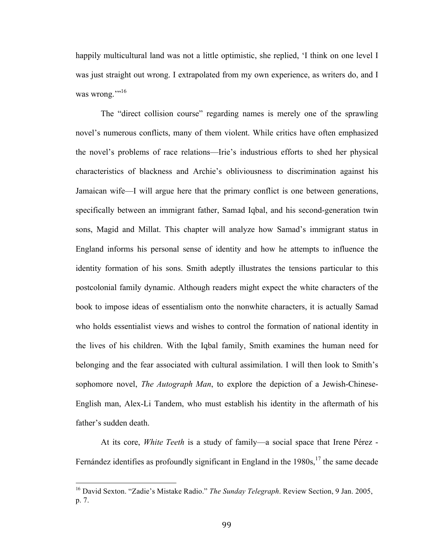happily multicultural land was not a little optimistic, she replied, 'I think on one level I was just straight out wrong. I extrapolated from my own experience, as writers do, and I was wrong.""<sup>16</sup>

The "direct collision course" regarding names is merely one of the sprawling novel's numerous conflicts, many of them violent. While critics have often emphasized the novel's problems of race relations—Irie's industrious efforts to shed her physical characteristics of blackness and Archie's obliviousness to discrimination against his Jamaican wife—I will argue here that the primary conflict is one between generations, specifically between an immigrant father, Samad Iqbal, and his second-generation twin sons, Magid and Millat. This chapter will analyze how Samad's immigrant status in England informs his personal sense of identity and how he attempts to influence the identity formation of his sons. Smith adeptly illustrates the tensions particular to this postcolonial family dynamic. Although readers might expect the white characters of the book to impose ideas of essentialism onto the nonwhite characters, it is actually Samad who holds essentialist views and wishes to control the formation of national identity in the lives of his children. With the Iqbal family, Smith examines the human need for belonging and the fear associated with cultural assimilation. I will then look to Smith's sophomore novel, *The Autograph Man*, to explore the depiction of a Jewish-Chinese-English man, Alex-Li Tandem, who must establish his identity in the aftermath of his father's sudden death.

At its core, *White Teeth* is a study of family—a social space that Irene Pérez - Fernández identifies as profoundly significant in England in the 1980s,<sup>17</sup> the same decade

 

<sup>16</sup> David Sexton. "Zadie's Mistake Radio." *The Sunday Telegraph*. Review Section, 9 Jan. 2005, p. 7.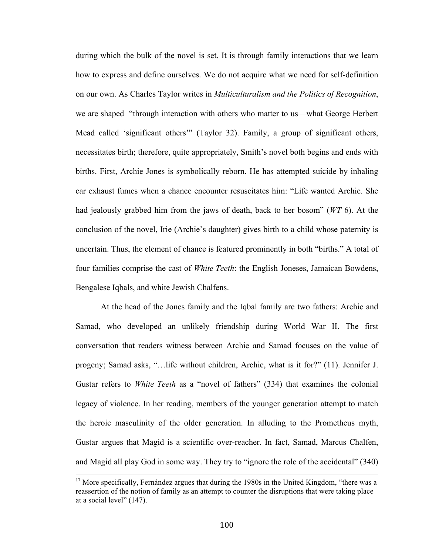during which the bulk of the novel is set. It is through family interactions that we learn how to express and define ourselves. We do not acquire what we need for self-definition on our own. As Charles Taylor writes in *Multiculturalism and the Politics of Recognition*, we are shaped "through interaction with others who matter to us—what George Herbert Mead called 'significant others'" (Taylor 32). Family, a group of significant others, necessitates birth; therefore, quite appropriately, Smith's novel both begins and ends with births. First, Archie Jones is symbolically reborn. He has attempted suicide by inhaling car exhaust fumes when a chance encounter resuscitates him: "Life wanted Archie. She had jealously grabbed him from the jaws of death, back to her bosom" (*WT* 6). At the conclusion of the novel, Irie (Archie's daughter) gives birth to a child whose paternity is uncertain. Thus, the element of chance is featured prominently in both "births." A total of four families comprise the cast of *White Teeth*: the English Joneses, Jamaican Bowdens, Bengalese Iqbals, and white Jewish Chalfens.

At the head of the Jones family and the Iqbal family are two fathers: Archie and Samad, who developed an unlikely friendship during World War II. The first conversation that readers witness between Archie and Samad focuses on the value of progeny; Samad asks, "…life without children, Archie, what is it for?" (11). Jennifer J. Gustar refers to *White Teeth* as a "novel of fathers" (334) that examines the colonial legacy of violence. In her reading, members of the younger generation attempt to match the heroic masculinity of the older generation. In alluding to the Prometheus myth, Gustar argues that Magid is a scientific over-reacher. In fact, Samad, Marcus Chalfen, and Magid all play God in some way. They try to "ignore the role of the accidental" (340)

<u> 1989 - Andrea Santa Andrea Andrea Andrea Andrea Andrea Andrea Andrea Andrea Andrea Andrea Andrea Andrea Andr</u>

 $17$  More specifically, Fernández argues that during the 1980s in the United Kingdom, "there was a reassertion of the notion of family as an attempt to counter the disruptions that were taking place at a social level" (147).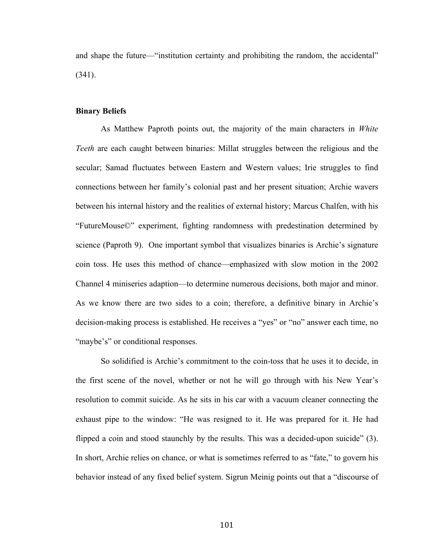and shape the future—"institution certainty and prohibiting the random, the accidental" (341).

#### **Binary Beliefs**

As Matthew Paproth points out, the majority of the main characters in *White Teeth* are each caught between binaries: Millat struggles between the religious and the secular; Samad fluctuates between Eastern and Western values; Irie struggles to find connections between her family's colonial past and her present situation; Archie wavers between his internal history and the realities of external history; Marcus Chalfen, with his "FutureMouse©" experiment, fighting randomness with predestination determined by science (Paproth 9). One important symbol that visualizes binaries is Archie's signature coin toss. He uses this method of chance—emphasized with slow motion in the 2002 Channel 4 miniseries adaption—to determine numerous decisions, both major and minor. As we know there are two sides to a coin; therefore, a definitive binary in Archie's decision-making process is established. He receives a "yes" or "no" answer each time, no "maybe's" or conditional responses.

So solidified is Archie's commitment to the coin-toss that he uses it to decide, in the first scene of the novel, whether or not he will go through with his New Year's resolution to commit suicide. As he sits in his car with a vacuum cleaner connecting the exhaust pipe to the window: "He was resigned to it. He was prepared for it. He had flipped a coin and stood staunchly by the results. This was a decided-upon suicide" (3). In short, Archie relies on chance, or what is sometimes referred to as "fate," to govern his behavior instead of any fixed belief system. Sigrun Meinig points out that a "discourse of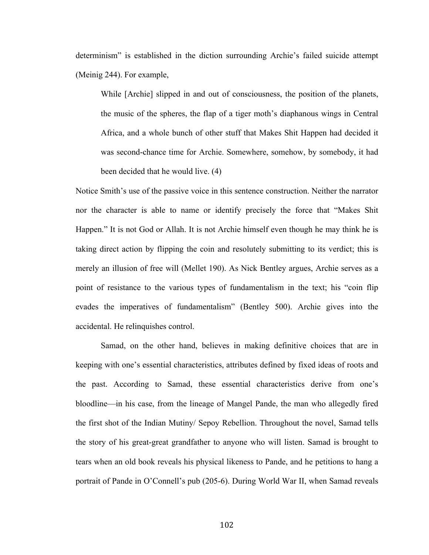determinism" is established in the diction surrounding Archie's failed suicide attempt (Meinig 244). For example,

While [Archie] slipped in and out of consciousness, the position of the planets, the music of the spheres, the flap of a tiger moth's diaphanous wings in Central Africa, and a whole bunch of other stuff that Makes Shit Happen had decided it was second-chance time for Archie. Somewhere, somehow, by somebody, it had been decided that he would live. (4)

Notice Smith's use of the passive voice in this sentence construction. Neither the narrator nor the character is able to name or identify precisely the force that "Makes Shit Happen." It is not God or Allah. It is not Archie himself even though he may think he is taking direct action by flipping the coin and resolutely submitting to its verdict; this is merely an illusion of free will (Mellet 190). As Nick Bentley argues, Archie serves as a point of resistance to the various types of fundamentalism in the text; his "coin flip evades the imperatives of fundamentalism" (Bentley 500). Archie gives into the accidental. He relinquishes control.

Samad, on the other hand, believes in making definitive choices that are in keeping with one's essential characteristics, attributes defined by fixed ideas of roots and the past. According to Samad, these essential characteristics derive from one's bloodline—in his case, from the lineage of Mangel Pande, the man who allegedly fired the first shot of the Indian Mutiny/ Sepoy Rebellion. Throughout the novel, Samad tells the story of his great-great grandfather to anyone who will listen. Samad is brought to tears when an old book reveals his physical likeness to Pande, and he petitions to hang a portrait of Pande in O'Connell's pub (205-6). During World War II, when Samad reveals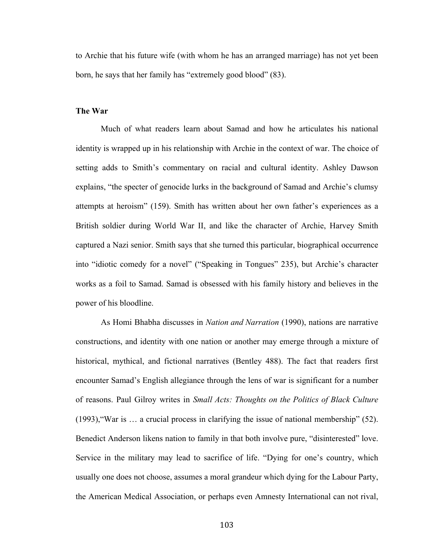to Archie that his future wife (with whom he has an arranged marriage) has not yet been born, he says that her family has "extremely good blood" (83).

#### **The War**

Much of what readers learn about Samad and how he articulates his national identity is wrapped up in his relationship with Archie in the context of war. The choice of setting adds to Smith's commentary on racial and cultural identity. Ashley Dawson explains, "the specter of genocide lurks in the background of Samad and Archie's clumsy attempts at heroism" (159). Smith has written about her own father's experiences as a British soldier during World War II, and like the character of Archie, Harvey Smith captured a Nazi senior. Smith says that she turned this particular, biographical occurrence into "idiotic comedy for a novel" ("Speaking in Tongues" 235), but Archie's character works as a foil to Samad. Samad is obsessed with his family history and believes in the power of his bloodline.

As Homi Bhabha discusses in *Nation and Narration* (1990), nations are narrative constructions, and identity with one nation or another may emerge through a mixture of historical, mythical, and fictional narratives (Bentley 488). The fact that readers first encounter Samad's English allegiance through the lens of war is significant for a number of reasons. Paul Gilroy writes in *Small Acts: Thoughts on the Politics of Black Culture* (1993),"War is … a crucial process in clarifying the issue of national membership" (52). Benedict Anderson likens nation to family in that both involve pure, "disinterested" love. Service in the military may lead to sacrifice of life. "Dying for one's country, which usually one does not choose, assumes a moral grandeur which dying for the Labour Party, the American Medical Association, or perhaps even Amnesty International can not rival,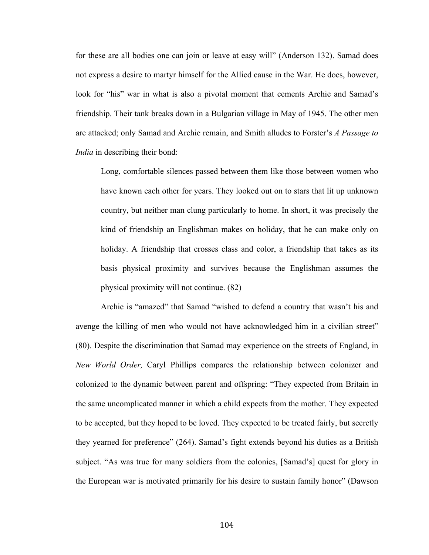for these are all bodies one can join or leave at easy will" (Anderson 132). Samad does not express a desire to martyr himself for the Allied cause in the War. He does, however, look for "his" war in what is also a pivotal moment that cements Archie and Samad's friendship. Their tank breaks down in a Bulgarian village in May of 1945. The other men are attacked; only Samad and Archie remain, and Smith alludes to Forster's *A Passage to India* in describing their bond:

Long, comfortable silences passed between them like those between women who have known each other for years. They looked out on to stars that lit up unknown country, but neither man clung particularly to home. In short, it was precisely the kind of friendship an Englishman makes on holiday, that he can make only on holiday. A friendship that crosses class and color, a friendship that takes as its basis physical proximity and survives because the Englishman assumes the physical proximity will not continue. (82)

Archie is "amazed" that Samad "wished to defend a country that wasn't his and avenge the killing of men who would not have acknowledged him in a civilian street" (80). Despite the discrimination that Samad may experience on the streets of England, in *New World Order,* Caryl Phillips compares the relationship between colonizer and colonized to the dynamic between parent and offspring: "They expected from Britain in the same uncomplicated manner in which a child expects from the mother. They expected to be accepted, but they hoped to be loved. They expected to be treated fairly, but secretly they yearned for preference" (264). Samad's fight extends beyond his duties as a British subject. "As was true for many soldiers from the colonies, [Samad's] quest for glory in the European war is motivated primarily for his desire to sustain family honor" (Dawson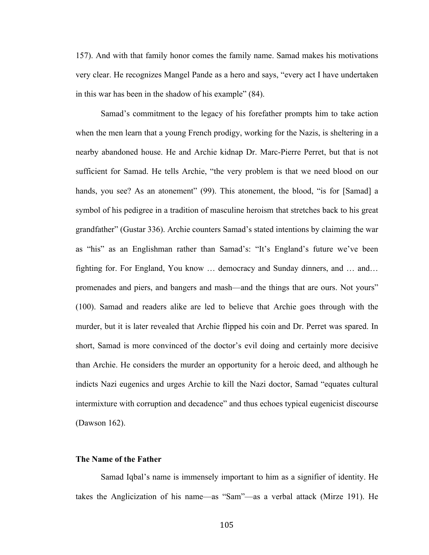157). And with that family honor comes the family name. Samad makes his motivations very clear. He recognizes Mangel Pande as a hero and says, "every act I have undertaken in this war has been in the shadow of his example" (84).

Samad's commitment to the legacy of his forefather prompts him to take action when the men learn that a young French prodigy, working for the Nazis, is sheltering in a nearby abandoned house. He and Archie kidnap Dr. Marc-Pierre Perret, but that is not sufficient for Samad. He tells Archie, "the very problem is that we need blood on our hands, you see? As an atonement" (99). This atonement, the blood, "is for [Samad] a symbol of his pedigree in a tradition of masculine heroism that stretches back to his great grandfather" (Gustar 336). Archie counters Samad's stated intentions by claiming the war as "his" as an Englishman rather than Samad's: "It's England's future we've been fighting for. For England, You know … democracy and Sunday dinners, and … and… promenades and piers, and bangers and mash—and the things that are ours. Not yours" (100). Samad and readers alike are led to believe that Archie goes through with the murder, but it is later revealed that Archie flipped his coin and Dr. Perret was spared. In short, Samad is more convinced of the doctor's evil doing and certainly more decisive than Archie. He considers the murder an opportunity for a heroic deed, and although he indicts Nazi eugenics and urges Archie to kill the Nazi doctor, Samad "equates cultural intermixture with corruption and decadence" and thus echoes typical eugenicist discourse (Dawson 162).

# **The Name of the Father**

Samad Iqbal's name is immensely important to him as a signifier of identity. He takes the Anglicization of his name—as "Sam"—as a verbal attack (Mirze 191). He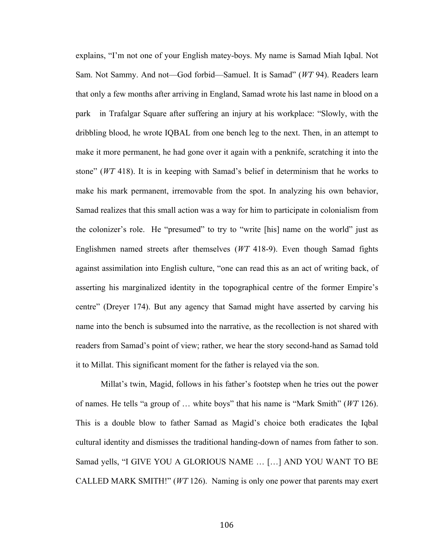explains, "I'm not one of your English matey-boys. My name is Samad Miah Iqbal. Not Sam. Not Sammy. And not—God forbid—Samuel. It is Samad" (*WT* 94). Readers learn that only a few months after arriving in England, Samad wrote his last name in blood on a park in Trafalgar Square after suffering an injury at his workplace: "Slowly, with the dribbling blood, he wrote IQBAL from one bench leg to the next. Then, in an attempt to make it more permanent, he had gone over it again with a penknife, scratching it into the stone" (*WT* 418). It is in keeping with Samad's belief in determinism that he works to make his mark permanent, irremovable from the spot. In analyzing his own behavior, Samad realizes that this small action was a way for him to participate in colonialism from the colonizer's role. He "presumed" to try to "write [his] name on the world" just as Englishmen named streets after themselves (*WT* 418-9). Even though Samad fights against assimilation into English culture, "one can read this as an act of writing back, of asserting his marginalized identity in the topographical centre of the former Empire's centre" (Dreyer 174). But any agency that Samad might have asserted by carving his name into the bench is subsumed into the narrative, as the recollection is not shared with readers from Samad's point of view; rather, we hear the story second-hand as Samad told it to Millat. This significant moment for the father is relayed via the son.

Millat's twin, Magid, follows in his father's footstep when he tries out the power of names. He tells "a group of … white boys" that his name is "Mark Smith" (*WT* 126). This is a double blow to father Samad as Magid's choice both eradicates the Iqbal cultural identity and dismisses the traditional handing-down of names from father to son. Samad yells, "I GIVE YOU A GLORIOUS NAME … […] AND YOU WANT TO BE CALLED MARK SMITH!" (*WT* 126). Naming is only one power that parents may exert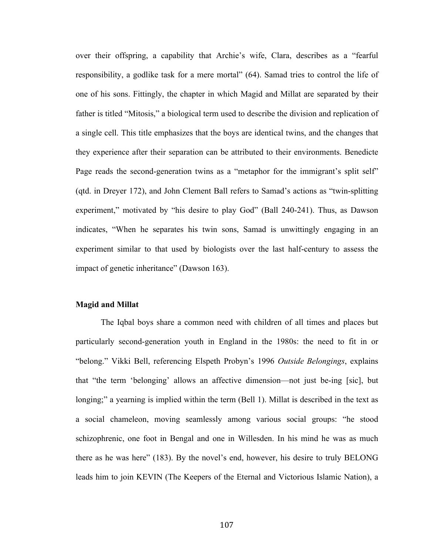over their offspring, a capability that Archie's wife, Clara, describes as a "fearful responsibility, a godlike task for a mere mortal" (64). Samad tries to control the life of one of his sons. Fittingly, the chapter in which Magid and Millat are separated by their father is titled "Mitosis," a biological term used to describe the division and replication of a single cell. This title emphasizes that the boys are identical twins, and the changes that they experience after their separation can be attributed to their environments. Benedicte Page reads the second-generation twins as a "metaphor for the immigrant's split self" (qtd. in Dreyer 172), and John Clement Ball refers to Samad's actions as "twin-splitting experiment," motivated by "his desire to play God" (Ball 240-241). Thus, as Dawson indicates, "When he separates his twin sons, Samad is unwittingly engaging in an experiment similar to that used by biologists over the last half-century to assess the impact of genetic inheritance" (Dawson 163).

## **Magid and Millat**

The Iqbal boys share a common need with children of all times and places but particularly second-generation youth in England in the 1980s: the need to fit in or "belong." Vikki Bell, referencing Elspeth Probyn's 1996 *Outside Belongings*, explains that "the term 'belonging' allows an affective dimension—not just be-ing [sic], but longing;" a yearning is implied within the term (Bell 1). Millat is described in the text as a social chameleon, moving seamlessly among various social groups: "he stood schizophrenic, one foot in Bengal and one in Willesden. In his mind he was as much there as he was here" (183). By the novel's end, however, his desire to truly BELONG leads him to join KEVIN (The Keepers of the Eternal and Victorious Islamic Nation), a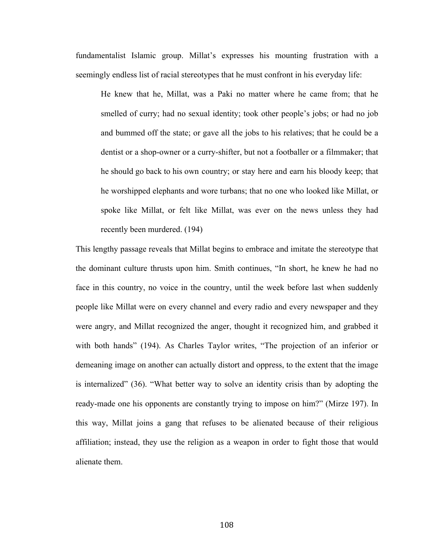fundamentalist Islamic group. Millat's expresses his mounting frustration with a seemingly endless list of racial stereotypes that he must confront in his everyday life:

He knew that he, Millat, was a Paki no matter where he came from; that he smelled of curry; had no sexual identity; took other people's jobs; or had no job and bummed off the state; or gave all the jobs to his relatives; that he could be a dentist or a shop-owner or a curry-shifter, but not a footballer or a filmmaker; that he should go back to his own country; or stay here and earn his bloody keep; that he worshipped elephants and wore turbans; that no one who looked like Millat, or spoke like Millat, or felt like Millat, was ever on the news unless they had recently been murdered. (194)

This lengthy passage reveals that Millat begins to embrace and imitate the stereotype that the dominant culture thrusts upon him. Smith continues, "In short, he knew he had no face in this country, no voice in the country, until the week before last when suddenly people like Millat were on every channel and every radio and every newspaper and they were angry, and Millat recognized the anger, thought it recognized him, and grabbed it with both hands" (194). As Charles Taylor writes, "The projection of an inferior or demeaning image on another can actually distort and oppress, to the extent that the image is internalized" (36). "What better way to solve an identity crisis than by adopting the ready-made one his opponents are constantly trying to impose on him?" (Mirze 197). In this way, Millat joins a gang that refuses to be alienated because of their religious affiliation; instead, they use the religion as a weapon in order to fight those that would alienate them.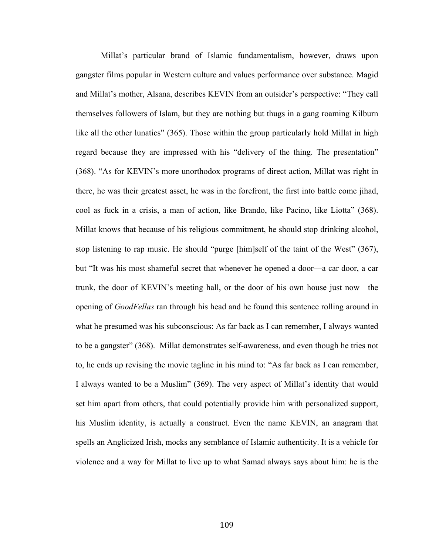Millat's particular brand of Islamic fundamentalism, however, draws upon gangster films popular in Western culture and values performance over substance. Magid and Millat's mother, Alsana, describes KEVIN from an outsider's perspective: "They call themselves followers of Islam, but they are nothing but thugs in a gang roaming Kilburn like all the other lunatics" (365). Those within the group particularly hold Millat in high regard because they are impressed with his "delivery of the thing. The presentation" (368). "As for KEVIN's more unorthodox programs of direct action, Millat was right in there, he was their greatest asset, he was in the forefront, the first into battle come jihad, cool as fuck in a crisis, a man of action, like Brando, like Pacino, like Liotta" (368). Millat knows that because of his religious commitment, he should stop drinking alcohol, stop listening to rap music. He should "purge [him]self of the taint of the West" (367), but "It was his most shameful secret that whenever he opened a door—a car door, a car trunk, the door of KEVIN's meeting hall, or the door of his own house just now—the opening of *GoodFellas* ran through his head and he found this sentence rolling around in what he presumed was his subconscious: As far back as I can remember, I always wanted to be a gangster" (368). Millat demonstrates self-awareness, and even though he tries not to, he ends up revising the movie tagline in his mind to: "As far back as I can remember, I always wanted to be a Muslim" (369). The very aspect of Millat's identity that would set him apart from others, that could potentially provide him with personalized support, his Muslim identity, is actually a construct. Even the name KEVIN, an anagram that spells an Anglicized Irish, mocks any semblance of Islamic authenticity. It is a vehicle for violence and a way for Millat to live up to what Samad always says about him: he is the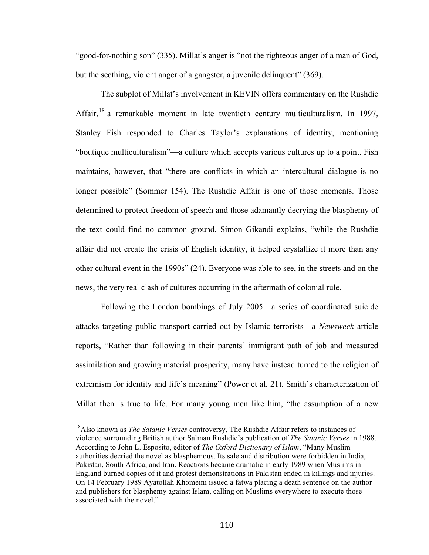"good-for-nothing son" (335). Millat's anger is "not the righteous anger of a man of God, but the seething, violent anger of a gangster, a juvenile delinquent" (369).

The subplot of Millat's involvement in KEVIN offers commentary on the Rushdie Affair,<sup>18</sup> a remarkable moment in late twentieth century multiculturalism. In 1997, Stanley Fish responded to Charles Taylor's explanations of identity, mentioning "boutique multiculturalism"—a culture which accepts various cultures up to a point. Fish maintains, however, that "there are conflicts in which an intercultural dialogue is no longer possible" (Sommer 154). The Rushdie Affair is one of those moments. Those determined to protect freedom of speech and those adamantly decrying the blasphemy of the text could find no common ground. Simon Gikandi explains, "while the Rushdie affair did not create the crisis of English identity, it helped crystallize it more than any other cultural event in the 1990s" (24). Everyone was able to see, in the streets and on the news, the very real clash of cultures occurring in the aftermath of colonial rule.

Following the London bombings of July 2005—a series of coordinated suicide attacks targeting public transport carried out by Islamic terrorists—a *Newsweek* article reports, "Rather than following in their parents' immigrant path of job and measured assimilation and growing material prosperity, many have instead turned to the religion of extremism for identity and life's meaning" (Power et al. 21). Smith's characterization of Millat then is true to life. For many young men like him, "the assumption of a new

 

<sup>18</sup>Also known as *The Satanic Verses* controversy, The Rushdie Affair refers to instances of violence surrounding British author Salman Rushdie's publication of *The Satanic Verses* in 1988. According to John L. Esposito, editor of *The Oxford Dictionary of Islam*, "Many Muslim authorities decried the novel as blasphemous. Its sale and distribution were forbidden in India, Pakistan, South Africa, and Iran. Reactions became dramatic in early 1989 when Muslims in England burned copies of it and protest demonstrations in Pakistan ended in killings and injuries. On 14 February 1989 Ayatollah Khomeini issued a fatwa placing a death sentence on the author and publishers for blasphemy against Islam, calling on Muslims everywhere to execute those associated with the novel"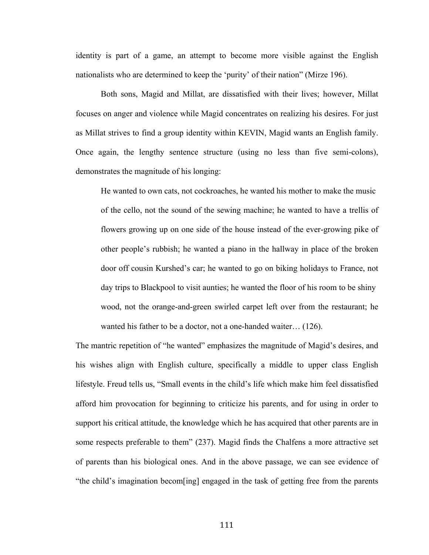identity is part of a game, an attempt to become more visible against the English nationalists who are determined to keep the 'purity' of their nation" (Mirze 196).

Both sons, Magid and Millat, are dissatisfied with their lives; however, Millat focuses on anger and violence while Magid concentrates on realizing his desires. For just as Millat strives to find a group identity within KEVIN, Magid wants an English family. Once again, the lengthy sentence structure (using no less than five semi-colons), demonstrates the magnitude of his longing:

He wanted to own cats, not cockroaches, he wanted his mother to make the music of the cello, not the sound of the sewing machine; he wanted to have a trellis of flowers growing up on one side of the house instead of the ever-growing pike of other people's rubbish; he wanted a piano in the hallway in place of the broken door off cousin Kurshed's car; he wanted to go on biking holidays to France, not day trips to Blackpool to visit aunties; he wanted the floor of his room to be shiny wood, not the orange-and-green swirled carpet left over from the restaurant; he wanted his father to be a doctor, not a one-handed waiter… (126).

The mantric repetition of "he wanted" emphasizes the magnitude of Magid's desires, and his wishes align with English culture, specifically a middle to upper class English lifestyle. Freud tells us, "Small events in the child's life which make him feel dissatisfied afford him provocation for beginning to criticize his parents, and for using in order to support his critical attitude, the knowledge which he has acquired that other parents are in some respects preferable to them" (237). Magid finds the Chalfens a more attractive set of parents than his biological ones. And in the above passage, we can see evidence of "the child's imagination becom[ing] engaged in the task of getting free from the parents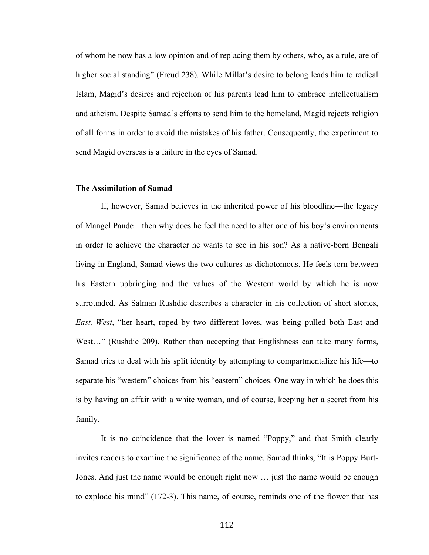of whom he now has a low opinion and of replacing them by others, who, as a rule, are of higher social standing" (Freud 238). While Millat's desire to belong leads him to radical Islam, Magid's desires and rejection of his parents lead him to embrace intellectualism and atheism. Despite Samad's efforts to send him to the homeland, Magid rejects religion of all forms in order to avoid the mistakes of his father. Consequently, the experiment to send Magid overseas is a failure in the eyes of Samad.

### **The Assimilation of Samad**

If, however, Samad believes in the inherited power of his bloodline—the legacy of Mangel Pande—then why does he feel the need to alter one of his boy's environments in order to achieve the character he wants to see in his son? As a native-born Bengali living in England, Samad views the two cultures as dichotomous. He feels torn between his Eastern upbringing and the values of the Western world by which he is now surrounded. As Salman Rushdie describes a character in his collection of short stories, *East, West*, "her heart, roped by two different loves, was being pulled both East and West..." (Rushdie 209). Rather than accepting that Englishness can take many forms, Samad tries to deal with his split identity by attempting to compartmentalize his life—to separate his "western" choices from his "eastern" choices. One way in which he does this is by having an affair with a white woman, and of course, keeping her a secret from his family.

It is no coincidence that the lover is named "Poppy," and that Smith clearly invites readers to examine the significance of the name. Samad thinks, "It is Poppy Burt-Jones. And just the name would be enough right now … just the name would be enough to explode his mind" (172-3). This name, of course, reminds one of the flower that has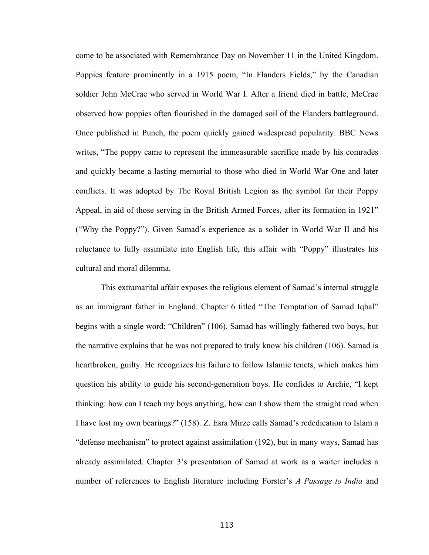come to be associated with Remembrance Day on November 11 in the United Kingdom. Poppies feature prominently in a 1915 poem, "In Flanders Fields," by the Canadian soldier John McCrae who served in World War I. After a friend died in battle, McCrae observed how poppies often flourished in the damaged soil of the Flanders battleground. Once published in Punch, the poem quickly gained widespread popularity. BBC News writes, "The poppy came to represent the immeasurable sacrifice made by his comrades and quickly became a lasting memorial to those who died in World War One and later conflicts. It was adopted by The Royal British Legion as the symbol for their Poppy Appeal, in aid of those serving in the British Armed Forces, after its formation in 1921" ("Why the Poppy?"). Given Samad's experience as a solider in World War II and his reluctance to fully assimilate into English life, this affair with "Poppy" illustrates his cultural and moral dilemma.

This extramarital affair exposes the religious element of Samad's internal struggle as an immigrant father in England. Chapter 6 titled "The Temptation of Samad Iqbal" begins with a single word: "Children" (106). Samad has willingly fathered two boys, but the narrative explains that he was not prepared to truly know his children (106). Samad is heartbroken, guilty. He recognizes his failure to follow Islamic tenets, which makes him question his ability to guide his second-generation boys. He confides to Archie, "I kept thinking: how can I teach my boys anything, how can I show them the straight road when I have lost my own bearings?" (158). Z. Esra Mirze calls Samad's rededication to Islam a "defense mechanism" to protect against assimilation (192), but in many ways, Samad has already assimilated. Chapter 3's presentation of Samad at work as a waiter includes a number of references to English literature including Forster's *A Passage to India* and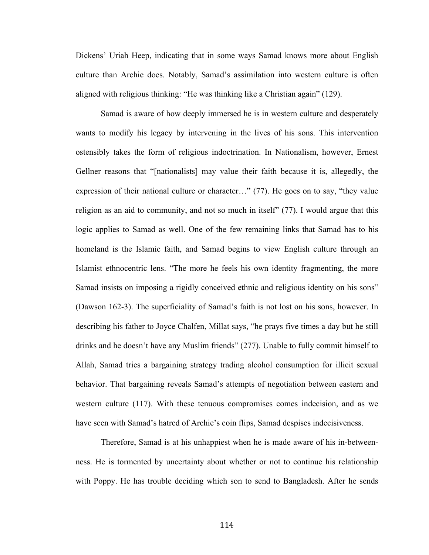Dickens' Uriah Heep, indicating that in some ways Samad knows more about English culture than Archie does. Notably, Samad's assimilation into western culture is often aligned with religious thinking: "He was thinking like a Christian again" (129).

Samad is aware of how deeply immersed he is in western culture and desperately wants to modify his legacy by intervening in the lives of his sons. This intervention ostensibly takes the form of religious indoctrination. In Nationalism, however, Ernest Gellner reasons that "[nationalists] may value their faith because it is, allegedly, the expression of their national culture or character…" (77). He goes on to say, "they value religion as an aid to community, and not so much in itself" (77). I would argue that this logic applies to Samad as well. One of the few remaining links that Samad has to his homeland is the Islamic faith, and Samad begins to view English culture through an Islamist ethnocentric lens. "The more he feels his own identity fragmenting, the more Samad insists on imposing a rigidly conceived ethnic and religious identity on his sons" (Dawson 162-3). The superficiality of Samad's faith is not lost on his sons, however. In describing his father to Joyce Chalfen, Millat says, "he prays five times a day but he still drinks and he doesn't have any Muslim friends" (277). Unable to fully commit himself to Allah, Samad tries a bargaining strategy trading alcohol consumption for illicit sexual behavior. That bargaining reveals Samad's attempts of negotiation between eastern and western culture (117). With these tenuous compromises comes indecision, and as we have seen with Samad's hatred of Archie's coin flips, Samad despises indecisiveness.

Therefore, Samad is at his unhappiest when he is made aware of his in-betweenness. He is tormented by uncertainty about whether or not to continue his relationship with Poppy. He has trouble deciding which son to send to Bangladesh. After he sends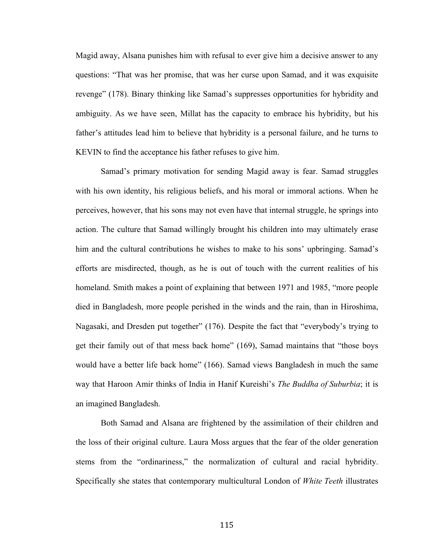Magid away, Alsana punishes him with refusal to ever give him a decisive answer to any questions: "That was her promise, that was her curse upon Samad, and it was exquisite revenge" (178). Binary thinking like Samad's suppresses opportunities for hybridity and ambiguity. As we have seen, Millat has the capacity to embrace his hybridity, but his father's attitudes lead him to believe that hybridity is a personal failure, and he turns to KEVIN to find the acceptance his father refuses to give him.

Samad's primary motivation for sending Magid away is fear. Samad struggles with his own identity, his religious beliefs, and his moral or immoral actions. When he perceives, however, that his sons may not even have that internal struggle, he springs into action. The culture that Samad willingly brought his children into may ultimately erase him and the cultural contributions he wishes to make to his sons' upbringing. Samad's efforts are misdirected, though, as he is out of touch with the current realities of his homeland. Smith makes a point of explaining that between 1971 and 1985, "more people died in Bangladesh, more people perished in the winds and the rain, than in Hiroshima, Nagasaki, and Dresden put together" (176). Despite the fact that "everybody's trying to get their family out of that mess back home" (169), Samad maintains that "those boys would have a better life back home" (166). Samad views Bangladesh in much the same way that Haroon Amir thinks of India in Hanif Kureishi's *The Buddha of Suburbia*; it is an imagined Bangladesh.

Both Samad and Alsana are frightened by the assimilation of their children and the loss of their original culture. Laura Moss argues that the fear of the older generation stems from the "ordinariness," the normalization of cultural and racial hybridity. Specifically she states that contemporary multicultural London of *White Teeth* illustrates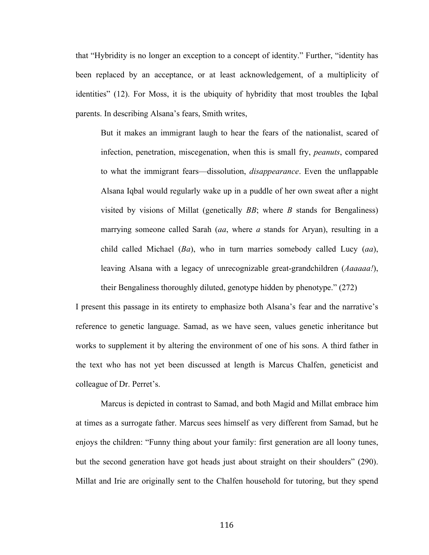that "Hybridity is no longer an exception to a concept of identity." Further, "identity has been replaced by an acceptance, or at least acknowledgement, of a multiplicity of identities" (12). For Moss, it is the ubiquity of hybridity that most troubles the Iqbal parents. In describing Alsana's fears, Smith writes,

But it makes an immigrant laugh to hear the fears of the nationalist, scared of infection, penetration, miscegenation, when this is small fry, *peanuts*, compared to what the immigrant fears—dissolution, *disappearance*. Even the unflappable Alsana Iqbal would regularly wake up in a puddle of her own sweat after a night visited by visions of Millat (genetically *BB*; where *B* stands for Bengaliness) marrying someone called Sarah (*aa*, where *a* stands for Aryan), resulting in a child called Michael (*Ba*), who in turn marries somebody called Lucy (*aa*), leaving Alsana with a legacy of unrecognizable great-grandchildren (*Aaaaaa!*), their Bengaliness thoroughly diluted, genotype hidden by phenotype." (272)

I present this passage in its entirety to emphasize both Alsana's fear and the narrative's reference to genetic language. Samad, as we have seen, values genetic inheritance but works to supplement it by altering the environment of one of his sons. A third father in the text who has not yet been discussed at length is Marcus Chalfen, geneticist and colleague of Dr. Perret's.

Marcus is depicted in contrast to Samad, and both Magid and Millat embrace him at times as a surrogate father. Marcus sees himself as very different from Samad, but he enjoys the children: "Funny thing about your family: first generation are all loony tunes, but the second generation have got heads just about straight on their shoulders" (290). Millat and Irie are originally sent to the Chalfen household for tutoring, but they spend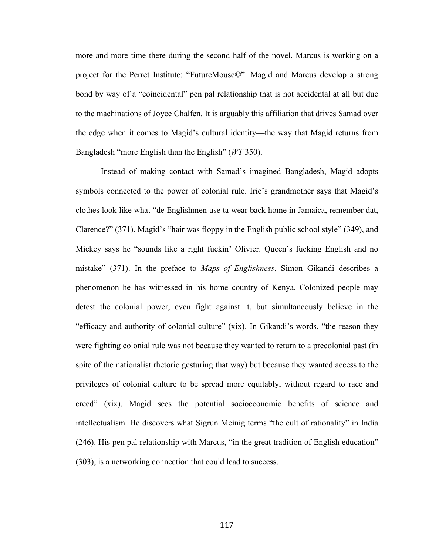more and more time there during the second half of the novel. Marcus is working on a project for the Perret Institute: "FutureMouse©". Magid and Marcus develop a strong bond by way of a "coincidental" pen pal relationship that is not accidental at all but due to the machinations of Joyce Chalfen. It is arguably this affiliation that drives Samad over the edge when it comes to Magid's cultural identity—the way that Magid returns from Bangladesh "more English than the English" (*WT* 350).

Instead of making contact with Samad's imagined Bangladesh, Magid adopts symbols connected to the power of colonial rule. Irie's grandmother says that Magid's clothes look like what "de Englishmen use ta wear back home in Jamaica, remember dat, Clarence?" (371). Magid's "hair was floppy in the English public school style" (349), and Mickey says he "sounds like a right fuckin' Olivier. Queen's fucking English and no mistake" (371). In the preface to *Maps of Englishness*, Simon Gikandi describes a phenomenon he has witnessed in his home country of Kenya. Colonized people may detest the colonial power, even fight against it, but simultaneously believe in the "efficacy and authority of colonial culture" (xix). In Gikandi's words, "the reason they were fighting colonial rule was not because they wanted to return to a precolonial past (in spite of the nationalist rhetoric gesturing that way) but because they wanted access to the privileges of colonial culture to be spread more equitably, without regard to race and creed" (xix). Magid sees the potential socioeconomic benefits of science and intellectualism. He discovers what Sigrun Meinig terms "the cult of rationality" in India (246). His pen pal relationship with Marcus, "in the great tradition of English education" (303), is a networking connection that could lead to success.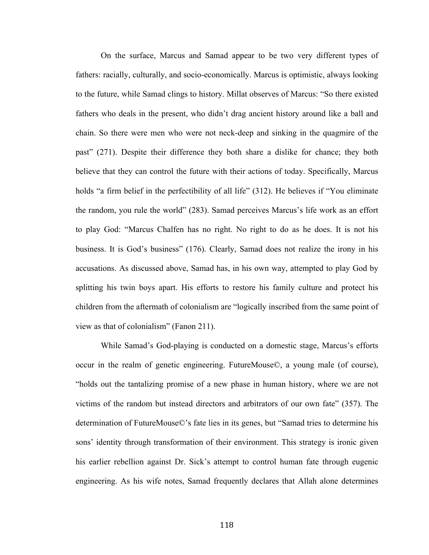On the surface, Marcus and Samad appear to be two very different types of fathers: racially, culturally, and socio-economically. Marcus is optimistic, always looking to the future, while Samad clings to history. Millat observes of Marcus: "So there existed fathers who deals in the present, who didn't drag ancient history around like a ball and chain. So there were men who were not neck-deep and sinking in the quagmire of the past" (271). Despite their difference they both share a dislike for chance; they both believe that they can control the future with their actions of today. Specifically, Marcus holds "a firm belief in the perfectibility of all life" (312). He believes if "You eliminate the random, you rule the world" (283). Samad perceives Marcus's life work as an effort to play God: "Marcus Chalfen has no right. No right to do as he does. It is not his business. It is God's business" (176). Clearly, Samad does not realize the irony in his accusations. As discussed above, Samad has, in his own way, attempted to play God by splitting his twin boys apart. His efforts to restore his family culture and protect his children from the aftermath of colonialism are "logically inscribed from the same point of view as that of colonialism" (Fanon 211).

While Samad's God-playing is conducted on a domestic stage, Marcus's efforts occur in the realm of genetic engineering. FutureMouse©, a young male (of course), "holds out the tantalizing promise of a new phase in human history, where we are not victims of the random but instead directors and arbitrators of our own fate" (357). The determination of FutureMouse©'s fate lies in its genes, but "Samad tries to determine his sons' identity through transformation of their environment. This strategy is ironic given his earlier rebellion against Dr. Sick's attempt to control human fate through eugenic engineering. As his wife notes, Samad frequently declares that Allah alone determines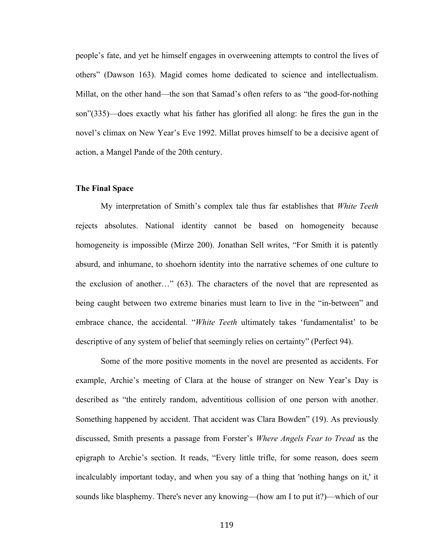people's fate, and yet he himself engages in overweening attempts to control the lives of others" (Dawson 163). Magid comes home dedicated to science and intellectualism. Millat, on the other hand—the son that Samad's often refers to as "the good-for-nothing son"(335)—does exactly what his father has glorified all along: he fires the gun in the novel's climax on New Year's Eve 1992. Millat proves himself to be a decisive agent of action, a Mangel Pande of the 20th century.

## **The Final Space**

My interpretation of Smith's complex tale thus far establishes that *White Teeth* rejects absolutes. National identity cannot be based on homogeneity because homogeneity is impossible (Mirze 200). Jonathan Sell writes, "For Smith it is patently absurd, and inhumane, to shoehorn identity into the narrative schemes of one culture to the exclusion of another…" (63). The characters of the novel that are represented as being caught between two extreme binaries must learn to live in the "in-between" and embrace chance, the accidental. "*White Teeth* ultimately takes 'fundamentalist' to be descriptive of any system of belief that seemingly relies on certainty" (Perfect 94).

Some of the more positive moments in the novel are presented as accidents. For example, Archie's meeting of Clara at the house of stranger on New Year's Day is described as "the entirely random, adventitious collision of one person with another. Something happened by accident. That accident was Clara Bowden" (19). As previously discussed, Smith presents a passage from Forster's *Where Angels Fear to Tread* as the epigraph to Archie's section. It reads, "Every little trifle, for some reason, does seem incalculably important today, and when you say of a thing that 'nothing hangs on it,' it sounds like blasphemy. There's never any knowing—(how am I to put it?)—which of our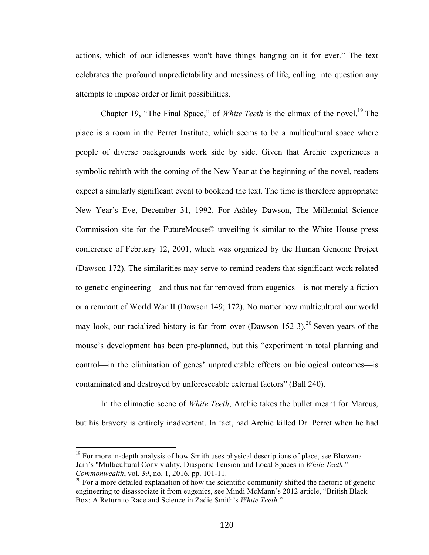actions, which of our idlenesses won't have things hanging on it for ever." The text celebrates the profound unpredictability and messiness of life, calling into question any attempts to impose order or limit possibilities.

Chapter 19, "The Final Space," of *White Teeth* is the climax of the novel.<sup>19</sup> The place is a room in the Perret Institute, which seems to be a multicultural space where people of diverse backgrounds work side by side. Given that Archie experiences a symbolic rebirth with the coming of the New Year at the beginning of the novel, readers expect a similarly significant event to bookend the text. The time is therefore appropriate: New Year's Eve, December 31, 1992. For Ashley Dawson, The Millennial Science Commission site for the FutureMouse© unveiling is similar to the White House press conference of February 12, 2001, which was organized by the Human Genome Project (Dawson 172). The similarities may serve to remind readers that significant work related to genetic engineering—and thus not far removed from eugenics—is not merely a fiction or a remnant of World War II (Dawson 149; 172). No matter how multicultural our world may look, our racialized history is far from over (Dawson 152-3).<sup>20</sup> Seven years of the mouse's development has been pre-planned, but this "experiment in total planning and control—in the elimination of genes' unpredictable effects on biological outcomes—is contaminated and destroyed by unforeseeable external factors" (Ball 240).

In the climactic scene of *White Teeth*, Archie takes the bullet meant for Marcus, but his bravery is entirely inadvertent. In fact, had Archie killed Dr. Perret when he had

 

 $19$  For more in-depth analysis of how Smith uses physical descriptions of place, see Bhawana Jain's "Multicultural Conviviality, Diasporic Tension and Local Spaces in *White Teeth*." *Commonwealth*, vol. 39, no. 1, 2016, pp. 101-11.

 $20$  For a more detailed explanation of how the scientific community shifted the rhetoric of genetic engineering to disassociate it from eugenics, see Mindi McMann's 2012 article, "British Black Box: A Return to Race and Science in Zadie Smith's *White Teeth*."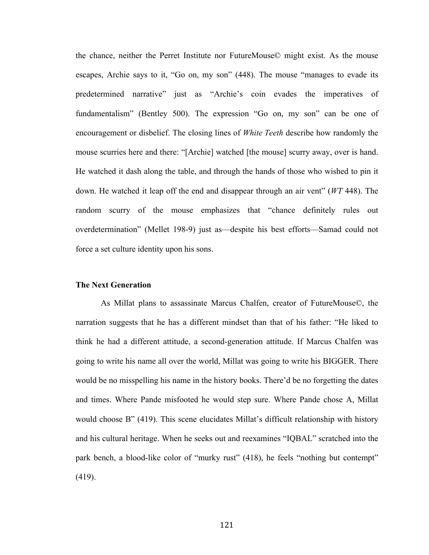the chance, neither the Perret Institute nor FutureMouse© might exist. As the mouse escapes, Archie says to it, "Go on, my son" (448). The mouse "manages to evade its predetermined narrative" just as "Archie's coin evades the imperatives of fundamentalism" (Bentley 500). The expression "Go on, my son" can be one of encouragement or disbelief. The closing lines of *White Teeth* describe how randomly the mouse scurries here and there: "[Archie] watched [the mouse] scurry away, over is hand. He watched it dash along the table, and through the hands of those who wished to pin it down. He watched it leap off the end and disappear through an air vent" (*WT* 448). The random scurry of the mouse emphasizes that "chance definitely rules out overdetermination" (Mellet 198-9) just as—despite his best efforts—Samad could not force a set culture identity upon his sons.

# **The Next Generation**

As Millat plans to assassinate Marcus Chalfen, creator of FutureMouse©, the narration suggests that he has a different mindset than that of his father: "He liked to think he had a different attitude, a second-generation attitude. If Marcus Chalfen was going to write his name all over the world, Millat was going to write his BIGGER. There would be no misspelling his name in the history books. There'd be no forgetting the dates and times. Where Pande misfooted he would step sure. Where Pande chose A, Millat would choose B" (419). This scene elucidates Millat's difficult relationship with history and his cultural heritage. When he seeks out and reexamines "IQBAL" scratched into the park bench, a blood-like color of "murky rust" (418), he feels "nothing but contempt" (419).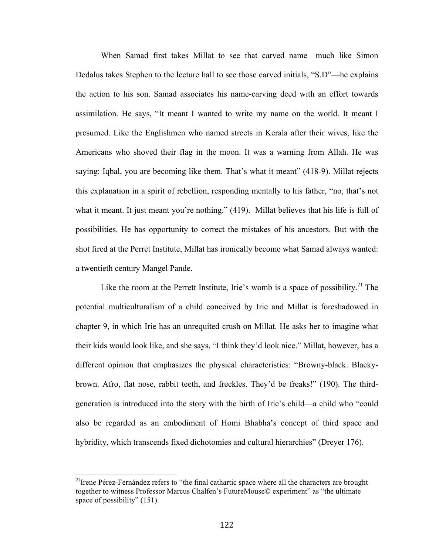When Samad first takes Millat to see that carved name—much like Simon Dedalus takes Stephen to the lecture hall to see those carved initials, "S.D"—he explains the action to his son. Samad associates his name-carving deed with an effort towards assimilation. He says, "It meant I wanted to write my name on the world. It meant I presumed. Like the Englishmen who named streets in Kerala after their wives, like the Americans who shoved their flag in the moon. It was a warning from Allah. He was saying: Iqbal, you are becoming like them. That's what it meant" (418-9). Millat rejects this explanation in a spirit of rebellion, responding mentally to his father, "no, that's not what it meant. It just meant you're nothing." (419). Millat believes that his life is full of possibilities. He has opportunity to correct the mistakes of his ancestors. But with the shot fired at the Perret Institute, Millat has ironically become what Samad always wanted: a twentieth century Mangel Pande.

Like the room at the Perrett Institute, Irie's womb is a space of possibility.<sup>21</sup> The potential multiculturalism of a child conceived by Irie and Millat is foreshadowed in chapter 9, in which Irie has an unrequited crush on Millat. He asks her to imagine what their kids would look like, and she says, "I think they'd look nice." Millat, however, has a different opinion that emphasizes the physical characteristics: "Browny-black. Blackybrown. Afro, flat nose, rabbit teeth, and freckles. They'd be freaks!" (190). The thirdgeneration is introduced into the story with the birth of Irie's child—a child who "could also be regarded as an embodiment of Homi Bhabha's concept of third space and hybridity, which transcends fixed dichotomies and cultural hierarchies" (Dreyer 176).

 

 $2<sup>1</sup>$  Irene Pérez-Fernández refers to "the final cathartic space where all the characters are brought together to witness Professor Marcus Chalfen's FutureMouse© experiment" as "the ultimate space of possibility" (151).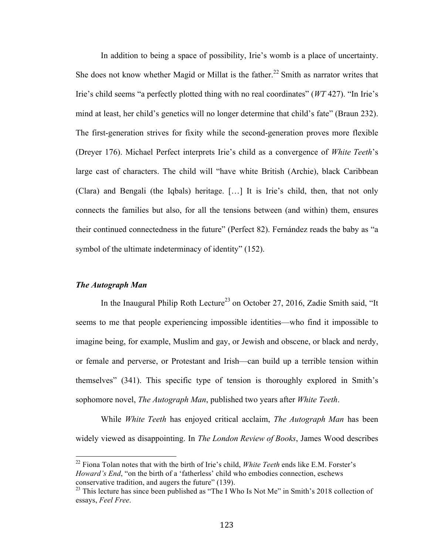In addition to being a space of possibility, Irie's womb is a place of uncertainty. She does not know whether Magid or Millat is the father.<sup>22</sup> Smith as narrator writes that Irie's child seems "a perfectly plotted thing with no real coordinates" (*WT* 427). "In Irie's mind at least, her child's genetics will no longer determine that child's fate" (Braun 232). The first-generation strives for fixity while the second-generation proves more flexible (Dreyer 176). Michael Perfect interprets Irie's child as a convergence of *White Teeth*'s large cast of characters. The child will "have white British (Archie), black Caribbean (Clara) and Bengali (the Iqbals) heritage. […] It is Irie's child, then, that not only connects the families but also, for all the tensions between (and within) them, ensures their continued connectedness in the future" (Perfect 82). Fernández reads the baby as "a symbol of the ultimate indeterminacy of identity" (152).

### *The Autograph Man*

In the Inaugural Philip Roth Lecture<sup>23</sup> on October 27, 2016, Zadie Smith said, "It seems to me that people experiencing impossible identities—who find it impossible to imagine being, for example, Muslim and gay, or Jewish and obscene, or black and nerdy, or female and perverse, or Protestant and Irish—can build up a terrible tension within themselves" (341). This specific type of tension is thoroughly explored in Smith's sophomore novel, *The Autograph Man*, published two years after *White Teeth*.

While *White Teeth* has enjoyed critical acclaim, *The Autograph Man* has been widely viewed as disappointing. In *The London Review of Books*, James Wood describes

 <sup>22</sup> Fiona Tolan notes that with the birth of Irie's child, *White Teeth* ends like E.M. Forster's *Howard's End*, "on the birth of a 'fatherless' child who embodies connection, eschews conservative tradition, and augers the future" (139).

<sup>&</sup>lt;sup>23</sup> This lecture has since been published as "The I Who Is Not Me" in Smith's 2018 collection of essays, *Feel Free*.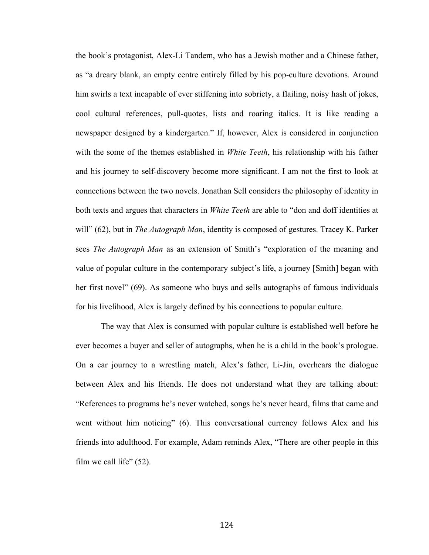the book's protagonist, Alex-Li Tandem, who has a Jewish mother and a Chinese father, as "a dreary blank, an empty centre entirely filled by his pop-culture devotions. Around him swirls a text incapable of ever stiffening into sobriety, a flailing, noisy hash of jokes, cool cultural references, pull-quotes, lists and roaring italics. It is like reading a newspaper designed by a kindergarten." If, however, Alex is considered in conjunction with the some of the themes established in *White Teeth*, his relationship with his father and his journey to self-discovery become more significant. I am not the first to look at connections between the two novels. Jonathan Sell considers the philosophy of identity in both texts and argues that characters in *White Teeth* are able to "don and doff identities at will" (62), but in *The Autograph Man*, identity is composed of gestures. Tracey K. Parker sees *The Autograph Man* as an extension of Smith's "exploration of the meaning and value of popular culture in the contemporary subject's life, a journey [Smith] began with her first novel" (69). As someone who buys and sells autographs of famous individuals for his livelihood, Alex is largely defined by his connections to popular culture.

The way that Alex is consumed with popular culture is established well before he ever becomes a buyer and seller of autographs, when he is a child in the book's prologue. On a car journey to a wrestling match, Alex's father, Li-Jin, overhears the dialogue between Alex and his friends. He does not understand what they are talking about: "References to programs he's never watched, songs he's never heard, films that came and went without him noticing" (6). This conversational currency follows Alex and his friends into adulthood. For example, Adam reminds Alex, "There are other people in this film we call life"  $(52)$ .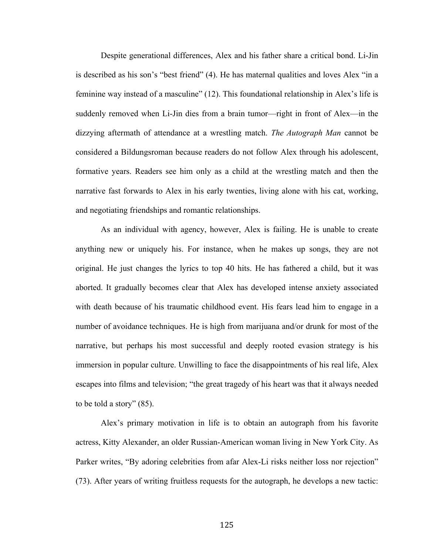Despite generational differences, Alex and his father share a critical bond. Li-Jin is described as his son's "best friend" (4). He has maternal qualities and loves Alex "in a feminine way instead of a masculine" (12). This foundational relationship in Alex's life is suddenly removed when Li-Jin dies from a brain tumor—right in front of Alex—in the dizzying aftermath of attendance at a wrestling match. *The Autograph Man* cannot be considered a Bildungsroman because readers do not follow Alex through his adolescent, formative years. Readers see him only as a child at the wrestling match and then the narrative fast forwards to Alex in his early twenties, living alone with his cat, working, and negotiating friendships and romantic relationships.

As an individual with agency, however, Alex is failing. He is unable to create anything new or uniquely his. For instance, when he makes up songs, they are not original. He just changes the lyrics to top 40 hits. He has fathered a child, but it was aborted. It gradually becomes clear that Alex has developed intense anxiety associated with death because of his traumatic childhood event. His fears lead him to engage in a number of avoidance techniques. He is high from marijuana and/or drunk for most of the narrative, but perhaps his most successful and deeply rooted evasion strategy is his immersion in popular culture. Unwilling to face the disappointments of his real life, Alex escapes into films and television; "the great tragedy of his heart was that it always needed to be told a story" (85).

Alex's primary motivation in life is to obtain an autograph from his favorite actress, Kitty Alexander, an older Russian-American woman living in New York City. As Parker writes, "By adoring celebrities from afar Alex-Li risks neither loss nor rejection" (73). After years of writing fruitless requests for the autograph, he develops a new tactic: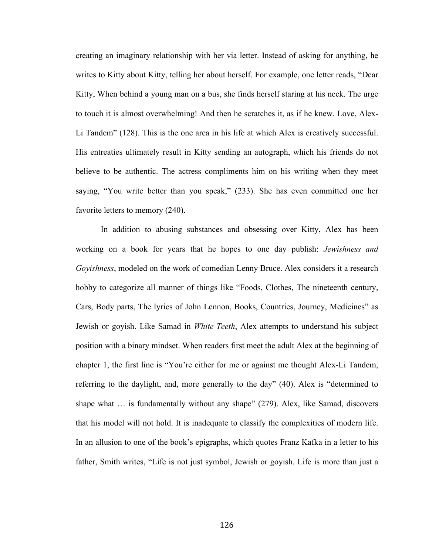creating an imaginary relationship with her via letter. Instead of asking for anything, he writes to Kitty about Kitty, telling her about herself. For example, one letter reads, "Dear Kitty, When behind a young man on a bus, she finds herself staring at his neck. The urge to touch it is almost overwhelming! And then he scratches it, as if he knew. Love, Alex-Li Tandem" (128). This is the one area in his life at which Alex is creatively successful. His entreaties ultimately result in Kitty sending an autograph, which his friends do not believe to be authentic. The actress compliments him on his writing when they meet saying, "You write better than you speak," (233). She has even committed one her favorite letters to memory (240).

In addition to abusing substances and obsessing over Kitty, Alex has been working on a book for years that he hopes to one day publish: *Jewishness and Goyishness*, modeled on the work of comedian Lenny Bruce. Alex considers it a research hobby to categorize all manner of things like "Foods, Clothes, The nineteenth century, Cars, Body parts, The lyrics of John Lennon, Books, Countries, Journey, Medicines" as Jewish or goyish. Like Samad in *White Teeth*, Alex attempts to understand his subject position with a binary mindset. When readers first meet the adult Alex at the beginning of chapter 1, the first line is "You're either for me or against me thought Alex-Li Tandem, referring to the daylight, and, more generally to the day" (40). Alex is "determined to shape what … is fundamentally without any shape" (279). Alex, like Samad, discovers that his model will not hold. It is inadequate to classify the complexities of modern life. In an allusion to one of the book's epigraphs, which quotes Franz Kafka in a letter to his father, Smith writes, "Life is not just symbol, Jewish or goyish. Life is more than just a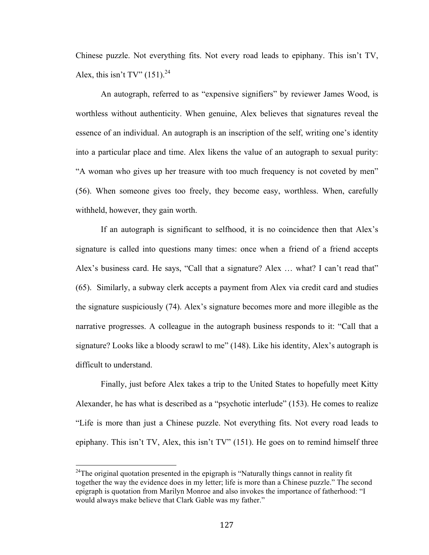Chinese puzzle. Not everything fits. Not every road leads to epiphany. This isn't TV, Alex, this isn't TV"  $(151)^{24}$ 

An autograph, referred to as "expensive signifiers" by reviewer James Wood, is worthless without authenticity. When genuine, Alex believes that signatures reveal the essence of an individual. An autograph is an inscription of the self, writing one's identity into a particular place and time. Alex likens the value of an autograph to sexual purity: "A woman who gives up her treasure with too much frequency is not coveted by men" (56). When someone gives too freely, they become easy, worthless. When, carefully withheld, however, they gain worth.

If an autograph is significant to selfhood, it is no coincidence then that Alex's signature is called into questions many times: once when a friend of a friend accepts Alex's business card. He says, "Call that a signature? Alex … what? I can't read that" (65). Similarly, a subway clerk accepts a payment from Alex via credit card and studies the signature suspiciously (74). Alex's signature becomes more and more illegible as the narrative progresses. A colleague in the autograph business responds to it: "Call that a signature? Looks like a bloody scrawl to me" (148). Like his identity, Alex's autograph is difficult to understand.

Finally, just before Alex takes a trip to the United States to hopefully meet Kitty Alexander, he has what is described as a "psychotic interlude" (153). He comes to realize "Life is more than just a Chinese puzzle. Not everything fits. Not every road leads to epiphany. This isn't TV, Alex, this isn't TV" (151). He goes on to remind himself three

<sup>&</sup>lt;sup>24</sup>The original quotation presented in the epigraph is "Naturally things cannot in reality fit together the way the evidence does in my letter; life is more than a Chinese puzzle." The second epigraph is quotation from Marilyn Monroe and also invokes the importance of fatherhood: "I would always make believe that Clark Gable was my father."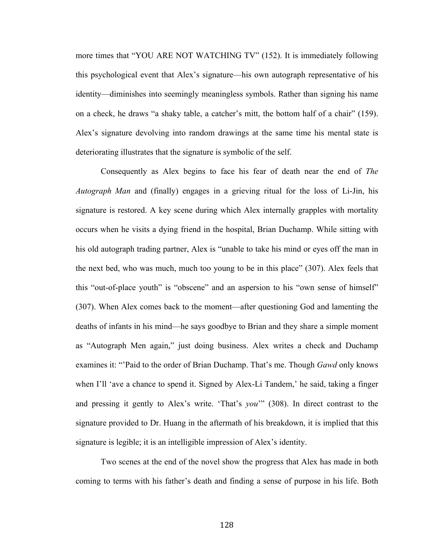more times that "YOU ARE NOT WATCHING TV" (152). It is immediately following this psychological event that Alex's signature—his own autograph representative of his identity—diminishes into seemingly meaningless symbols. Rather than signing his name on a check, he draws "a shaky table, a catcher's mitt, the bottom half of a chair" (159). Alex's signature devolving into random drawings at the same time his mental state is deteriorating illustrates that the signature is symbolic of the self.

Consequently as Alex begins to face his fear of death near the end of *The Autograph Man* and (finally) engages in a grieving ritual for the loss of Li-Jin, his signature is restored. A key scene during which Alex internally grapples with mortality occurs when he visits a dying friend in the hospital, Brian Duchamp. While sitting with his old autograph trading partner, Alex is "unable to take his mind or eyes off the man in the next bed, who was much, much too young to be in this place" (307). Alex feels that this "out-of-place youth" is "obscene" and an aspersion to his "own sense of himself" (307). When Alex comes back to the moment—after questioning God and lamenting the deaths of infants in his mind—he says goodbye to Brian and they share a simple moment as "Autograph Men again," just doing business. Alex writes a check and Duchamp examines it: "'Paid to the order of Brian Duchamp. That's me. Though *Gawd* only knows when I'll 'ave a chance to spend it. Signed by Alex-Li Tandem,' he said, taking a finger and pressing it gently to Alex's write. 'That's *you*'" (308). In direct contrast to the signature provided to Dr. Huang in the aftermath of his breakdown, it is implied that this signature is legible; it is an intelligible impression of Alex's identity.

Two scenes at the end of the novel show the progress that Alex has made in both coming to terms with his father's death and finding a sense of purpose in his life. Both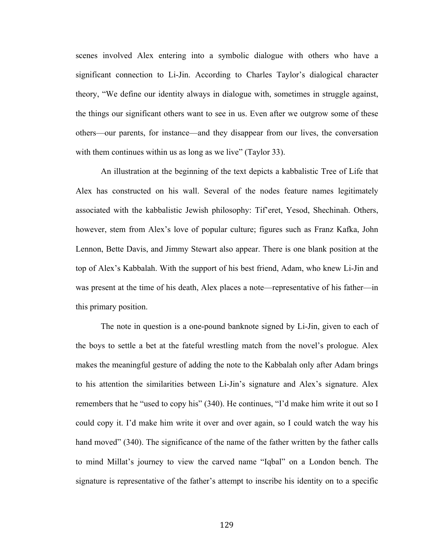scenes involved Alex entering into a symbolic dialogue with others who have a significant connection to Li-Jin. According to Charles Taylor's dialogical character theory, "We define our identity always in dialogue with, sometimes in struggle against, the things our significant others want to see in us. Even after we outgrow some of these others—our parents, for instance—and they disappear from our lives, the conversation with them continues within us as long as we live" (Taylor 33).

An illustration at the beginning of the text depicts a kabbalistic Tree of Life that Alex has constructed on his wall. Several of the nodes feature names legitimately associated with the kabbalistic Jewish philosophy: Tif'eret, Yesod, Shechinah. Others, however, stem from Alex's love of popular culture; figures such as Franz Kafka, John Lennon, Bette Davis, and Jimmy Stewart also appear. There is one blank position at the top of Alex's Kabbalah. With the support of his best friend, Adam, who knew Li-Jin and was present at the time of his death, Alex places a note—representative of his father—in this primary position.

The note in question is a one-pound banknote signed by Li-Jin, given to each of the boys to settle a bet at the fateful wrestling match from the novel's prologue. Alex makes the meaningful gesture of adding the note to the Kabbalah only after Adam brings to his attention the similarities between Li-Jin's signature and Alex's signature. Alex remembers that he "used to copy his" (340). He continues, "I'd make him write it out so I could copy it. I'd make him write it over and over again, so I could watch the way his hand moved" (340). The significance of the name of the father written by the father calls to mind Millat's journey to view the carved name "Iqbal" on a London bench. The signature is representative of the father's attempt to inscribe his identity on to a specific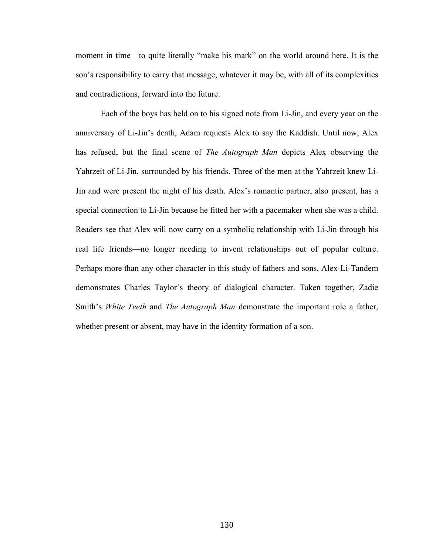moment in time—to quite literally "make his mark" on the world around here. It is the son's responsibility to carry that message, whatever it may be, with all of its complexities and contradictions, forward into the future.

Each of the boys has held on to his signed note from Li-Jin, and every year on the anniversary of Li-Jin's death, Adam requests Alex to say the Kaddish. Until now, Alex has refused, but the final scene of *The Autograph Man* depicts Alex observing the Yahrzeit of Li-Jin, surrounded by his friends. Three of the men at the Yahrzeit knew Li-Jin and were present the night of his death. Alex's romantic partner, also present, has a special connection to Li-Jin because he fitted her with a pacemaker when she was a child. Readers see that Alex will now carry on a symbolic relationship with Li-Jin through his real life friends—no longer needing to invent relationships out of popular culture. Perhaps more than any other character in this study of fathers and sons, Alex-Li-Tandem demonstrates Charles Taylor's theory of dialogical character. Taken together, Zadie Smith's *White Teeth* and *The Autograph Man* demonstrate the important role a father, whether present or absent, may have in the identity formation of a son.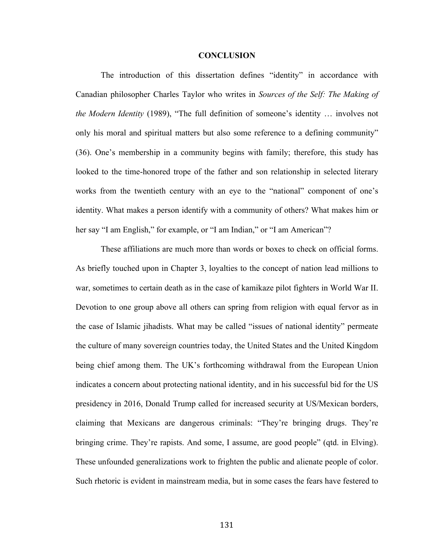#### **CONCLUSION**

The introduction of this dissertation defines "identity" in accordance with Canadian philosopher Charles Taylor who writes in *Sources of the Self: The Making of the Modern Identity* (1989), "The full definition of someone's identity … involves not only his moral and spiritual matters but also some reference to a defining community" (36). One's membership in a community begins with family; therefore, this study has looked to the time-honored trope of the father and son relationship in selected literary works from the twentieth century with an eye to the "national" component of one's identity. What makes a person identify with a community of others? What makes him or her say "I am English," for example, or "I am Indian," or "I am American"?

These affiliations are much more than words or boxes to check on official forms. As briefly touched upon in Chapter 3, loyalties to the concept of nation lead millions to war, sometimes to certain death as in the case of kamikaze pilot fighters in World War II. Devotion to one group above all others can spring from religion with equal fervor as in the case of Islamic jihadists. What may be called "issues of national identity" permeate the culture of many sovereign countries today, the United States and the United Kingdom being chief among them. The UK's forthcoming withdrawal from the European Union indicates a concern about protecting national identity, and in his successful bid for the US presidency in 2016, Donald Trump called for increased security at US/Mexican borders, claiming that Mexicans are dangerous criminals: "They're bringing drugs. They're bringing crime. They're rapists. And some, I assume, are good people" (qtd. in Elving). These unfounded generalizations work to frighten the public and alienate people of color. Such rhetoric is evident in mainstream media, but in some cases the fears have festered to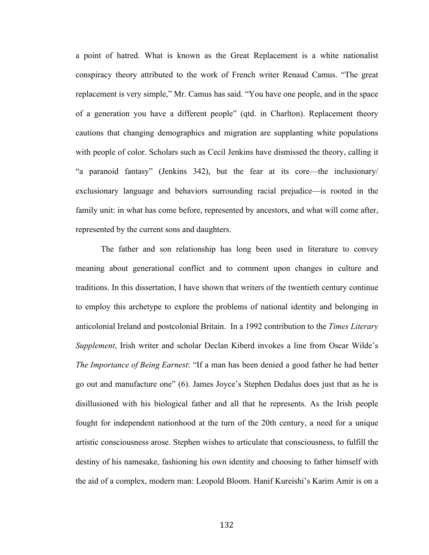a point of hatred. What is known as the Great Replacement is a white nationalist conspiracy theory attributed to the work of French writer Renaud Camus. "The great replacement is very simple," Mr. Camus has said. "You have one people, and in the space of a generation you have a different people" (qtd. in Charlton). Replacement theory cautions that changing demographics and migration are supplanting white populations with people of color. Scholars such as Cecil Jenkins have dismissed the theory, calling it "a paranoid fantasy" (Jenkins 342), but the fear at its core—the inclusionary/ exclusionary language and behaviors surrounding racial prejudice—is rooted in the family unit: in what has come before, represented by ancestors, and what will come after, represented by the current sons and daughters.

The father and son relationship has long been used in literature to convey meaning about generational conflict and to comment upon changes in culture and traditions. In this dissertation, I have shown that writers of the twentieth century continue to employ this archetype to explore the problems of national identity and belonging in anticolonial Ireland and postcolonial Britain. In a 1992 contribution to the *Times Literary Supplement*, Irish writer and scholar Declan Kiberd invokes a line from Oscar Wilde's *The Importance of Being Earnest*: "If a man has been denied a good father he had better go out and manufacture one" (6). James Joyce's Stephen Dedalus does just that as he is disillusioned with his biological father and all that he represents. As the Irish people fought for independent nationhood at the turn of the 20th century, a need for a unique artistic consciousness arose. Stephen wishes to articulate that consciousness, to fulfill the destiny of his namesake, fashioning his own identity and choosing to father himself with the aid of a complex, modern man: Leopold Bloom. Hanif Kureishi's Karim Amir is on a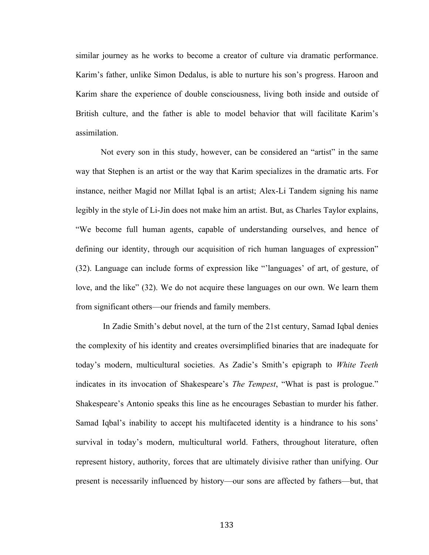similar journey as he works to become a creator of culture via dramatic performance. Karim's father, unlike Simon Dedalus, is able to nurture his son's progress. Haroon and Karim share the experience of double consciousness, living both inside and outside of British culture, and the father is able to model behavior that will facilitate Karim's assimilation.

Not every son in this study, however, can be considered an "artist" in the same way that Stephen is an artist or the way that Karim specializes in the dramatic arts. For instance, neither Magid nor Millat Iqbal is an artist; Alex-Li Tandem signing his name legibly in the style of Li-Jin does not make him an artist. But, as Charles Taylor explains, "We become full human agents, capable of understanding ourselves, and hence of defining our identity, through our acquisition of rich human languages of expression" (32). Language can include forms of expression like "'languages' of art, of gesture, of love, and the like" (32). We do not acquire these languages on our own. We learn them from significant others—our friends and family members.

In Zadie Smith's debut novel, at the turn of the 21st century, Samad Iqbal denies the complexity of his identity and creates oversimplified binaries that are inadequate for today's modern, multicultural societies. As Zadie's Smith's epigraph to *White Teeth* indicates in its invocation of Shakespeare's *The Tempest*, "What is past is prologue." Shakespeare's Antonio speaks this line as he encourages Sebastian to murder his father. Samad Iqbal's inability to accept his multifaceted identity is a hindrance to his sons' survival in today's modern, multicultural world. Fathers, throughout literature, often represent history, authority, forces that are ultimately divisive rather than unifying. Our present is necessarily influenced by history—our sons are affected by fathers—but, that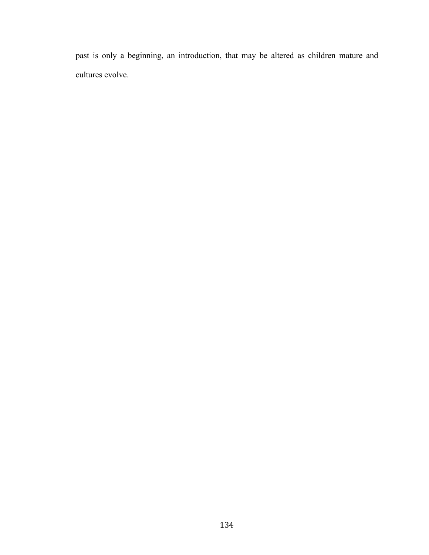past is only a beginning, an introduction, that may be altered as children mature and cultures evolve.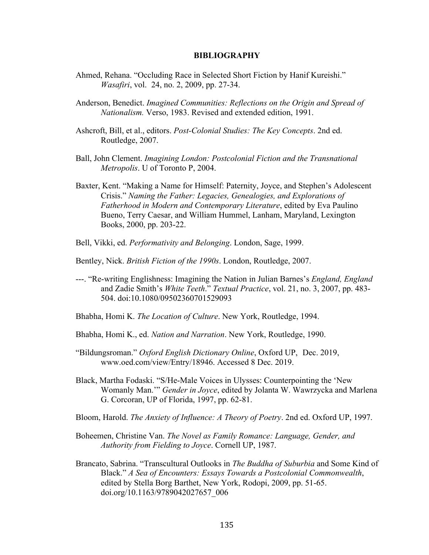## **BIBLIOGRAPHY**

- Ahmed, Rehana. "Occluding Race in Selected Short Fiction by Hanif Kureishi." *Wasafiri*, vol. 24, no. 2, 2009, pp. 27-34.
- Anderson, Benedict. *Imagined Communities: Reflections on the Origin and Spread of Nationalism.* Verso, 1983. Revised and extended edition, 1991.
- Ashcroft, Bill, et al., editors. *Post-Colonial Studies: The Key Concepts*. 2nd ed. Routledge, 2007.
- Ball, John Clement. *Imagining London: Postcolonial Fiction and the Transnational Metropolis*. U of Toronto P, 2004.
- Baxter, Kent. "Making a Name for Himself: Paternity, Joyce, and Stephen's Adolescent Crisis." *Naming the Father: Legacies, Genealogies, and Explorations of Fatherhood in Modern and Contemporary Literature*, edited by Eva Paulino Bueno, Terry Caesar, and William Hummel, Lanham, Maryland, Lexington Books, 2000, pp. 203-22.
- Bell, Vikki, ed. *Performativity and Belonging*. London, Sage, 1999.
- Bentley, Nick. *British Fiction of the 1990s*. London, Routledge, 2007.
- ---. "Re-writing Englishness: Imagining the Nation in Julian Barnes's *England, England* and Zadie Smith's *White Teeth*." *Textual Practice*, vol. 21, no. 3, 2007, pp. 483- 504. doi:10.1080/09502360701529093
- Bhabha, Homi K. *The Location of Culture*. New York, Routledge, 1994.
- Bhabha, Homi K., ed. *Nation and Narration*. New York, Routledge, 1990.
- "Bildungsroman." *Oxford English Dictionary Online*, Oxford UP, Dec. 2019, www.oed.com/view/Entry/18946. Accessed 8 Dec. 2019.
- Black, Martha Fodaski. "S/He-Male Voices in Ulysses: Counterpointing the 'New Womanly Man.'" *Gender in Joyce*, edited by Jolanta W. Wawrzycka and Marlena G. Corcoran, UP of Florida, 1997, pp. 62-81.
- Bloom, Harold. *The Anxiety of Influence: A Theory of Poetry*. 2nd ed. Oxford UP, 1997.
- Boheemen, Christine Van. *The Novel as Family Romance: Language, Gender, and Authority from Fielding to Joyce*. Cornell UP, 1987.
- Brancato, Sabrina. "Transcultural Outlooks in *The Buddha of Suburbia* and Some Kind of Black." *A Sea of Encounters: Essays Towards a Postcolonial Commonwealth*, edited by Stella Borg Barthet, New York, Rodopi, 2009, pp. 51-65. doi.org/10.1163/9789042027657\_006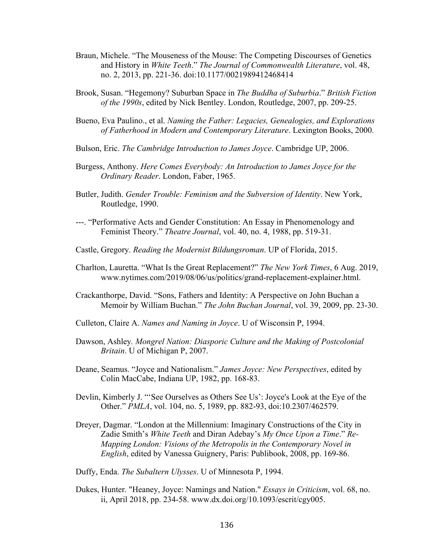- Braun, Michele. "The Mouseness of the Mouse: The Competing Discourses of Genetics and History in *White Teeth*." *The Journal of Commonwealth Literature*, vol. 48, no. 2, 2013, pp. 221-36. doi:10.1177/0021989412468414
- Brook, Susan. "Hegemony? Suburban Space in *The Buddha of Suburbia*." *British Fiction of the 1990s*, edited by Nick Bentley. London, Routledge, 2007, pp. 209-25.
- Bueno, Eva Paulino., et al. *Naming the Father: Legacies, Genealogies, and Explorations of Fatherhood in Modern and Contemporary Literature*. Lexington Books, 2000.
- Bulson, Eric. *The Cambridge Introduction to James Joyce*. Cambridge UP, 2006.
- Burgess, Anthony. *Here Comes Everybody: An Introduction to James Joyce for the Ordinary Reader*. London, Faber, 1965.
- Butler, Judith. *Gender Trouble: Feminism and the Subversion of Identity*. New York, Routledge, 1990.
- ---. "Performative Acts and Gender Constitution: An Essay in Phenomenology and Feminist Theory." *Theatre Journal*, vol. 40, no. 4, 1988, pp. 519-31.
- Castle, Gregory. *Reading the Modernist Bildungsroman*. UP of Florida, 2015.
- Charlton, Lauretta. "What Is the Great Replacement?" *The New York Times*, 6 Aug. 2019, www.nytimes.com/2019/08/06/us/politics/grand-replacement-explainer.html.
- Crackanthorpe, David. "Sons, Fathers and Identity: A Perspective on John Buchan a Memoir by William Buchan." *The John Buchan Journal*, vol. 39, 2009, pp. 23-30.
- Culleton, Claire A. *Names and Naming in Joyce*. U of Wisconsin P, 1994.
- Dawson, Ashley*. Mongrel Nation: Diasporic Culture and the Making of Postcolonial Britain*. U of Michigan P, 2007.
- Deane, Seamus. "Joyce and Nationalism." *James Joyce: New Perspectives*, edited by Colin MacCabe, Indiana UP, 1982, pp. 168-83.
- Devlin, Kimberly J. "'See Ourselves as Others See Us': Joyce's Look at the Eye of the Other." *PMLA*, vol. 104, no. 5, 1989, pp. 882-93, doi:10.2307/462579.
- Dreyer, Dagmar. "London at the Millennium: Imaginary Constructions of the City in Zadie Smith's *White Teeth* and Diran Adebay's *My Once Upon a Time*." *Re-Mapping London: Visions of the Metropolis in the Contemporary Novel in English*, edited by Vanessa Guignery, Paris: Publibook, 2008, pp. 169-86.
- Duffy, Enda. *The Subaltern Ulysses*. U of Minnesota P, 1994.
- Dukes, Hunter. "Heaney, Joyce: Namings and Nation." *Essays in Criticism*, vol. 68, no. ii, April 2018, pp. 234-58. www.dx.doi.org/10.1093/escrit/cgy005.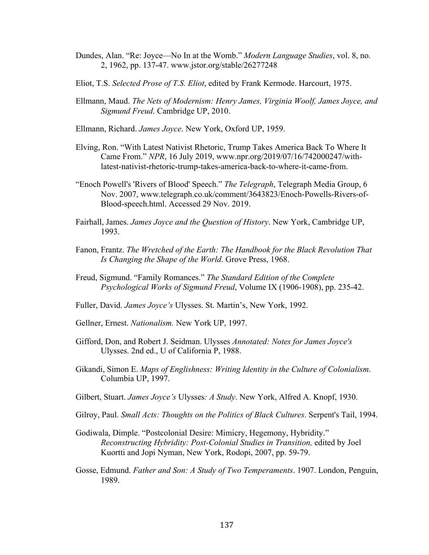- Dundes, Alan. "Re: Joyce—No In at the Womb." *Modern Language Studies*, vol. 8, no. 2, 1962, pp. 137-47. www.jstor.org/stable/26277248
- Eliot, T.S. *Selected Prose of T.S. Eliot*, edited by Frank Kermode. Harcourt, 1975.
- Ellmann, Maud. *The Nets of Modernism: Henry James, Virginia Woolf, James Joyce, and Sigmund Freud*. Cambridge UP, 2010.
- Ellmann, Richard. *James Joyce*. New York, Oxford UP, 1959.
- Elving, Ron. "With Latest Nativist Rhetoric, Trump Takes America Back To Where It Came From." *NPR*, 16 July 2019, www.npr.org/2019/07/16/742000247/withlatest-nativist-rhetoric-trump-takes-america-back-to-where-it-came-from.
- "Enoch Powell's 'Rivers of Blood' Speech." *The Telegraph*, Telegraph Media Group, 6 Nov. 2007, www.telegraph.co.uk/comment/3643823/Enoch-Powells-Rivers-of-Blood-speech.html. Accessed 29 Nov. 2019.
- Fairhall, James. *James Joyce and the Question of History*. New York, Cambridge UP, 1993.
- Fanon, Frantz. *The Wretched of the Earth: The Handbook for the Black Revolution That Is Changing the Shape of the World*. Grove Press, 1968.
- Freud, Sigmund. "Family Romances." *The Standard Edition of the Complete Psychological Works of Sigmund Freud*, Volume IX (1906-1908), pp. 235-42.
- Fuller, David. *James Joyce's* Ulysses. St. Martin's, New York, 1992.
- Gellner, Ernest. *Nationalism.* New York UP, 1997.
- Gifford, Don, and Robert J. Seidman. Ulysses *Annotated: Notes for James Joyce's*  Ulysses. 2nd ed., U of California P, 1988.
- Gikandi, Simon E. *Maps of Englishness: Writing Identity in the Culture of Colonialism*. Columbia UP, 1997.
- Gilbert, Stuart. *James Joyce's* Ulysses*: A Study*. New York, Alfred A. Knopf, 1930.
- Gilroy, Paul. *Small Acts: Thoughts on the Politics of Black Cultures*. Serpent's Tail, 1994.
- Godiwala, Dimple. "Postcolonial Desire: Mimicry, Hegemony, Hybridity." *Reconstructing Hybridity: Post-Colonial Studies in Transition,* edited by Joel Kuortti and Jopi Nyman, New York, Rodopi, 2007, pp. 59-79.
- Gosse, Edmund. *Father and Son: A Study of Two Temperaments*. 1907. London, Penguin, 1989.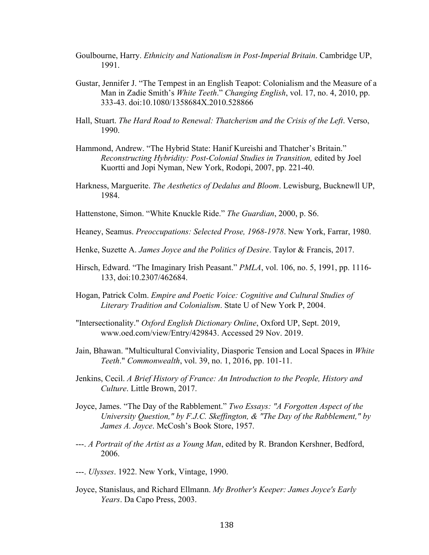- Goulbourne, Harry. *Ethnicity and Nationalism in Post-Imperial Britain*. Cambridge UP, 1991.
- Gustar, Jennifer J. "The Tempest in an English Teapot: Colonialism and the Measure of a Man in Zadie Smith's *White Teeth*." *Changing English*, vol. 17, no. 4, 2010, pp. 333-43. doi:10.1080/1358684X.2010.528866
- Hall, Stuart. *The Hard Road to Renewal: Thatcherism and the Crisis of the Left*. Verso, 1990.
- Hammond, Andrew. "The Hybrid State: Hanif Kureishi and Thatcher's Britain." *Reconstructing Hybridity: Post-Colonial Studies in Transition,* edited by Joel Kuortti and Jopi Nyman, New York, Rodopi, 2007, pp. 221-40.
- Harkness, Marguerite. *The Aesthetics of Dedalus and Bloom*. Lewisburg, Bucknewll UP, 1984.
- Hattenstone, Simon. "White Knuckle Ride." *The Guardian*, 2000, p. S6.
- Heaney, Seamus. *Preoccupations: Selected Prose, 1968-1978*. New York, Farrar, 1980.
- Henke, Suzette A. *James Joyce and the Politics of Desire*. Taylor & Francis, 2017.
- Hirsch, Edward. "The Imaginary Irish Peasant." *PMLA*, vol. 106, no. 5, 1991, pp. 1116- 133, doi:10.2307/462684.
- Hogan, Patrick Colm. *Empire and Poetic Voice: Cognitive and Cultural Studies of Literary Tradition and Colonialism*. State U of New York P, 2004.
- "Intersectionality." *Oxford English Dictionary Online*, Oxford UP, Sept. 2019, www.oed.com/view/Entry/429843. Accessed 29 Nov. 2019.
- Jain, Bhawan. "Multicultural Conviviality, Diasporic Tension and Local Spaces in *White Teeth*." *Commonwealth*, vol. 39, no. 1, 2016, pp. 101-11.
- Jenkins, Cecil. *A Brief History of France: An Introduction to the People, History and Culture*. Little Brown, 2017.
- Joyce, James. "The Day of the Rabblement." *Two Essays: "A Forgotten Aspect of the University Question," by F.J.C. Skeffington, & "The Day of the Rabblement," by James A. Joyce*. McCosh's Book Store, 1957.
- ---. *A Portrait of the Artist as a Young Man*, edited by R. Brandon Kershner, Bedford, 2006.
- ---. *Ulysses*. 1922. New York, Vintage, 1990.
- Joyce, Stanislaus, and Richard Ellmann. *My Brother's Keeper: James Joyce's Early Years*. Da Capo Press, 2003.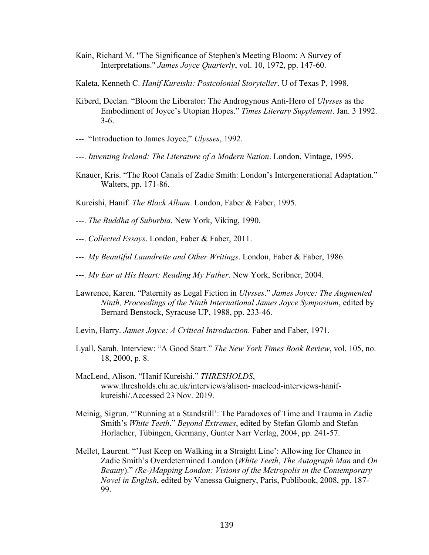- Kain, Richard M. "The Significance of Stephen's Meeting Bloom: A Survey of Interpretations." *James Joyce Quarterly*, vol. 10, 1972, pp. 147-60.
- Kaleta, Kenneth C. *Hanif Kureishi: Postcolonial Storyteller*. U of Texas P, 1998.
- Kiberd, Declan. "Bloom the Liberator: The Androgynous Anti-Hero of *Ulysses* as the Embodiment of Joyce's Utopian Hopes." *Times Literary Supplement*. Jan. 3 1992. 3-6.
- ---. "Introduction to James Joyce," *Ulysses*, 1992.
- ---. *Inventing Ireland: The Literature of a Modern Nation*. London, Vintage, 1995.
- Knauer, Kris. "The Root Canals of Zadie Smith: London's Intergenerational Adaptation." Walters, pp. 171-86.
- Kureishi, Hanif. *The Black Album*. London, Faber & Faber, 1995.
- ---. *The Buddha of Suburbia*. New York, Viking, 1990.
- ---. *Collected Essays*. London, Faber & Faber, 2011.
- ---. *My Beautiful Laundrette and Other Writings*. London, Faber & Faber, 1986.
- ---. *My Ear at His Heart: Reading My Father*. New York, Scribner, 2004.
- Lawrence, Karen. "Paternity as Legal Fiction in *Ulysses*." *James Joyce: The Augmented Ninth, Proceedings of the Ninth International James Joyce Symposium*, edited by Bernard Benstock, Syracuse UP, 1988, pp. 233-46.
- Levin, Harry. *James Joyce: A Critical Introduction*. Faber and Faber, 1971.
- Lyall, Sarah. Interview: "A Good Start." *The New York Times Book Review*, vol. 105, no. 18, 2000, p. 8.
- MacLeod, Alison. "Hanif Kureishi." *THRESHOLDS*, www.thresholds.chi.ac.uk/interviews/alison- macleod-interviews-hanifkureishi/.Accessed 23 Nov. 2019.
- Meinig, Sigrun. "'Running at a Standstill': The Paradoxes of Time and Trauma in Zadie Smith's *White Teeth*." *Beyond Extremes*, edited by Stefan Glomb and Stefan Horlacher, Tübingen, Germany, Gunter Narr Verlag, 2004, pp. 241-57.
- Mellet, Laurent. "'Just Keep on Walking in a Straight Line': Allowing for Chance in Zadie Smith's Overdetermined London (*White Teeth*, *The Autograph Man* and *On Beauty*)." *(Re-)Mapping London: Visions of the Metropolis in the Contemporary Novel in English*, edited by Vanessa Guignery, Paris, Publibook, 2008, pp. 187- 99.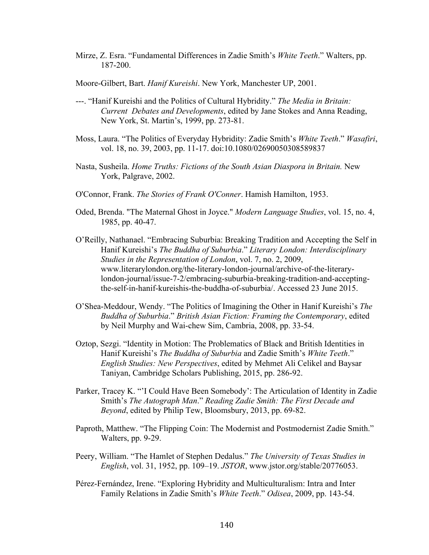- Mirze, Z. Esra. "Fundamental Differences in Zadie Smith's *White Teeth*." Walters, pp. 187-200.
- Moore-Gilbert, Bart. *Hanif Kureishi*. New York, Manchester UP, 2001.
- ---. "Hanif Kureishi and the Politics of Cultural Hybridity." *The Media in Britain: Current Debates and Developments*, edited by Jane Stokes and Anna Reading, New York, St. Martin's, 1999, pp. 273-81.
- Moss, Laura. "The Politics of Everyday Hybridity: Zadie Smith's *White Teeth*." *Wasafiri*, vol. 18, no. 39, 2003, pp. 11-17. doi:10.1080/02690050308589837
- Nasta, Susheila. *Home Truths: Fictions of the South Asian Diaspora in Britain.* New York, Palgrave, 2002.
- O'Connor, Frank. *The Stories of Frank O'Conner*. Hamish Hamilton, 1953.
- Oded, Brenda. "The Maternal Ghost in Joyce." *Modern Language Studies*, vol. 15, no. 4, 1985, pp. 40-47.
- O'Reilly, Nathanael. "Embracing Suburbia: Breaking Tradition and Accepting the Self in Hanif Kureishi's *The Buddha of Suburbia*." *Literary London: Interdisciplinary Studies in the Representation of London*, vol. 7, no. 2, 2009, www.literarylondon.org/the-literary-london-journal/archive-of-the-literarylondon-journal/issue-7-2/embracing-suburbia-breaking-tradition-and-acceptingthe-self-in-hanif-kureishis-the-buddha-of-suburbia/. Accessed 23 June 2015.
- O'Shea-Meddour, Wendy. "The Politics of Imagining the Other in Hanif Kureishi's *The Buddha of Suburbia*." *British Asian Fiction: Framing the Contemporary*, edited by Neil Murphy and Wai-chew Sim, Cambria, 2008, pp. 33-54.
- Oztop, Sezgi. "Identity in Motion: The Problematics of Black and British Identities in Hanif Kureishi's *The Buddha of Suburbia* and Zadie Smith's *White Teeth*." *English Studies: New Perspectives*, edited by Mehmet Ali Celikel and Baysar Taniyan, Cambridge Scholars Publishing, 2015, pp. 286-92.
- Parker, Tracey K. "'I Could Have Been Somebody': The Articulation of Identity in Zadie Smith's *The Autograph Man*." *Reading Zadie Smith: The First Decade and Beyond*, edited by Philip Tew, Bloomsbury, 2013, pp. 69-82.
- Paproth, Matthew. "The Flipping Coin: The Modernist and Postmodernist Zadie Smith." Walters, pp. 9-29.
- Peery, William. "The Hamlet of Stephen Dedalus." *The University of Texas Studies in English*, vol. 31, 1952, pp. 109–19. *JSTOR*, www.jstor.org/stable/20776053.
- Pérez-Fernández, Irene. "Exploring Hybridity and Multiculturalism: Intra and Inter Family Relations in Zadie Smith's *White Teeth*." *Odisea*, 2009, pp. 143-54.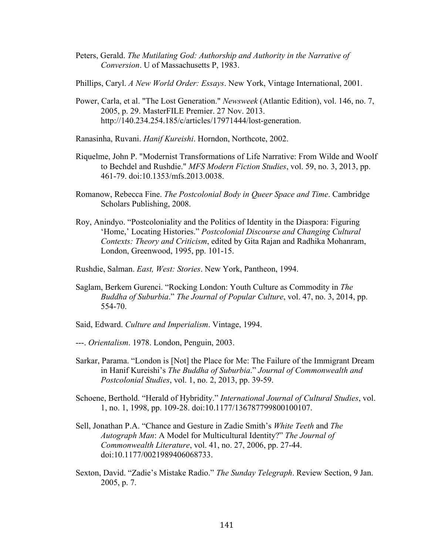Peters, Gerald. *The Mutilating God: Authorship and Authority in the Narrative of Conversion*. U of Massachusetts P, 1983.

Phillips, Caryl. *A New World Order: Essays*. New York, Vintage International, 2001.

- Power, Carla, et al. "The Lost Generation." *Newsweek* (Atlantic Edition), vol. 146, no. 7, 2005, p. 29. MasterFILE Premier. 27 Nov. 2013. http://140.234.254.185/c/articles/17971444/lost-generation.
- Ranasinha, Ruvani. *Hanif Kureishi*. Horndon, Northcote, 2002.
- Riquelme, John P. "Modernist Transformations of Life Narrative: From Wilde and Woolf to Bechdel and Rushdie." *MFS Modern Fiction Studies*, vol. 59, no. 3, 2013, pp. 461-79. doi:10.1353/mfs.2013.0038.
- Romanow, Rebecca Fine. *The Postcolonial Body in Queer Space and Time*. Cambridge Scholars Publishing, 2008.
- Roy, Anindyo. "Postcoloniality and the Politics of Identity in the Diaspora: Figuring 'Home,' Locating Histories." *Postcolonial Discourse and Changing Cultural Contexts: Theory and Criticism*, edited by Gita Rajan and Radhika Mohanram, London, Greenwood, 1995, pp. 101-15.
- Rushdie, Salman. *East, West: Stories*. New York, Pantheon, 1994.
- Saglam, Berkem Gurenci. "Rocking London: Youth Culture as Commodity in *The Buddha of Suburbia*." *The Journal of Popular Culture*, vol. 47, no. 3, 2014, pp. 554-70.
- Said, Edward. *Culture and Imperialism*. Vintage, 1994.
- ---. *Orientalism*. 1978. London, Penguin, 2003.
- Sarkar, Parama. "London is [Not] the Place for Me: The Failure of the Immigrant Dream in Hanif Kureishi's *The Buddha of Suburbia*." *Journal of Commonwealth and Postcolonial Studies*, vol. 1, no. 2, 2013, pp. 39-59.
- Schoene, Berthold. "Herald of Hybridity." *International Journal of Cultural Studies*, vol. 1, no. 1, 1998, pp. 109-28. doi:10.1177/136787799800100107.
- Sell, Jonathan P.A. "Chance and Gesture in Zadie Smith's *White Teeth* and *The Autograph Man*: A Model for Multicultural Identity?" *The Journal of Commonwealth Literature*, vol. 41, no. 27, 2006, pp. 27-44. doi:10.1177/0021989406068733.
- Sexton, David. "Zadie's Mistake Radio." *The Sunday Telegraph*. Review Section, 9 Jan. 2005, p. 7.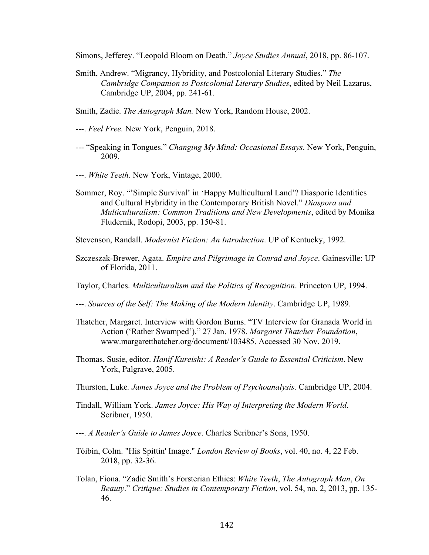Simons, Jefferey. "Leopold Bloom on Death." *Joyce Studies Annual*, 2018, pp. 86-107.

- Smith, Andrew. "Migrancy, Hybridity, and Postcolonial Literary Studies." *The Cambridge Companion to Postcolonial Literary Studies*, edited by Neil Lazarus, Cambridge UP, 2004, pp. 241-61.
- Smith, Zadie. *The Autograph Man.* New York, Random House, 2002.
- ---. *Feel Free.* New York, Penguin, 2018.
- --- "Speaking in Tongues." *Changing My Mind: Occasional Essays*. New York, Penguin, 2009.
- ---. *White Teeth*. New York, Vintage, 2000.
- Sommer, Roy. "'Simple Survival' in 'Happy Multicultural Land'? Diasporic Identities and Cultural Hybridity in the Contemporary British Novel." *Diaspora and Multiculturalism: Common Traditions and New Developments*, edited by Monika Fludernik, Rodopi, 2003, pp. 150-81.
- Stevenson, Randall. *Modernist Fiction: An Introduction*. UP of Kentucky, 1992.
- Szczeszak-Brewer, Agata. *Empire and Pilgrimage in Conrad and Joyce*. Gainesville: UP of Florida, 2011.
- Taylor, Charles. *Multiculturalism and the Politics of Recognition*. Princeton UP, 1994.
- ---. *Sources of the Self: The Making of the Modern Identity*. Cambridge UP, 1989.
- Thatcher, Margaret. Interview with Gordon Burns. "TV Interview for Granada World in Action ('Rather Swamped')." 27 Jan. 1978. *Margaret Thatcher Foundation*, www.margaretthatcher.org/document/103485. Accessed 30 Nov. 2019.
- Thomas, Susie, editor. *Hanif Kureishi: A Reader's Guide to Essential Criticism*. New York, Palgrave, 2005.
- Thurston, Luke*. James Joyce and the Problem of Psychoanalysis.* Cambridge UP, 2004.
- Tindall, William York. *James Joyce: His Way of Interpreting the Modern World*. Scribner, 1950.
- ---. *A Reader's Guide to James Joyce*. Charles Scribner's Sons, 1950.
- Tóibín, Colm. "His Spittin' Image." *London Review of Books*, vol. 40, no. 4, 22 Feb. 2018, pp. 32-36.
- Tolan, Fiona. "Zadie Smith's Forsterian Ethics: *White Teeth*, *The Autograph Man*, *On Beauty*." *Critique: Studies in Contemporary Fiction*, vol. 54, no. 2, 2013, pp. 135- 46.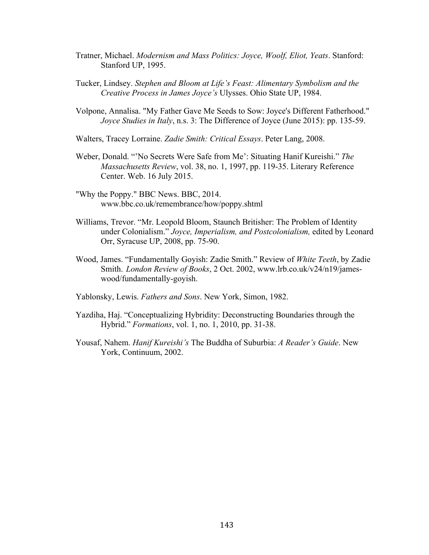- Tratner, Michael. *Modernism and Mass Politics: Joyce, Woolf, Eliot, Yeats*. Stanford: Stanford UP, 1995.
- Tucker, Lindsey. *Stephen and Bloom at Life's Feast: Alimentary Symbolism and the Creative Process in James Joyce's* Ulysses. Ohio State UP, 1984.
- Volpone, Annalisa. "My Father Gave Me Seeds to Sow: Joyce's Different Fatherhood." *Joyce Studies in Italy*, n.s. 3: The Difference of Joyce (June 2015): pp. 135-59.
- Walters, Tracey Lorraine. *Zadie Smith: Critical Essays*. Peter Lang, 2008.
- Weber, Donald. "'No Secrets Were Safe from Me': Situating Hanif Kureishi." *The Massachusetts Review*, vol. 38, no. 1, 1997, pp. 119-35. Literary Reference Center. Web. 16 July 2015.
- "Why the Poppy." BBC News. BBC, 2014. www.bbc.co.uk/remembrance/how/poppy.shtml
- Williams, Trevor. "Mr. Leopold Bloom, Staunch Britisher: The Problem of Identity under Colonialism." *Joyce, Imperialism, and Postcolonialism,* edited by Leonard Orr, Syracuse UP, 2008, pp. 75-90.
- Wood, James. "Fundamentally Goyish: Zadie Smith." Review of *White Teeth*, by Zadie Smith. *London Review of Books*, 2 Oct. 2002, www.lrb.co.uk/v24/n19/jameswood/fundamentally-goyish.
- Yablonsky, Lewis. *Fathers and Sons*. New York, Simon, 1982.
- Yazdiha, Haj. "Conceptualizing Hybridity: Deconstructing Boundaries through the Hybrid." *Formations*, vol. 1, no. 1, 2010, pp. 31-38.
- Yousaf, Nahem. *Hanif Kureishi's* The Buddha of Suburbia: *A Reader's Guide*. New York, Continuum, 2002.